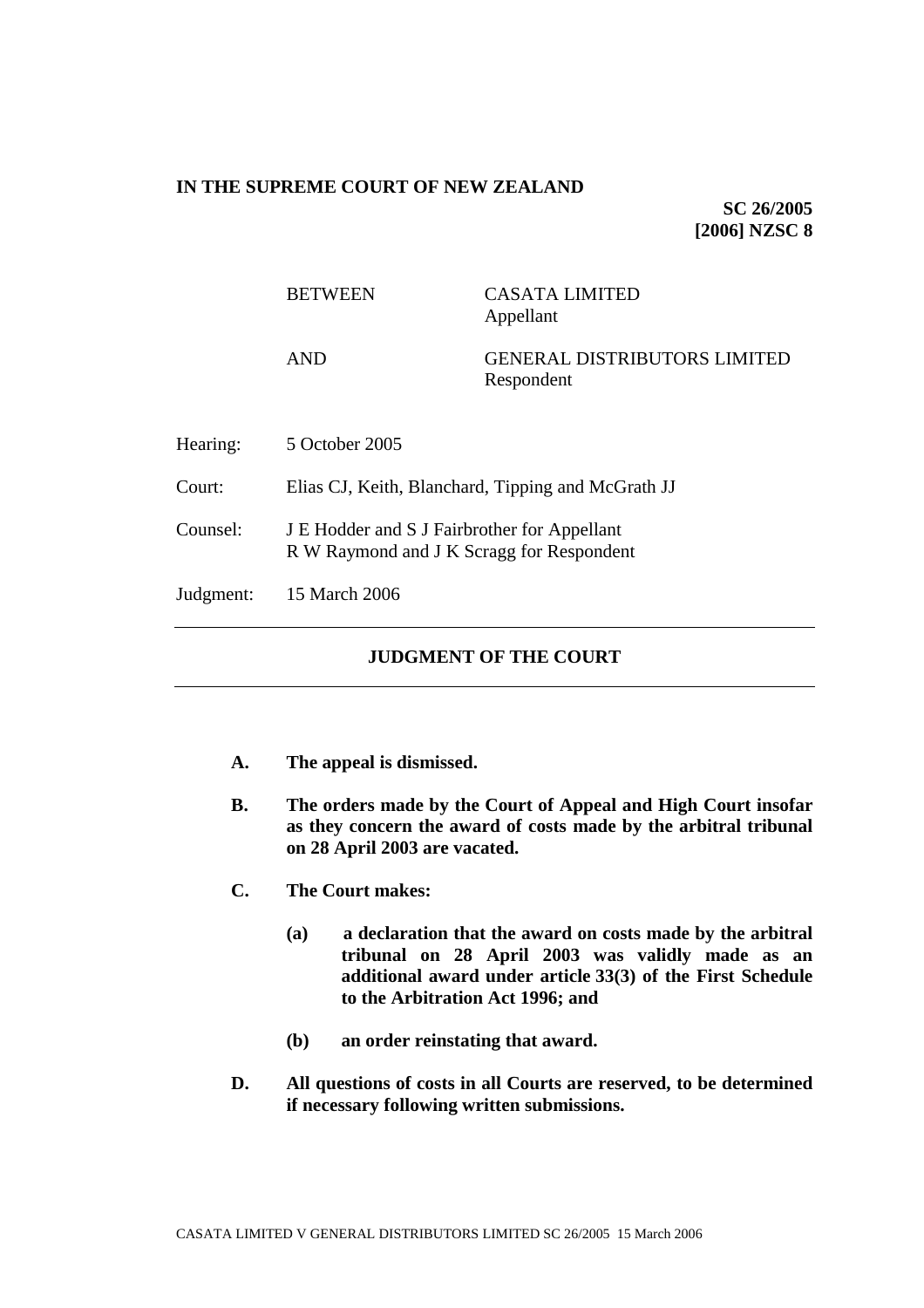## **IN THE SUPREME COURT OF NEW ZEALAND**

**SC 26/2005 [2006] NZSC 8**

|           | <b>BETWEEN</b>                                                                            | <b>CASATA LIMITED</b><br>Appellant                |
|-----------|-------------------------------------------------------------------------------------------|---------------------------------------------------|
|           | <b>AND</b>                                                                                | <b>GENERAL DISTRIBUTORS LIMITED</b><br>Respondent |
| Hearing:  | 5 October 2005                                                                            |                                                   |
| Court:    | Elias CJ, Keith, Blanchard, Tipping and McGrath JJ                                        |                                                   |
| Counsel:  | J E Hodder and S J Fairbrother for Appellant<br>R W Raymond and J K Scragg for Respondent |                                                   |
| Judgment: | 15 March 2006                                                                             |                                                   |
|           |                                                                                           |                                                   |

# **JUDGMENT OF THE COURT**

- **A. The appeal is dismissed.**
- **B. The orders made by the Court of Appeal and High Court insofar as they concern the award of costs made by the arbitral tribunal on 28 April 2003 are vacated.**
- **C. The Court makes:**
	- **(a) a declaration that the award on costs made by the arbitral tribunal on 28 April 2003 was validly made as an additional award under article 33(3) of the First Schedule to the Arbitration Act 1996; and**
	- **(b) an order reinstating that award.**
- **D. All questions of costs in all Courts are reserved, to be determined if necessary following written submissions.**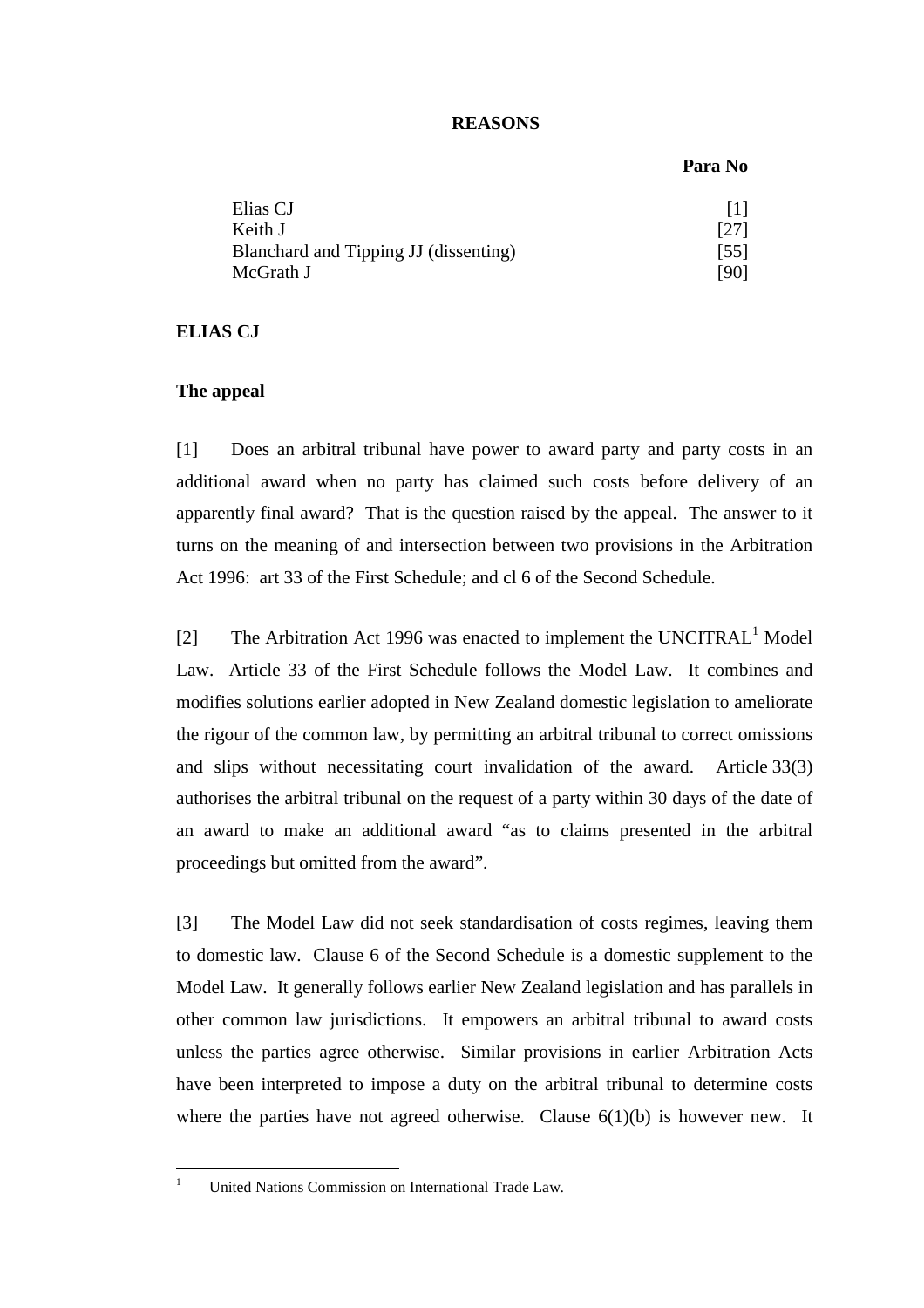## **REASONS**

#### **Para No**

| Elias CJ                              | 111                          |
|---------------------------------------|------------------------------|
| Keith J                               | $\left\lceil 27\right\rceil$ |
| Blanchard and Tipping JJ (dissenting) | $\left[55\right]$            |
| McGrath J                             | [90]                         |

#### **ELIAS CJ**

### **The appeal**

[1] Does an arbitral tribunal have power to award party and party costs in an additional award when no party has claimed such costs before delivery of an apparently final award? That is the question raised by the appeal. The answer to it turns on the meaning of and intersection between two provisions in the Arbitration Act 1996: art 33 of the First Schedule; and cl 6 of the Second Schedule.

[2] The Arbitration Act 1996 was enacted to implement the UNCITRAL<sup>1</sup> Model Law. Article 33 of the First Schedule follows the Model Law. It combines and modifies solutions earlier adopted in New Zealand domestic legislation to ameliorate the rigour of the common law, by permitting an arbitral tribunal to correct omissions and slips without necessitating court invalidation of the award. Article 33(3) authorises the arbitral tribunal on the request of a party within 30 days of the date of an award to make an additional award "as to claims presented in the arbitral proceedings but omitted from the award".

[3] The Model Law did not seek standardisation of costs regimes, leaving them to domestic law. Clause 6 of the Second Schedule is a domestic supplement to the Model Law. It generally follows earlier New Zealand legislation and has parallels in other common law jurisdictions. It empowers an arbitral tribunal to award costs unless the parties agree otherwise. Similar provisions in earlier Arbitration Acts have been interpreted to impose a duty on the arbitral tribunal to determine costs where the parties have not agreed otherwise. Clause  $6(1)(b)$  is however new. It

 $\frac{1}{1}$ 

United Nations Commission on International Trade Law.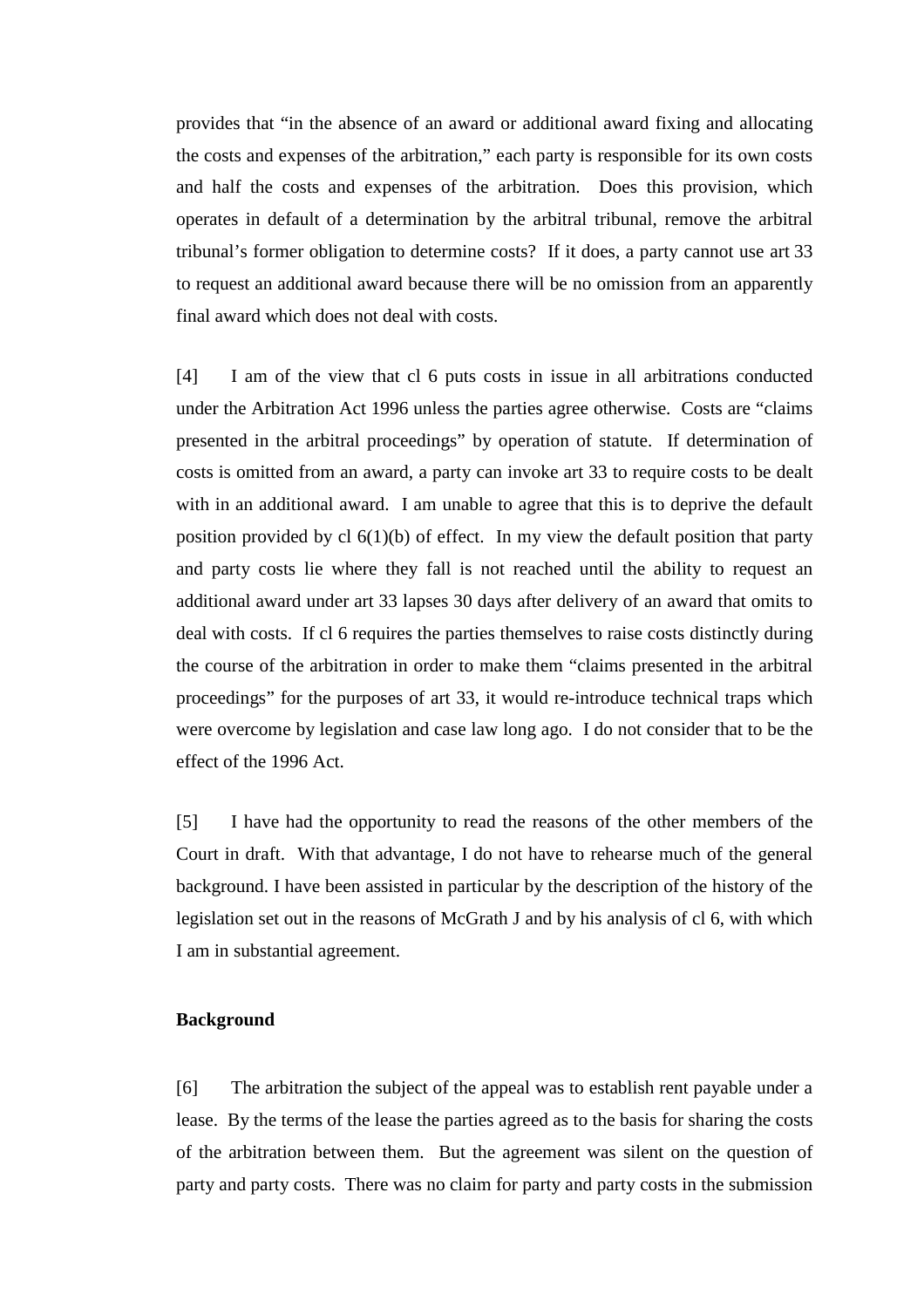provides that "in the absence of an award or additional award fixing and allocating the costs and expenses of the arbitration," each party is responsible for its own costs and half the costs and expenses of the arbitration. Does this provision, which operates in default of a determination by the arbitral tribunal, remove the arbitral tribunal's former obligation to determine costs? If it does, a party cannot use art 33 to request an additional award because there will be no omission from an apparently final award which does not deal with costs.

[4] I am of the view that cl 6 puts costs in issue in all arbitrations conducted under the Arbitration Act 1996 unless the parties agree otherwise. Costs are "claims presented in the arbitral proceedings" by operation of statute. If determination of costs is omitted from an award, a party can invoke art 33 to require costs to be dealt with in an additional award. I am unable to agree that this is to deprive the default position provided by cl  $6(1)(b)$  of effect. In my view the default position that party and party costs lie where they fall is not reached until the ability to request an additional award under art 33 lapses 30 days after delivery of an award that omits to deal with costs. If cl 6 requires the parties themselves to raise costs distinctly during the course of the arbitration in order to make them "claims presented in the arbitral proceedings" for the purposes of art 33, it would re-introduce technical traps which were overcome by legislation and case law long ago. I do not consider that to be the effect of the 1996 Act.

[5] I have had the opportunity to read the reasons of the other members of the Court in draft. With that advantage, I do not have to rehearse much of the general background. I have been assisted in particular by the description of the history of the legislation set out in the reasons of McGrath J and by his analysis of cl 6, with which I am in substantial agreement.

### **Background**

[6] The arbitration the subject of the appeal was to establish rent payable under a lease. By the terms of the lease the parties agreed as to the basis for sharing the costs of the arbitration between them. But the agreement was silent on the question of party and party costs. There was no claim for party and party costs in the submission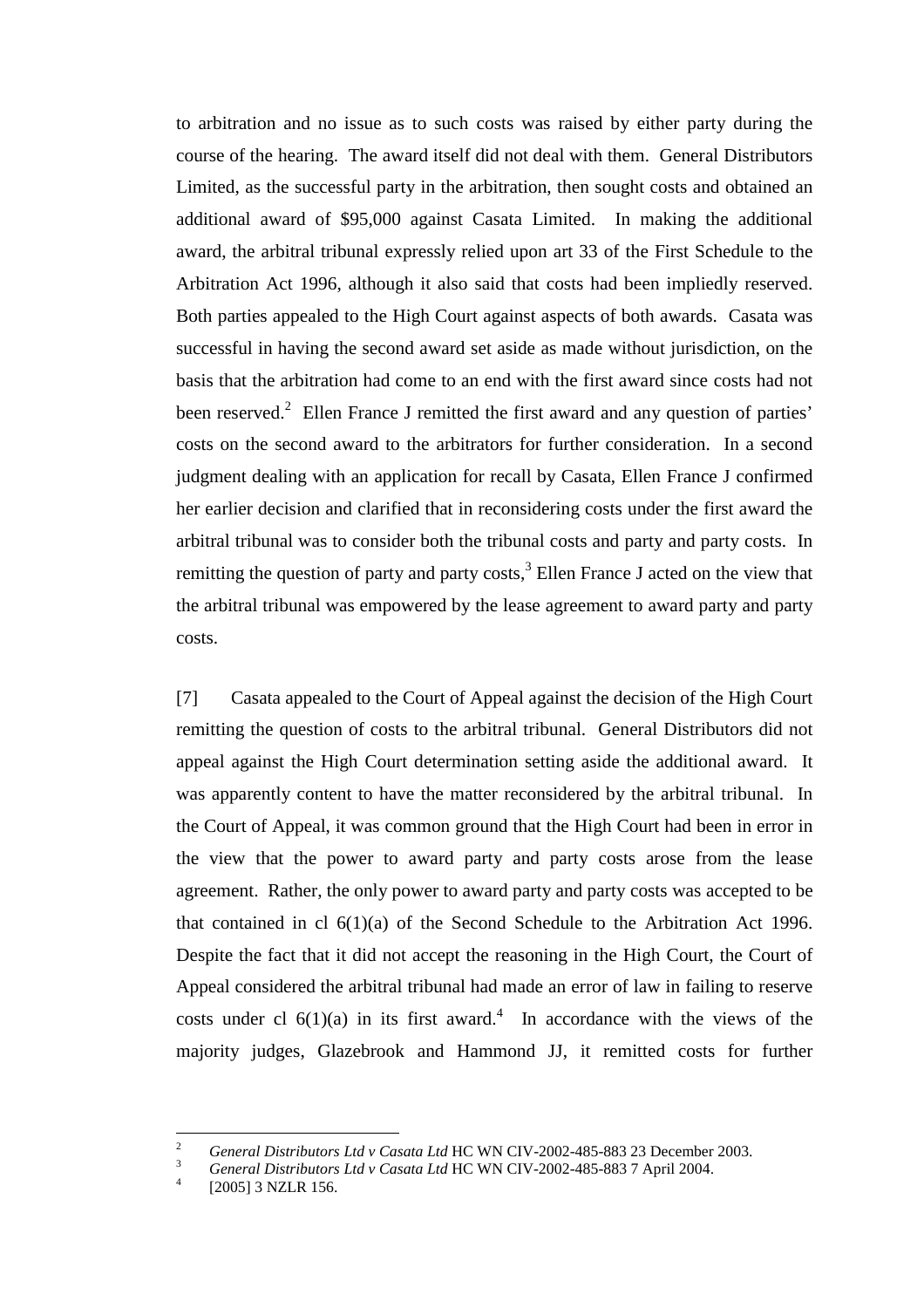to arbitration and no issue as to such costs was raised by either party during the course of the hearing. The award itself did not deal with them. General Distributors Limited, as the successful party in the arbitration, then sought costs and obtained an additional award of \$95,000 against Casata Limited. In making the additional award, the arbitral tribunal expressly relied upon art 33 of the First Schedule to the Arbitration Act 1996, although it also said that costs had been impliedly reserved. Both parties appealed to the High Court against aspects of both awards. Casata was successful in having the second award set aside as made without jurisdiction, on the basis that the arbitration had come to an end with the first award since costs had not been reserved.<sup>2</sup> Ellen France J remitted the first award and any question of parties' costs on the second award to the arbitrators for further consideration. In a second judgment dealing with an application for recall by Casata, Ellen France J confirmed her earlier decision and clarified that in reconsidering costs under the first award the arbitral tribunal was to consider both the tribunal costs and party and party costs. In remitting the question of party and party costs, $3$  Ellen France J acted on the view that the arbitral tribunal was empowered by the lease agreement to award party and party costs.

[7] Casata appealed to the Court of Appeal against the decision of the High Court remitting the question of costs to the arbitral tribunal. General Distributors did not appeal against the High Court determination setting aside the additional award. It was apparently content to have the matter reconsidered by the arbitral tribunal. In the Court of Appeal, it was common ground that the High Court had been in error in the view that the power to award party and party costs arose from the lease agreement. Rather, the only power to award party and party costs was accepted to be that contained in cl 6(1)(a) of the Second Schedule to the Arbitration Act 1996. Despite the fact that it did not accept the reasoning in the High Court, the Court of Appeal considered the arbitral tribunal had made an error of law in failing to reserve costs under cl  $6(1)(a)$  in its first award.<sup>4</sup> In accordance with the views of the majority judges, Glazebrook and Hammond JJ, it remitted costs for further

-

<sup>&</sup>lt;sup>2</sup> *General Distributors Ltd v Casata Ltd* HC WN CIV-2002-485-883 23 December 2003.<br><sup>3</sup> *General Distributors Ltd v Casata Ltd* HC WN CIV-2002-485-883 7 April 2004.

 <sup>[2005] 3</sup> NZLR 156.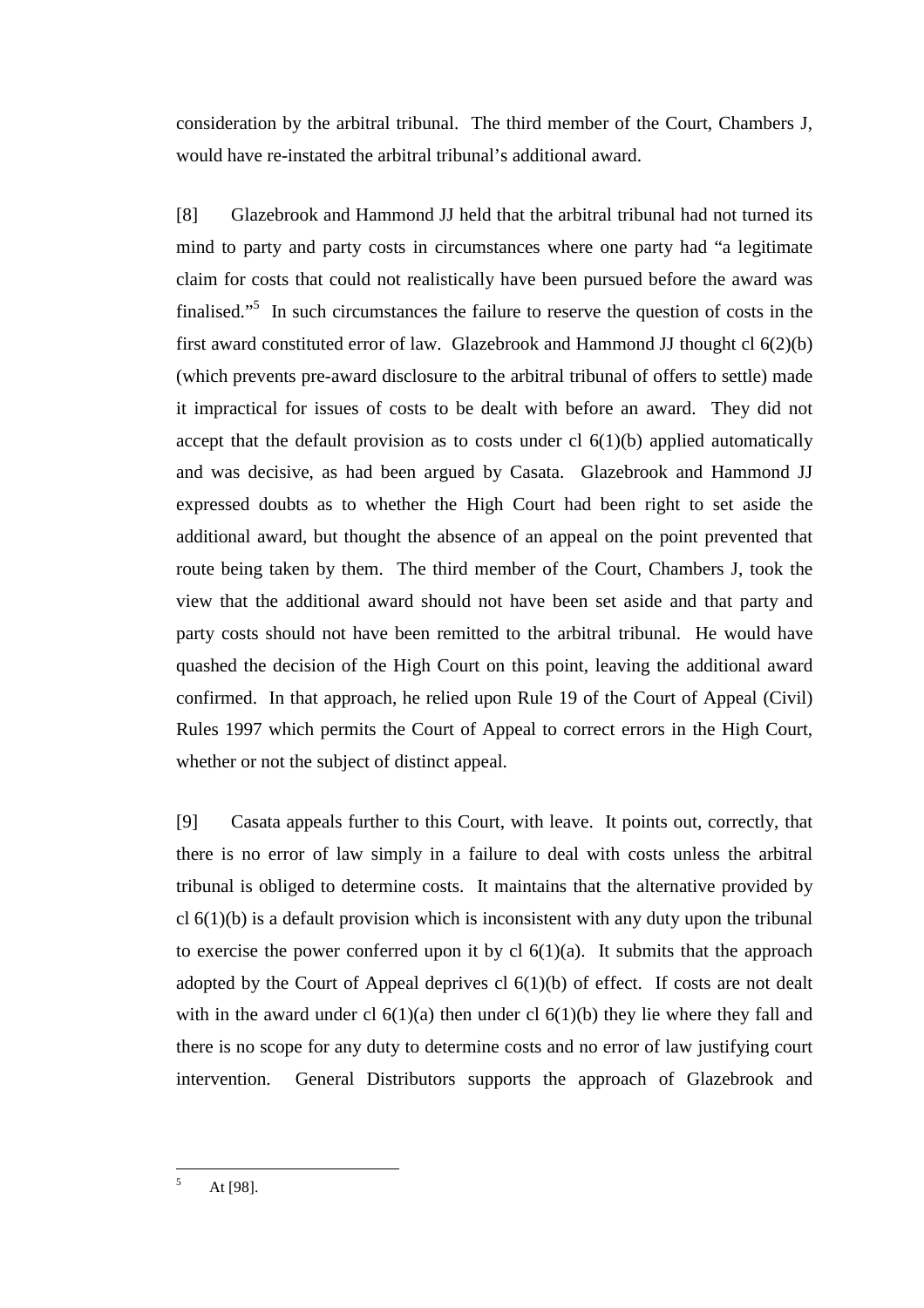consideration by the arbitral tribunal. The third member of the Court, Chambers J, would have re-instated the arbitral tribunal's additional award.

[8] Glazebrook and Hammond JJ held that the arbitral tribunal had not turned its mind to party and party costs in circumstances where one party had "a legitimate claim for costs that could not realistically have been pursued before the award was finalised."<sup>5</sup> In such circumstances the failure to reserve the question of costs in the first award constituted error of law. Glazebrook and Hammond JJ thought cl 6(2)(b) (which prevents pre-award disclosure to the arbitral tribunal of offers to settle) made it impractical for issues of costs to be dealt with before an award. They did not accept that the default provision as to costs under cl  $6(1)(b)$  applied automatically and was decisive, as had been argued by Casata. Glazebrook and Hammond JJ expressed doubts as to whether the High Court had been right to set aside the additional award, but thought the absence of an appeal on the point prevented that route being taken by them. The third member of the Court, Chambers J, took the view that the additional award should not have been set aside and that party and party costs should not have been remitted to the arbitral tribunal. He would have quashed the decision of the High Court on this point, leaving the additional award confirmed. In that approach, he relied upon Rule 19 of the Court of Appeal (Civil) Rules 1997 which permits the Court of Appeal to correct errors in the High Court, whether or not the subject of distinct appeal.

[9] Casata appeals further to this Court, with leave. It points out, correctly, that there is no error of law simply in a failure to deal with costs unless the arbitral tribunal is obliged to determine costs. It maintains that the alternative provided by  $cl 6(1)(b)$  is a default provision which is inconsistent with any duty upon the tribunal to exercise the power conferred upon it by cl  $6(1)(a)$ . It submits that the approach adopted by the Court of Appeal deprives cl  $6(1)(b)$  of effect. If costs are not dealt with in the award under cl  $6(1)(a)$  then under cl  $6(1)(b)$  they lie where they fall and there is no scope for any duty to determine costs and no error of law justifying court intervention. General Distributors supports the approach of Glazebrook and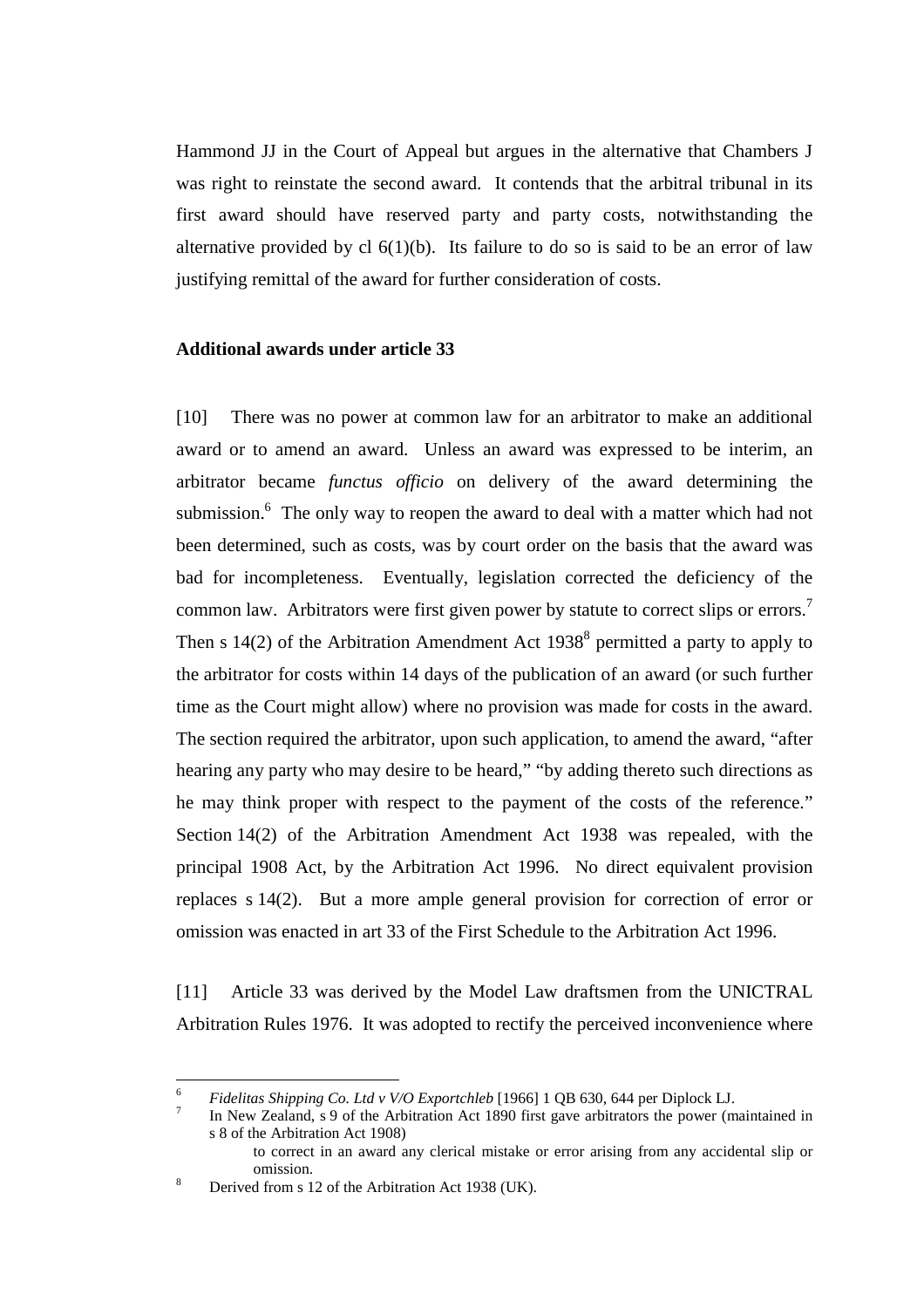Hammond JJ in the Court of Appeal but argues in the alternative that Chambers J was right to reinstate the second award. It contends that the arbitral tribunal in its first award should have reserved party and party costs, notwithstanding the alternative provided by cl  $6(1)(b)$ . Its failure to do so is said to be an error of law justifying remittal of the award for further consideration of costs.

## **Additional awards under article 33**

[10] There was no power at common law for an arbitrator to make an additional award or to amend an award. Unless an award was expressed to be interim, an arbitrator became *functus officio* on delivery of the award determining the submission.<sup>6</sup> The only way to reopen the award to deal with a matter which had not been determined, such as costs, was by court order on the basis that the award was bad for incompleteness. Eventually, legislation corrected the deficiency of the common law. Arbitrators were first given power by statute to correct slips or errors.<sup>7</sup> Then s  $14(2)$  of the Arbitration Amendment Act  $1938<sup>8</sup>$  permitted a party to apply to the arbitrator for costs within 14 days of the publication of an award (or such further time as the Court might allow) where no provision was made for costs in the award. The section required the arbitrator, upon such application, to amend the award, "after hearing any party who may desire to be heard," "by adding thereto such directions as he may think proper with respect to the payment of the costs of the reference." Section 14(2) of the Arbitration Amendment Act 1938 was repealed, with the principal 1908 Act, by the Arbitration Act 1996. No direct equivalent provision replaces s 14(2). But a more ample general provision for correction of error or omission was enacted in art 33 of the First Schedule to the Arbitration Act 1996.

[11] Article 33 was derived by the Model Law draftsmen from the UNICTRAL Arbitration Rules 1976. It was adopted to rectify the perceived inconvenience where

<sup>6</sup> <sup>6</sup> *Fidelitas Shipping Co. Ltd v V/O Exportchleb* [1966] 1 QB 630, 644 per Diplock LJ. <sup>7</sup>

In New Zealand, s 9 of the Arbitration Act 1890 first gave arbitrators the power (maintained in s 8 of the Arbitration Act 1908)

to correct in an award any clerical mistake or error arising from any accidental slip or

omission.<br><sup>8</sup> Derived from s 12 of the Arbitration Act 1938 (UK).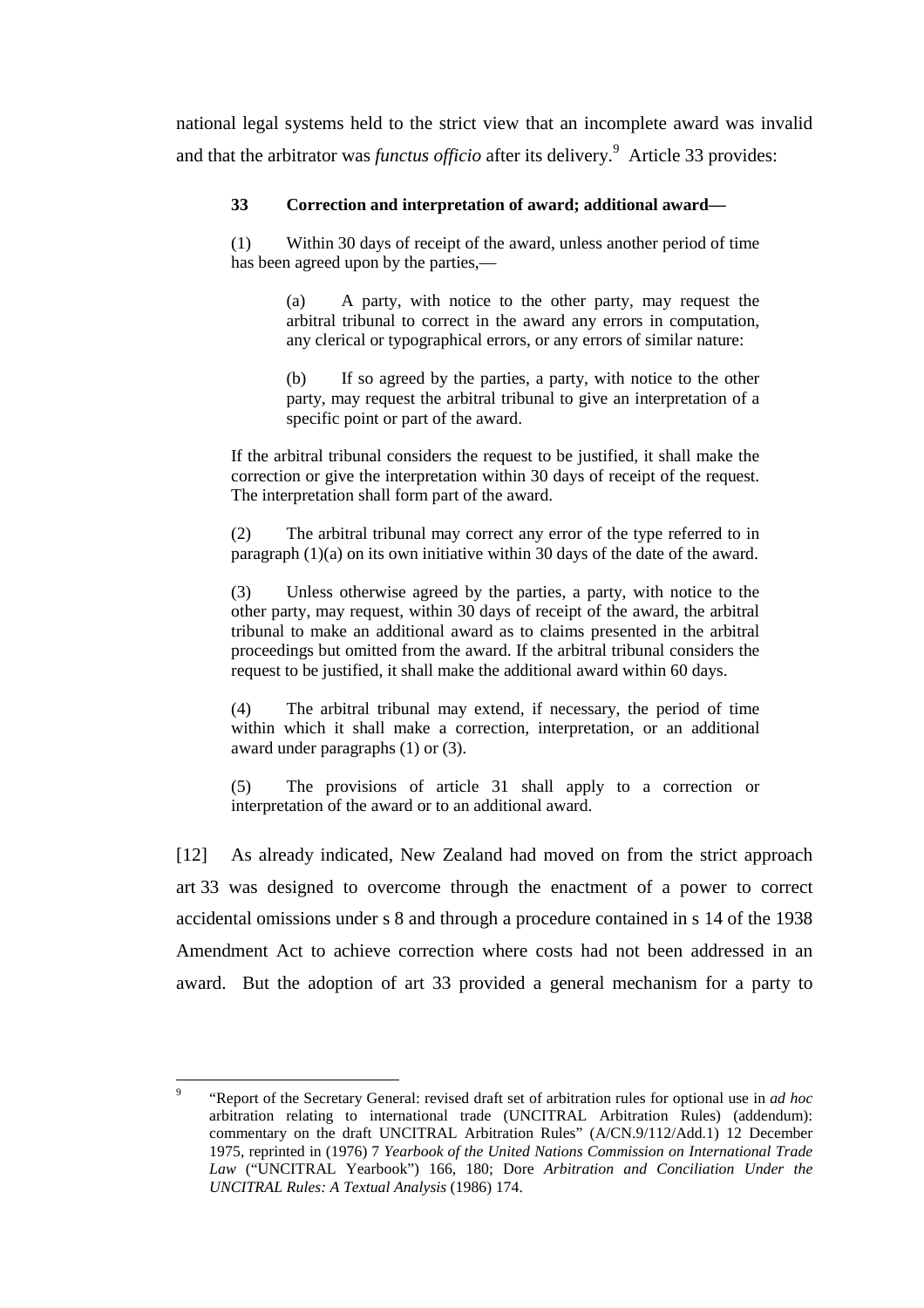national legal systems held to the strict view that an incomplete award was invalid and that the arbitrator was *functus officio* after its delivery.<sup>9</sup> Article 33 provides:

## **33 Correction and interpretation of award; additional award—**

(1) Within 30 days of receipt of the award, unless another period of time has been agreed upon by the parties,—

> (a) A party, with notice to the other party, may request the arbitral tribunal to correct in the award any errors in computation, any clerical or typographical errors, or any errors of similar nature:

> (b) If so agreed by the parties, a party, with notice to the other party, may request the arbitral tribunal to give an interpretation of a specific point or part of the award.

If the arbitral tribunal considers the request to be justified, it shall make the correction or give the interpretation within 30 days of receipt of the request. The interpretation shall form part of the award.

(2) The arbitral tribunal may correct any error of the type referred to in paragraph (1)(a) on its own initiative within 30 days of the date of the award.

(3) Unless otherwise agreed by the parties, a party, with notice to the other party, may request, within 30 days of receipt of the award, the arbitral tribunal to make an additional award as to claims presented in the arbitral proceedings but omitted from the award. If the arbitral tribunal considers the request to be justified, it shall make the additional award within 60 days.

(4) The arbitral tribunal may extend, if necessary, the period of time within which it shall make a correction, interpretation, or an additional award under paragraphs (1) or (3).

(5) The provisions of article 31 shall apply to a correction or interpretation of the award or to an additional award.

[12] As already indicated, New Zealand had moved on from the strict approach art 33 was designed to overcome through the enactment of a power to correct accidental omissions under s 8 and through a procedure contained in s 14 of the 1938 Amendment Act to achieve correction where costs had not been addressed in an award. But the adoption of art 33 provided a general mechanism for a party to

<sup>-&</sup>lt;br>9 "Report of the Secretary General: revised draft set of arbitration rules for optional use in *ad hoc* arbitration relating to international trade (UNCITRAL Arbitration Rules) (addendum): commentary on the draft UNCITRAL Arbitration Rules" (A/CN.9/112/Add.1) 12 December 1975, reprinted in (1976) 7 *Yearbook of the United Nations Commission on International Trade Law* ("UNCITRAL Yearbook") 166, 180; Dore *Arbitration and Conciliation Under the UNCITRAL Rules: A Textual Analysis* (1986) 174.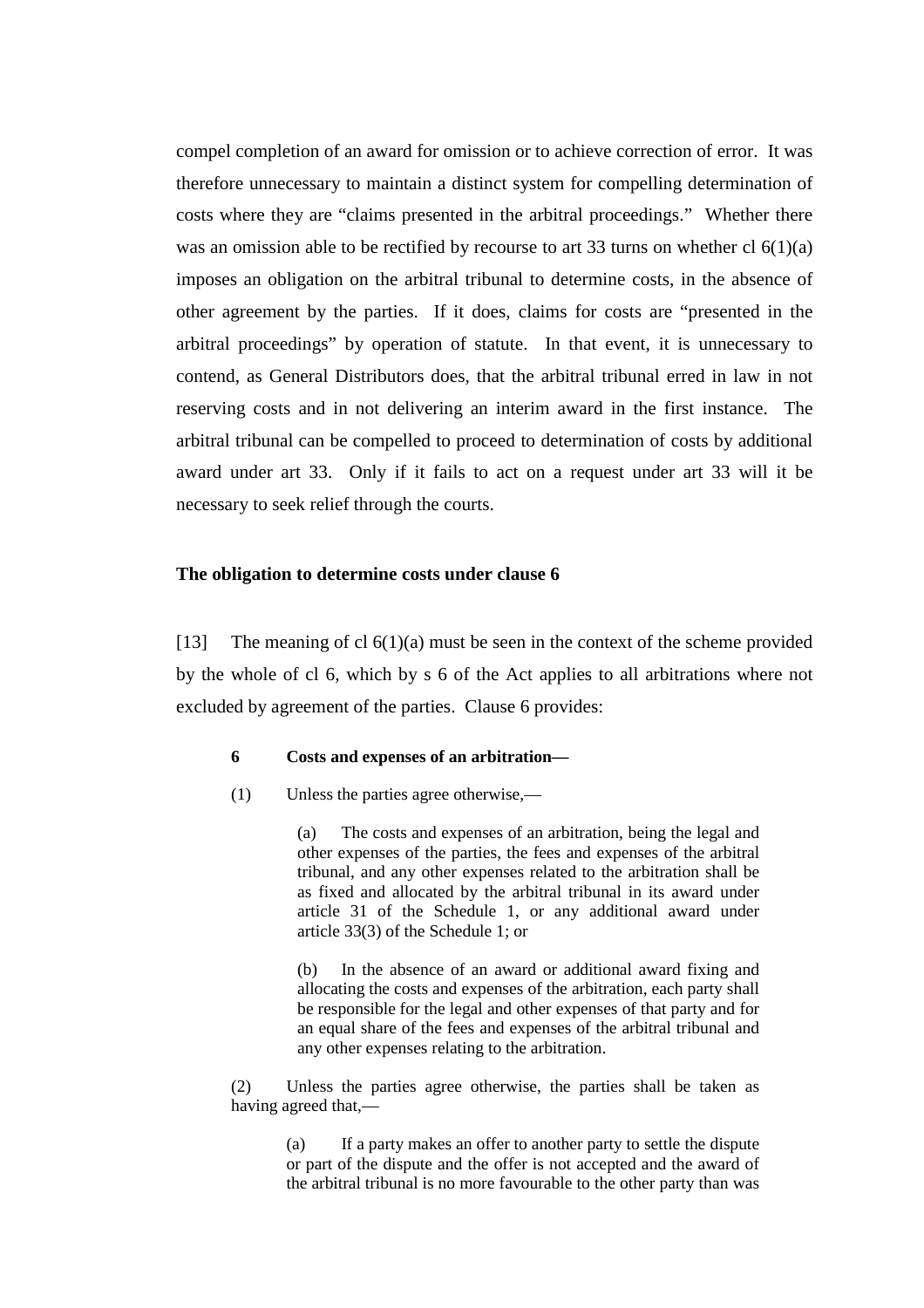compel completion of an award for omission or to achieve correction of error. It was therefore unnecessary to maintain a distinct system for compelling determination of costs where they are "claims presented in the arbitral proceedings." Whether there was an omission able to be rectified by recourse to art 33 turns on whether cl  $6(1)(a)$ imposes an obligation on the arbitral tribunal to determine costs, in the absence of other agreement by the parties. If it does, claims for costs are "presented in the arbitral proceedings" by operation of statute. In that event, it is unnecessary to contend, as General Distributors does, that the arbitral tribunal erred in law in not reserving costs and in not delivering an interim award in the first instance. The arbitral tribunal can be compelled to proceed to determination of costs by additional award under art 33. Only if it fails to act on a request under art 33 will it be necessary to seek relief through the courts.

#### **The obligation to determine costs under clause 6**

[13] The meaning of cl  $6(1)(a)$  must be seen in the context of the scheme provided by the whole of cl 6, which by s 6 of the Act applies to all arbitrations where not excluded by agreement of the parties. Clause 6 provides:

#### **6 Costs and expenses of an arbitration—**

(1) Unless the parties agree otherwise,—

(a) The costs and expenses of an arbitration, being the legal and other expenses of the parties, the fees and expenses of the arbitral tribunal, and any other expenses related to the arbitration shall be as fixed and allocated by the arbitral tribunal in its award under article 31 of the Schedule 1, or any additional award under article 33(3) of the Schedule 1; or

(b) In the absence of an award or additional award fixing and allocating the costs and expenses of the arbitration, each party shall be responsible for the legal and other expenses of that party and for an equal share of the fees and expenses of the arbitral tribunal and any other expenses relating to the arbitration.

(2) Unless the parties agree otherwise, the parties shall be taken as having agreed that,—

> (a) If a party makes an offer to another party to settle the dispute or part of the dispute and the offer is not accepted and the award of the arbitral tribunal is no more favourable to the other party than was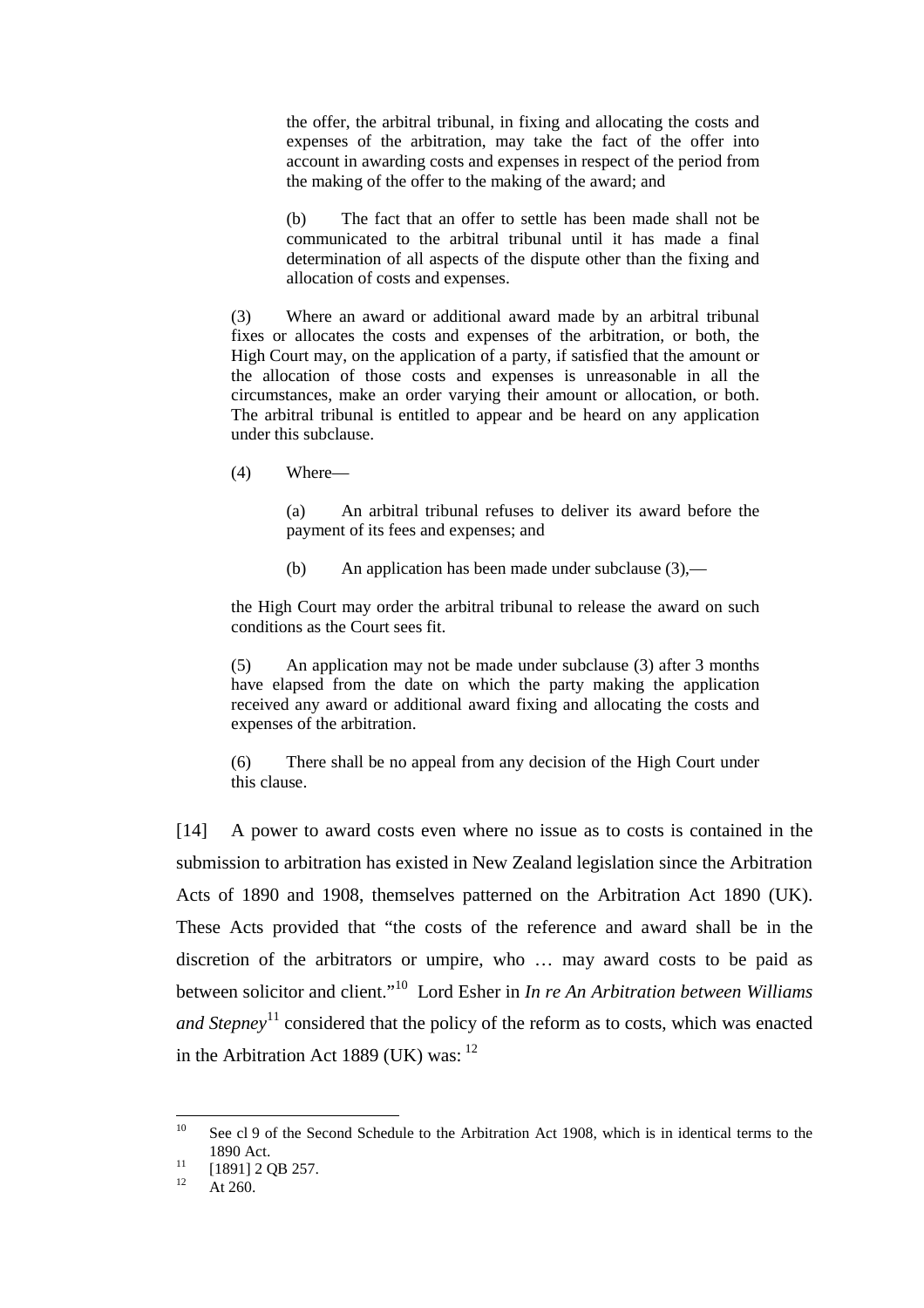the offer, the arbitral tribunal, in fixing and allocating the costs and expenses of the arbitration, may take the fact of the offer into account in awarding costs and expenses in respect of the period from the making of the offer to the making of the award; and

(b) The fact that an offer to settle has been made shall not be communicated to the arbitral tribunal until it has made a final determination of all aspects of the dispute other than the fixing and allocation of costs and expenses.

(3) Where an award or additional award made by an arbitral tribunal fixes or allocates the costs and expenses of the arbitration, or both, the High Court may, on the application of a party, if satisfied that the amount or the allocation of those costs and expenses is unreasonable in all the circumstances, make an order varying their amount or allocation, or both. The arbitral tribunal is entitled to appear and be heard on any application under this subclause.

(4) Where—

(a) An arbitral tribunal refuses to deliver its award before the payment of its fees and expenses; and

(b) An application has been made under subclause (3),—

the High Court may order the arbitral tribunal to release the award on such conditions as the Court sees fit.

(5) An application may not be made under subclause (3) after 3 months have elapsed from the date on which the party making the application received any award or additional award fixing and allocating the costs and expenses of the arbitration.

(6) There shall be no appeal from any decision of the High Court under this clause.

[14] A power to award costs even where no issue as to costs is contained in the submission to arbitration has existed in New Zealand legislation since the Arbitration Acts of 1890 and 1908, themselves patterned on the Arbitration Act 1890 (UK). These Acts provided that "the costs of the reference and award shall be in the discretion of the arbitrators or umpire, who … may award costs to be paid as between solicitor and client."10 Lord Esher in *In re An Arbitration between Williams and Stepney*<sup>11</sup> considered that the policy of the reform as to costs, which was enacted in the Arbitration Act 1889 (UK) was: $12$ 

 $10$ See cl 9 of the Second Schedule to the Arbitration Act 1908, which is in identical terms to the 1890 Act.<br>
<sup>11</sup> [1891] 2 QB 257.<br>
<sup>12</sup> At 260

At 260.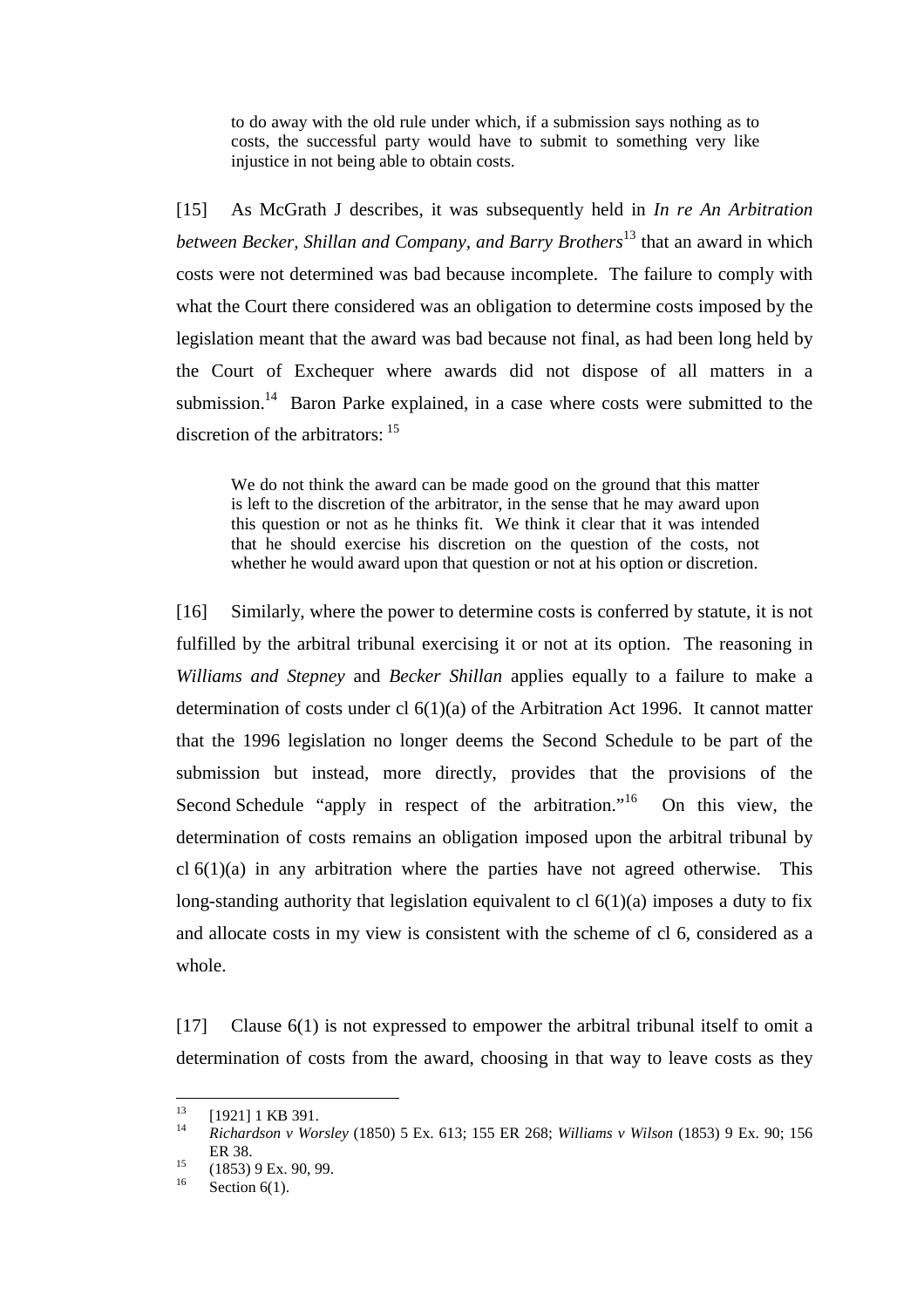to do away with the old rule under which, if a submission says nothing as to costs, the successful party would have to submit to something very like injustice in not being able to obtain costs.

[15] As McGrath J describes, it was subsequently held in *In re An Arbitration between Becker, Shillan and Company, and Barry Brothers*13 that an award in which costs were not determined was bad because incomplete. The failure to comply with what the Court there considered was an obligation to determine costs imposed by the legislation meant that the award was bad because not final, as had been long held by the Court of Exchequer where awards did not dispose of all matters in a submission.<sup>14</sup> Baron Parke explained, in a case where costs were submitted to the discretion of the arbitrators:  $15$ 

We do not think the award can be made good on the ground that this matter is left to the discretion of the arbitrator, in the sense that he may award upon this question or not as he thinks fit. We think it clear that it was intended that he should exercise his discretion on the question of the costs, not whether he would award upon that question or not at his option or discretion.

[16] Similarly, where the power to determine costs is conferred by statute, it is not fulfilled by the arbitral tribunal exercising it or not at its option. The reasoning in *Williams and Stepney* and *Becker Shillan* applies equally to a failure to make a determination of costs under cl 6(1)(a) of the Arbitration Act 1996. It cannot matter that the 1996 legislation no longer deems the Second Schedule to be part of the submission but instead, more directly, provides that the provisions of the Second Schedule "apply in respect of the arbitration."<sup>16</sup> On this view, the determination of costs remains an obligation imposed upon the arbitral tribunal by cl  $6(1)(a)$  in any arbitration where the parties have not agreed otherwise. This long-standing authority that legislation equivalent to cl  $6(1)(a)$  imposes a duty to fix and allocate costs in my view is consistent with the scheme of cl 6, considered as a whole.

[17] Clause 6(1) is not expressed to empower the arbitral tribunal itself to omit a determination of costs from the award, choosing in that way to leave costs as they

 $13$  $^{13}$  [1921] 1 KB 391.

<sup>14</sup> *Richardson v Worsley* (1850) 5 Ex. 613; 155 ER 268; *Williams v Wilson* (1853) 9 Ex. 90; 156 ER 38.<br>  $^{15}$  (1853) 9 Ex. 90, 99.

Section  $6(1)$ .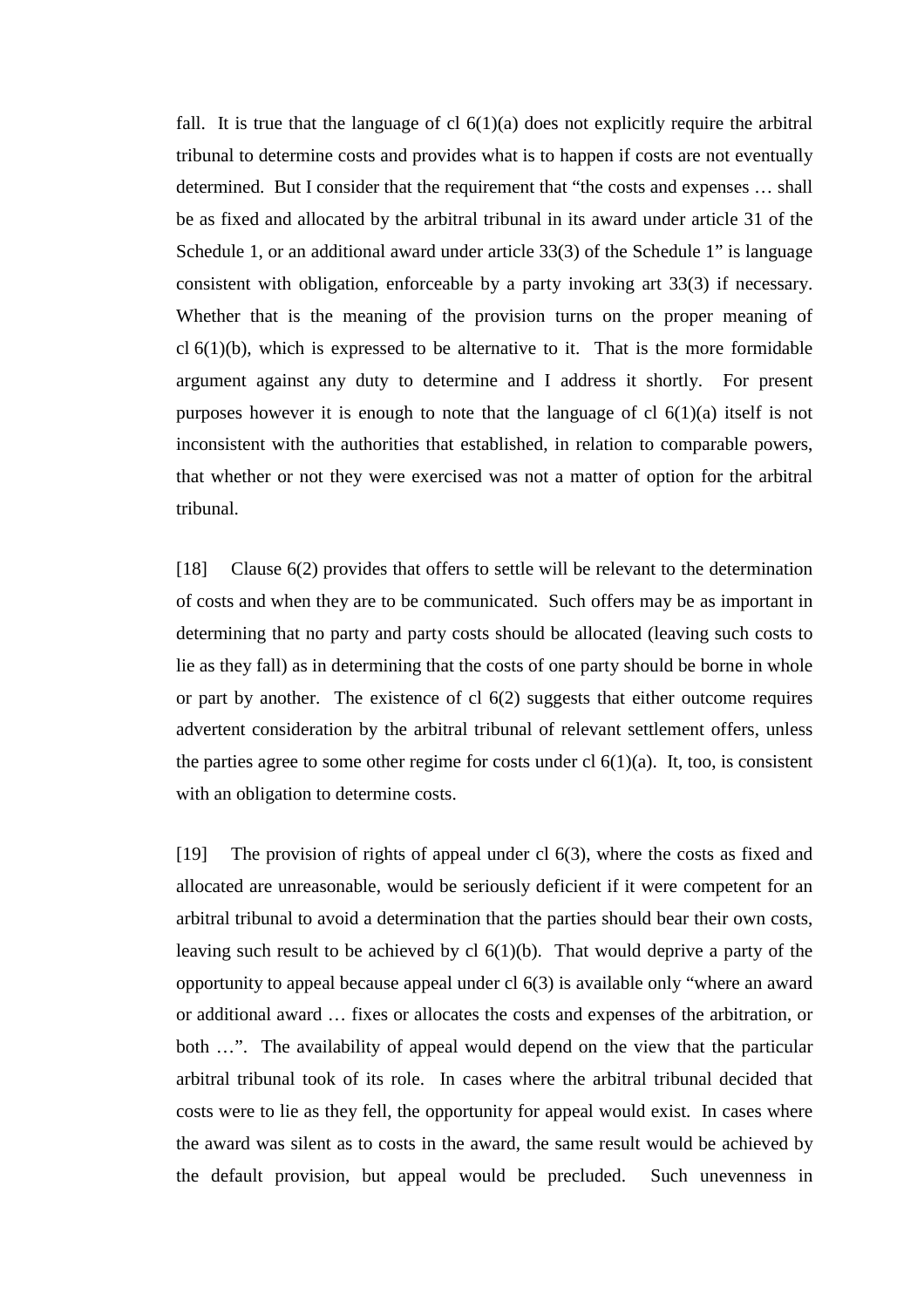fall. It is true that the language of cl  $6(1)(a)$  does not explicitly require the arbitral tribunal to determine costs and provides what is to happen if costs are not eventually determined. But I consider that the requirement that "the costs and expenses … shall be as fixed and allocated by the arbitral tribunal in its award under article 31 of the Schedule 1, or an additional award under article 33(3) of the Schedule 1" is language consistent with obligation, enforceable by a party invoking art 33(3) if necessary. Whether that is the meaning of the provision turns on the proper meaning of cl  $6(1)(b)$ , which is expressed to be alternative to it. That is the more formidable argument against any duty to determine and I address it shortly. For present purposes however it is enough to note that the language of cl  $6(1)(a)$  itself is not inconsistent with the authorities that established, in relation to comparable powers, that whether or not they were exercised was not a matter of option for the arbitral tribunal.

[18] Clause 6(2) provides that offers to settle will be relevant to the determination of costs and when they are to be communicated. Such offers may be as important in determining that no party and party costs should be allocated (leaving such costs to lie as they fall) as in determining that the costs of one party should be borne in whole or part by another. The existence of cl 6(2) suggests that either outcome requires advertent consideration by the arbitral tribunal of relevant settlement offers, unless the parties agree to some other regime for costs under cl  $6(1)(a)$ . It, too, is consistent with an obligation to determine costs.

[19] The provision of rights of appeal under cl 6(3), where the costs as fixed and allocated are unreasonable, would be seriously deficient if it were competent for an arbitral tribunal to avoid a determination that the parties should bear their own costs, leaving such result to be achieved by cl 6(1)(b). That would deprive a party of the opportunity to appeal because appeal under cl 6(3) is available only "where an award or additional award … fixes or allocates the costs and expenses of the arbitration, or both ...". The availability of appeal would depend on the view that the particular arbitral tribunal took of its role. In cases where the arbitral tribunal decided that costs were to lie as they fell, the opportunity for appeal would exist. In cases where the award was silent as to costs in the award, the same result would be achieved by the default provision, but appeal would be precluded. Such unevenness in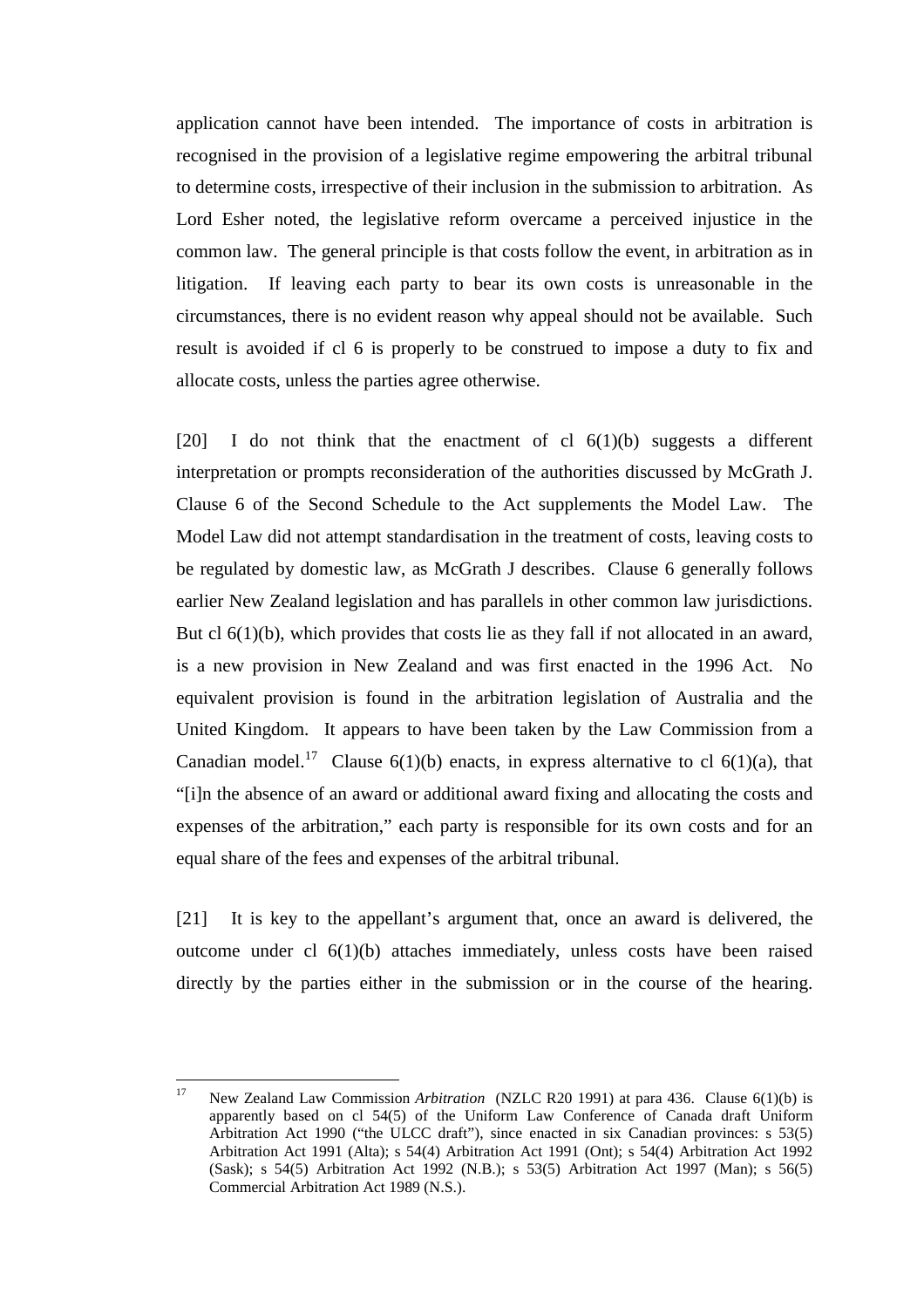application cannot have been intended. The importance of costs in arbitration is recognised in the provision of a legislative regime empowering the arbitral tribunal to determine costs, irrespective of their inclusion in the submission to arbitration. As Lord Esher noted, the legislative reform overcame a perceived injustice in the common law. The general principle is that costs follow the event, in arbitration as in litigation. If leaving each party to bear its own costs is unreasonable in the circumstances, there is no evident reason why appeal should not be available. Such result is avoided if cl 6 is properly to be construed to impose a duty to fix and allocate costs, unless the parties agree otherwise.

[20] I do not think that the enactment of cl  $6(1)(b)$  suggests a different interpretation or prompts reconsideration of the authorities discussed by McGrath J. Clause 6 of the Second Schedule to the Act supplements the Model Law. The Model Law did not attempt standardisation in the treatment of costs, leaving costs to be regulated by domestic law, as McGrath J describes. Clause 6 generally follows earlier New Zealand legislation and has parallels in other common law jurisdictions. But cl 6(1)(b), which provides that costs lie as they fall if not allocated in an award, is a new provision in New Zealand and was first enacted in the 1996 Act. No equivalent provision is found in the arbitration legislation of Australia and the United Kingdom. It appears to have been taken by the Law Commission from a Canadian model.<sup>17</sup> Clause 6(1)(b) enacts, in express alternative to cl 6(1)(a), that "[i]n the absence of an award or additional award fixing and allocating the costs and expenses of the arbitration," each party is responsible for its own costs and for an equal share of the fees and expenses of the arbitral tribunal.

[21] It is key to the appellant's argument that, once an award is delivered, the outcome under cl 6(1)(b) attaches immediately, unless costs have been raised directly by the parties either in the submission or in the course of the hearing.

 $17$ 17 New Zealand Law Commission *Arbitration* (NZLC R20 1991) at para 436. Clause 6(1)(b) is apparently based on cl 54(5) of the Uniform Law Conference of Canada draft Uniform Arbitration Act 1990 ("the ULCC draft"), since enacted in six Canadian provinces: s 53(5) Arbitration Act 1991 (Alta); s 54(4) Arbitration Act 1991 (Ont); s 54(4) Arbitration Act 1992 (Sask); s 54(5) Arbitration Act 1992 (N.B.); s 53(5) Arbitration Act 1997 (Man); s 56(5) Commercial Arbitration Act 1989 (N.S.).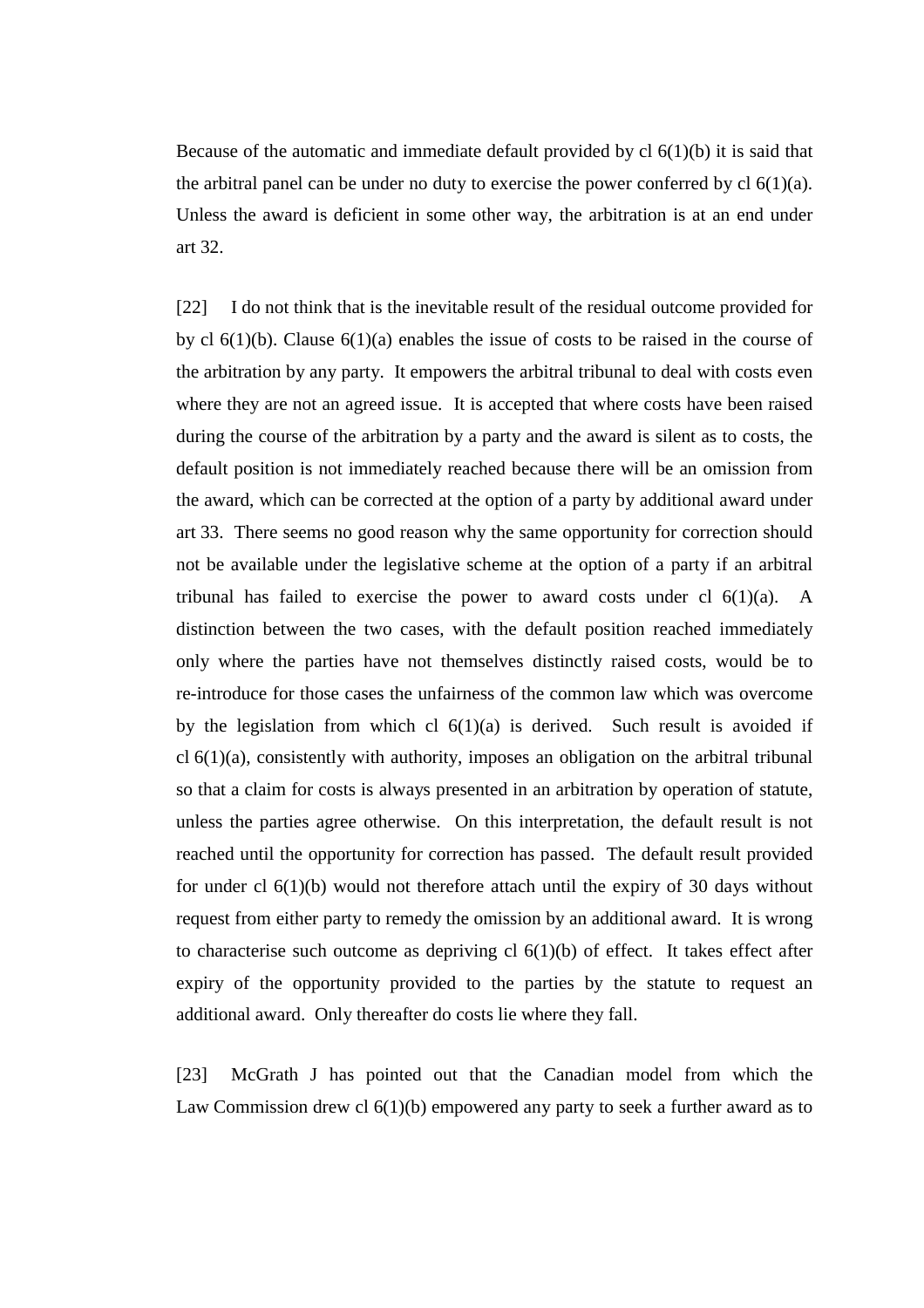Because of the automatic and immediate default provided by  $cl 6(1)(b)$  it is said that the arbitral panel can be under no duty to exercise the power conferred by  $cl 6(1)(a)$ . Unless the award is deficient in some other way, the arbitration is at an end under art 32.

[22] I do not think that is the inevitable result of the residual outcome provided for by cl  $6(1)(b)$ . Clause  $6(1)(a)$  enables the issue of costs to be raised in the course of the arbitration by any party. It empowers the arbitral tribunal to deal with costs even where they are not an agreed issue. It is accepted that where costs have been raised during the course of the arbitration by a party and the award is silent as to costs, the default position is not immediately reached because there will be an omission from the award, which can be corrected at the option of a party by additional award under art 33. There seems no good reason why the same opportunity for correction should not be available under the legislative scheme at the option of a party if an arbitral tribunal has failed to exercise the power to award costs under cl  $6(1)(a)$ . A distinction between the two cases, with the default position reached immediately only where the parties have not themselves distinctly raised costs, would be to re-introduce for those cases the unfairness of the common law which was overcome by the legislation from which cl  $6(1)(a)$  is derived. Such result is avoided if  $cl 6(1)(a)$ , consistently with authority, imposes an obligation on the arbitral tribunal so that a claim for costs is always presented in an arbitration by operation of statute, unless the parties agree otherwise. On this interpretation, the default result is not reached until the opportunity for correction has passed. The default result provided for under cl 6(1)(b) would not therefore attach until the expiry of 30 days without request from either party to remedy the omission by an additional award. It is wrong to characterise such outcome as depriving cl  $6(1)(b)$  of effect. It takes effect after expiry of the opportunity provided to the parties by the statute to request an additional award. Only thereafter do costs lie where they fall.

[23] McGrath J has pointed out that the Canadian model from which the Law Commission drew cl 6(1)(b) empowered any party to seek a further award as to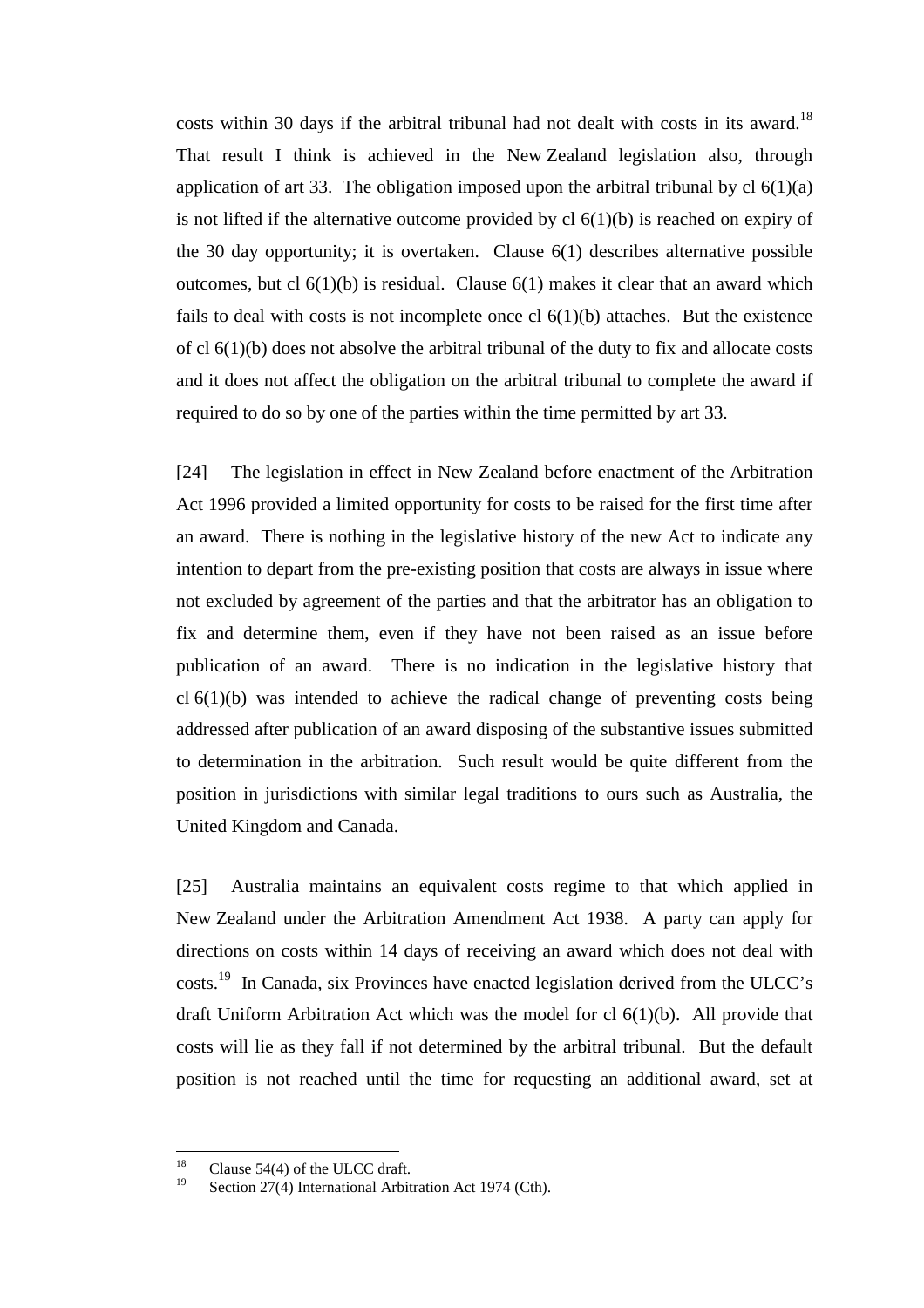costs within 30 days if the arbitral tribunal had not dealt with costs in its award.<sup>18</sup> That result I think is achieved in the New Zealand legislation also, through application of art 33. The obligation imposed upon the arbitral tribunal by  $cl 6(1)(a)$ is not lifted if the alternative outcome provided by cl  $6(1)(b)$  is reached on expiry of the 30 day opportunity; it is overtaken. Clause 6(1) describes alternative possible outcomes, but cl  $6(1)(b)$  is residual. Clause  $6(1)$  makes it clear that an award which fails to deal with costs is not incomplete once cl  $6(1)(b)$  attaches. But the existence of cl 6(1)(b) does not absolve the arbitral tribunal of the duty to fix and allocate costs and it does not affect the obligation on the arbitral tribunal to complete the award if required to do so by one of the parties within the time permitted by art 33.

[24] The legislation in effect in New Zealand before enactment of the Arbitration Act 1996 provided a limited opportunity for costs to be raised for the first time after an award. There is nothing in the legislative history of the new Act to indicate any intention to depart from the pre-existing position that costs are always in issue where not excluded by agreement of the parties and that the arbitrator has an obligation to fix and determine them, even if they have not been raised as an issue before publication of an award. There is no indication in the legislative history that cl 6(1)(b) was intended to achieve the radical change of preventing costs being addressed after publication of an award disposing of the substantive issues submitted to determination in the arbitration. Such result would be quite different from the position in jurisdictions with similar legal traditions to ours such as Australia, the United Kingdom and Canada.

[25] Australia maintains an equivalent costs regime to that which applied in New Zealand under the Arbitration Amendment Act 1938. A party can apply for directions on costs within 14 days of receiving an award which does not deal with costs.19 In Canada, six Provinces have enacted legislation derived from the ULCC's draft Uniform Arbitration Act which was the model for cl 6(1)(b). All provide that costs will lie as they fall if not determined by the arbitral tribunal. But the default position is not reached until the time for requesting an additional award, set at

 $\overline{18}$ <sup>18</sup> Clause 54(4) of the ULCC draft.

Section 27(4) International Arbitration Act 1974 (Cth).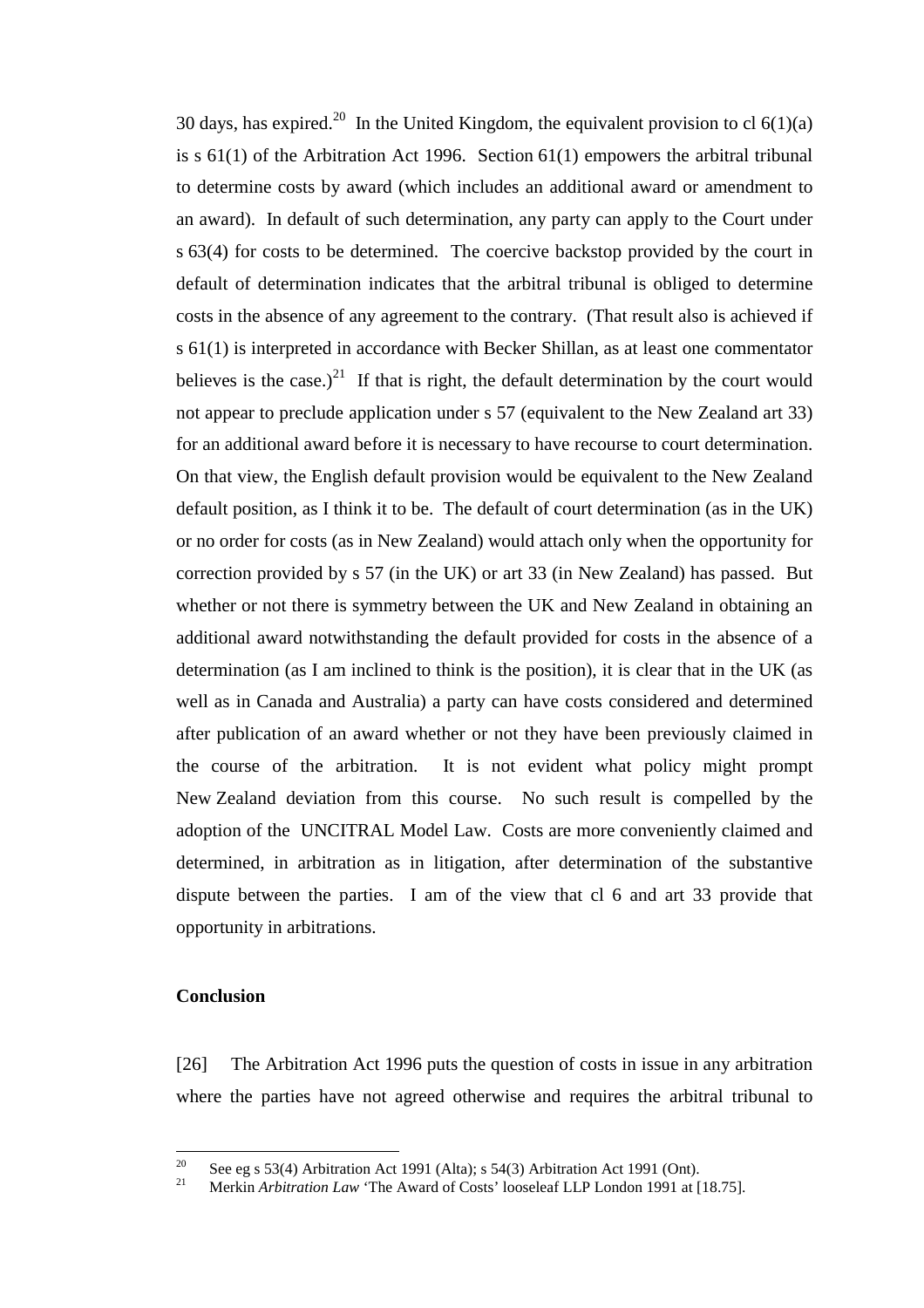30 days, has expired.<sup>20</sup> In the United Kingdom, the equivalent provision to cl  $6(1)(a)$ is  $s$  61(1) of the Arbitration Act 1996. Section 61(1) empowers the arbitral tribunal to determine costs by award (which includes an additional award or amendment to an award). In default of such determination, any party can apply to the Court under s 63(4) for costs to be determined. The coercive backstop provided by the court in default of determination indicates that the arbitral tribunal is obliged to determine costs in the absence of any agreement to the contrary. (That result also is achieved if s 61(1) is interpreted in accordance with Becker Shillan, as at least one commentator believes is the case.)<sup>21</sup> If that is right, the default determination by the court would not appear to preclude application under s 57 (equivalent to the New Zealand art 33) for an additional award before it is necessary to have recourse to court determination. On that view, the English default provision would be equivalent to the New Zealand default position, as I think it to be. The default of court determination (as in the UK) or no order for costs (as in New Zealand) would attach only when the opportunity for correction provided by s 57 (in the UK) or art 33 (in New Zealand) has passed. But whether or not there is symmetry between the UK and New Zealand in obtaining an additional award notwithstanding the default provided for costs in the absence of a determination (as I am inclined to think is the position), it is clear that in the UK (as well as in Canada and Australia) a party can have costs considered and determined after publication of an award whether or not they have been previously claimed in the course of the arbitration. It is not evident what policy might prompt New Zealand deviation from this course. No such result is compelled by the adoption of the UNCITRAL Model Law. Costs are more conveniently claimed and determined, in arbitration as in litigation, after determination of the substantive dispute between the parties. I am of the view that cl 6 and art 33 provide that opportunity in arbitrations.

## **Conclusion**

[26] The Arbitration Act 1996 puts the question of costs in issue in any arbitration where the parties have not agreed otherwise and requires the arbitral tribunal to

 $20$ <sup>20</sup> See eg s 53(4) Arbitration Act 1991 (Alta); s 54(3) Arbitration Act 1991 (Ont).

<sup>21</sup> Merkin *Arbitration Law* 'The Award of Costs' looseleaf LLP London 1991 at [18.75].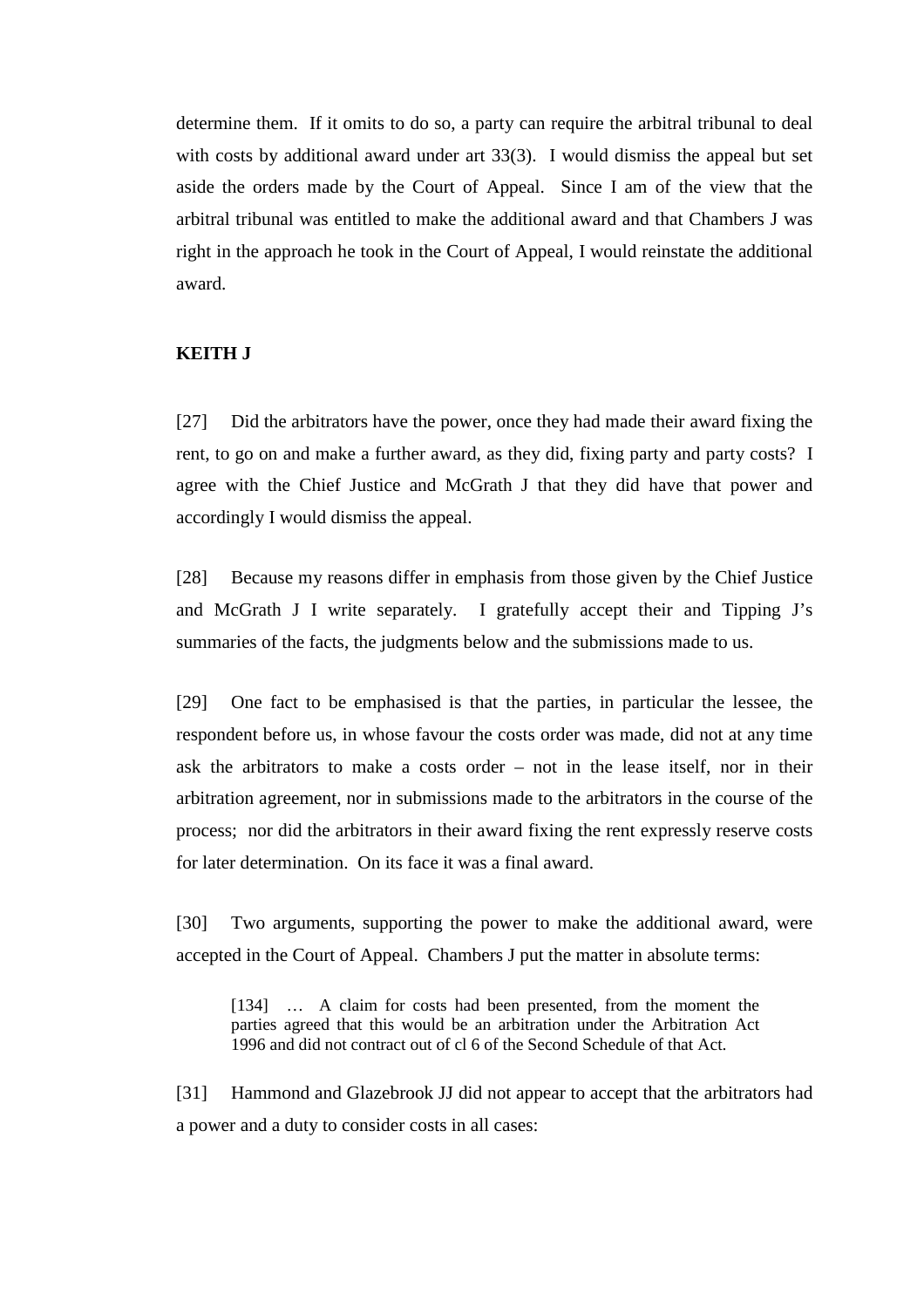determine them. If it omits to do so, a party can require the arbitral tribunal to deal with costs by additional award under art 33(3). I would dismiss the appeal but set aside the orders made by the Court of Appeal. Since I am of the view that the arbitral tribunal was entitled to make the additional award and that Chambers J was right in the approach he took in the Court of Appeal, I would reinstate the additional award.

## **KEITH J**

[27] Did the arbitrators have the power, once they had made their award fixing the rent, to go on and make a further award, as they did, fixing party and party costs? I agree with the Chief Justice and McGrath J that they did have that power and accordingly I would dismiss the appeal.

[28] Because my reasons differ in emphasis from those given by the Chief Justice and McGrath J I write separately. I gratefully accept their and Tipping J's summaries of the facts, the judgments below and the submissions made to us.

[29] One fact to be emphasised is that the parties, in particular the lessee, the respondent before us, in whose favour the costs order was made, did not at any time ask the arbitrators to make a costs order – not in the lease itself, nor in their arbitration agreement, nor in submissions made to the arbitrators in the course of the process; nor did the arbitrators in their award fixing the rent expressly reserve costs for later determination. On its face it was a final award.

[30] Two arguments, supporting the power to make the additional award, were accepted in the Court of Appeal. Chambers J put the matter in absolute terms:

[134] … A claim for costs had been presented, from the moment the parties agreed that this would be an arbitration under the Arbitration Act 1996 and did not contract out of cl 6 of the Second Schedule of that Act.

[31] Hammond and Glazebrook JJ did not appear to accept that the arbitrators had a power and a duty to consider costs in all cases: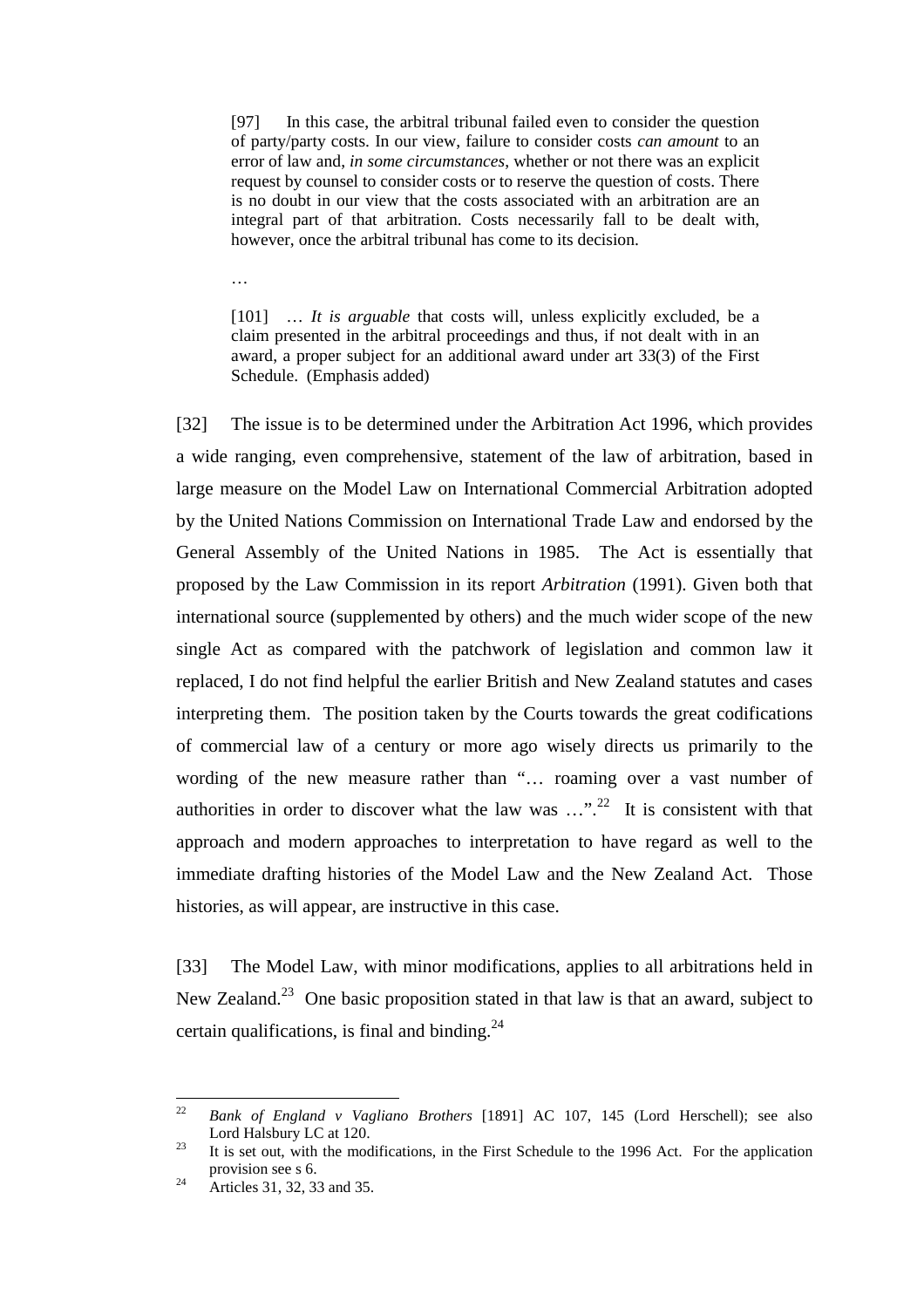[97] In this case, the arbitral tribunal failed even to consider the question of party/party costs. In our view, failure to consider costs *can amount* to an error of law and, *in some circumstances*, whether or not there was an explicit request by counsel to consider costs or to reserve the question of costs. There is no doubt in our view that the costs associated with an arbitration are an integral part of that arbitration. Costs necessarily fall to be dealt with, however, once the arbitral tribunal has come to its decision.

…

[101] ... *It is arguable* that costs will, unless explicitly excluded, be a claim presented in the arbitral proceedings and thus, if not dealt with in an award, a proper subject for an additional award under art 33(3) of the First Schedule. (Emphasis added)

[32] The issue is to be determined under the Arbitration Act 1996, which provides a wide ranging, even comprehensive, statement of the law of arbitration, based in large measure on the Model Law on International Commercial Arbitration adopted by the United Nations Commission on International Trade Law and endorsed by the General Assembly of the United Nations in 1985. The Act is essentially that proposed by the Law Commission in its report *Arbitration* (1991). Given both that international source (supplemented by others) and the much wider scope of the new single Act as compared with the patchwork of legislation and common law it replaced, I do not find helpful the earlier British and New Zealand statutes and cases interpreting them. The position taken by the Courts towards the great codifications of commercial law of a century or more ago wisely directs us primarily to the wording of the new measure rather than "… roaming over a vast number of authorities in order to discover what the law was  $\ldots$ <sup>22</sup> It is consistent with that approach and modern approaches to interpretation to have regard as well to the immediate drafting histories of the Model Law and the New Zealand Act. Those histories, as will appear, are instructive in this case.

[33] The Model Law, with minor modifications, applies to all arbitrations held in New Zealand.<sup>23</sup> One basic proposition stated in that law is that an award, subject to certain qualifications, is final and binding. $^{24}$ 

 $22$ <sup>22</sup> *Bank of England v Vagliano Brothers* [1891] AC 107, 145 (Lord Herschell); see also Lord Halsbury LC at 120.<br><sup>23</sup> It is set out, with the modifications, in the First Schedule to the 1996 Act. For the application

provision see s 6.<br>Articles 31, 32, 33 and 35.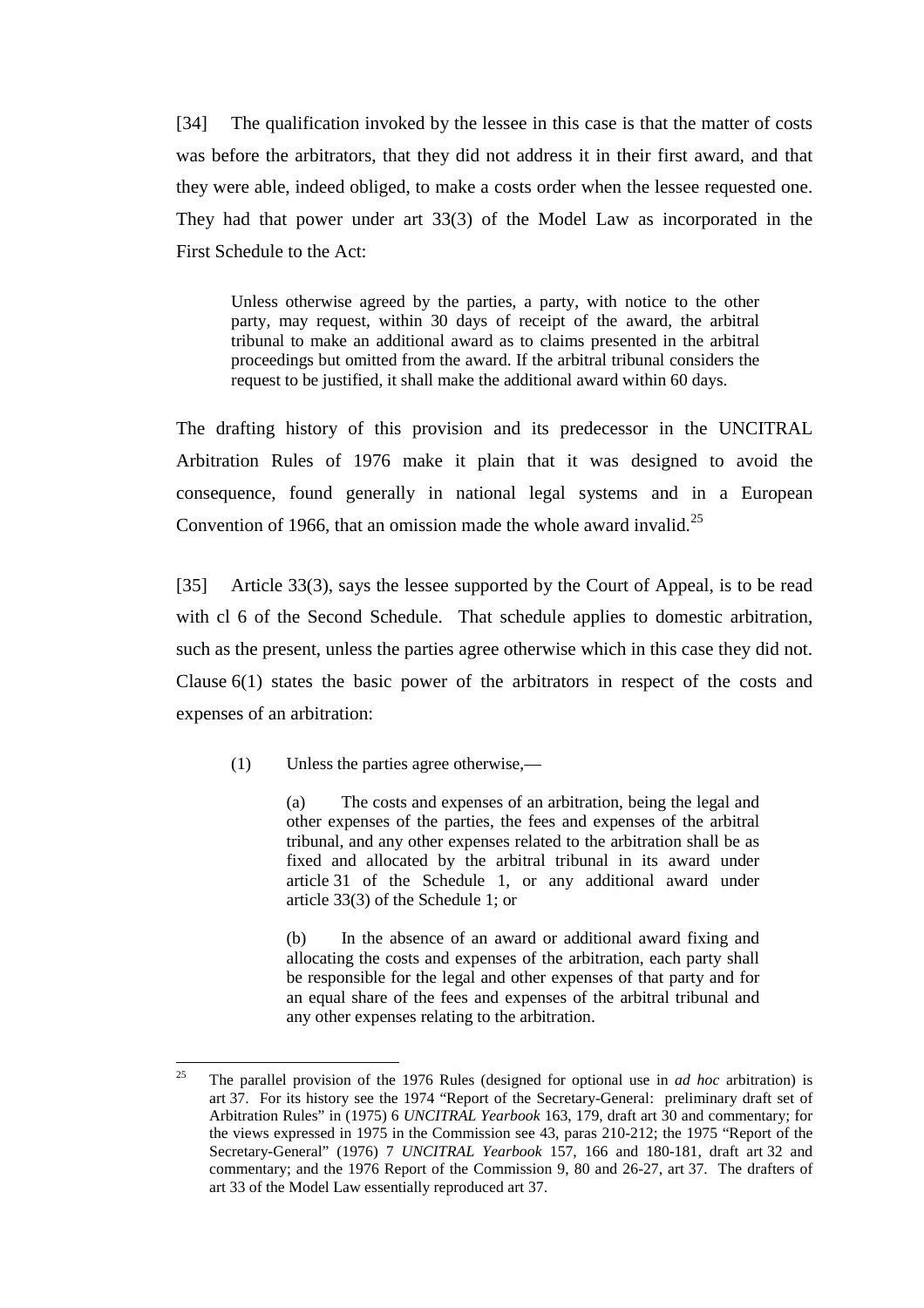[34] The qualification invoked by the lessee in this case is that the matter of costs was before the arbitrators, that they did not address it in their first award, and that they were able, indeed obliged, to make a costs order when the lessee requested one. They had that power under art 33(3) of the Model Law as incorporated in the First Schedule to the Act:

Unless otherwise agreed by the parties, a party, with notice to the other party, may request, within 30 days of receipt of the award, the arbitral tribunal to make an additional award as to claims presented in the arbitral proceedings but omitted from the award. If the arbitral tribunal considers the request to be justified, it shall make the additional award within 60 days.

The drafting history of this provision and its predecessor in the UNCITRAL Arbitration Rules of 1976 make it plain that it was designed to avoid the consequence, found generally in national legal systems and in a European Convention of 1966, that an omission made the whole award invalid.<sup>25</sup>

[35] Article 33(3), says the lessee supported by the Court of Appeal, is to be read with cl 6 of the Second Schedule. That schedule applies to domestic arbitration, such as the present, unless the parties agree otherwise which in this case they did not. Clause 6(1) states the basic power of the arbitrators in respect of the costs and expenses of an arbitration:

(1) Unless the parties agree otherwise,—

(a) The costs and expenses of an arbitration, being the legal and other expenses of the parties, the fees and expenses of the arbitral tribunal, and any other expenses related to the arbitration shall be as fixed and allocated by the arbitral tribunal in its award under article 31 of the Schedule 1, or any additional award under article 33(3) of the Schedule 1; or

(b) In the absence of an award or additional award fixing and allocating the costs and expenses of the arbitration, each party shall be responsible for the legal and other expenses of that party and for an equal share of the fees and expenses of the arbitral tribunal and any other expenses relating to the arbitration.

<sup>25</sup> 25 The parallel provision of the 1976 Rules (designed for optional use in *ad hoc* arbitration) is art 37. For its history see the 1974 "Report of the Secretary-General: preliminary draft set of Arbitration Rules" in (1975) 6 *UNCITRAL Yearbook* 163, 179, draft art 30 and commentary; for the views expressed in 1975 in the Commission see 43, paras 210-212; the 1975 "Report of the Secretary-General" (1976) 7 *UNCITRAL Yearbook* 157, 166 and 180-181, draft art 32 and commentary; and the 1976 Report of the Commission 9, 80 and 26-27, art 37. The drafters of art 33 of the Model Law essentially reproduced art 37.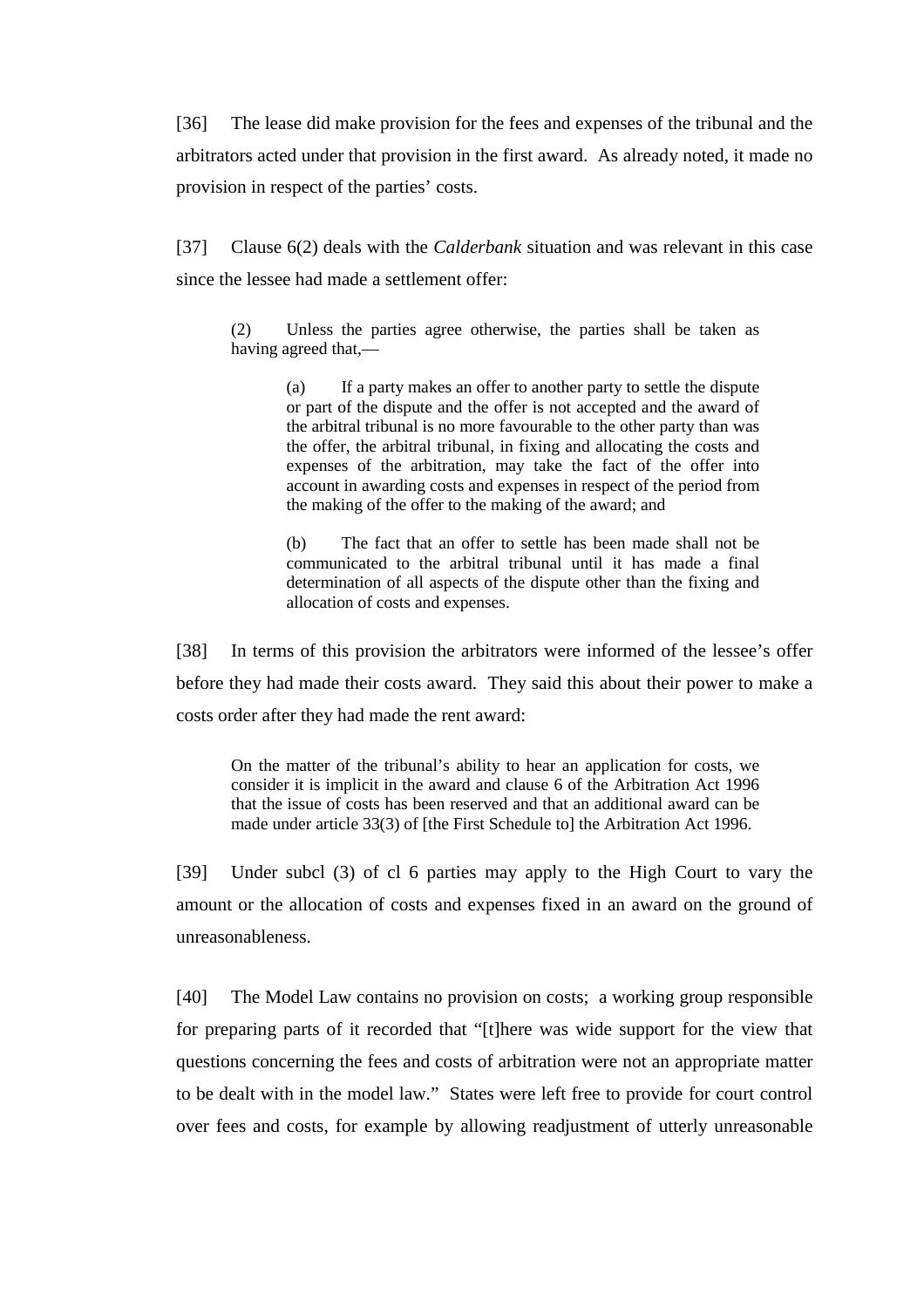[36] The lease did make provision for the fees and expenses of the tribunal and the arbitrators acted under that provision in the first award. As already noted, it made no provision in respect of the parties' costs.

[37] Clause 6(2) deals with the *Calderbank* situation and was relevant in this case since the lessee had made a settlement offer:

(2) Unless the parties agree otherwise, the parties shall be taken as having agreed that,—

> (a) If a party makes an offer to another party to settle the dispute or part of the dispute and the offer is not accepted and the award of the arbitral tribunal is no more favourable to the other party than was the offer, the arbitral tribunal, in fixing and allocating the costs and expenses of the arbitration, may take the fact of the offer into account in awarding costs and expenses in respect of the period from the making of the offer to the making of the award; and

> (b) The fact that an offer to settle has been made shall not be communicated to the arbitral tribunal until it has made a final determination of all aspects of the dispute other than the fixing and allocation of costs and expenses.

[38] In terms of this provision the arbitrators were informed of the lessee's offer before they had made their costs award. They said this about their power to make a costs order after they had made the rent award:

On the matter of the tribunal's ability to hear an application for costs, we consider it is implicit in the award and clause 6 of the Arbitration Act 1996 that the issue of costs has been reserved and that an additional award can be made under article 33(3) of [the First Schedule to] the Arbitration Act 1996.

[39] Under subcl (3) of cl 6 parties may apply to the High Court to vary the amount or the allocation of costs and expenses fixed in an award on the ground of unreasonableness.

[40] The Model Law contains no provision on costs; a working group responsible for preparing parts of it recorded that "[t]here was wide support for the view that questions concerning the fees and costs of arbitration were not an appropriate matter to be dealt with in the model law." States were left free to provide for court control over fees and costs, for example by allowing readjustment of utterly unreasonable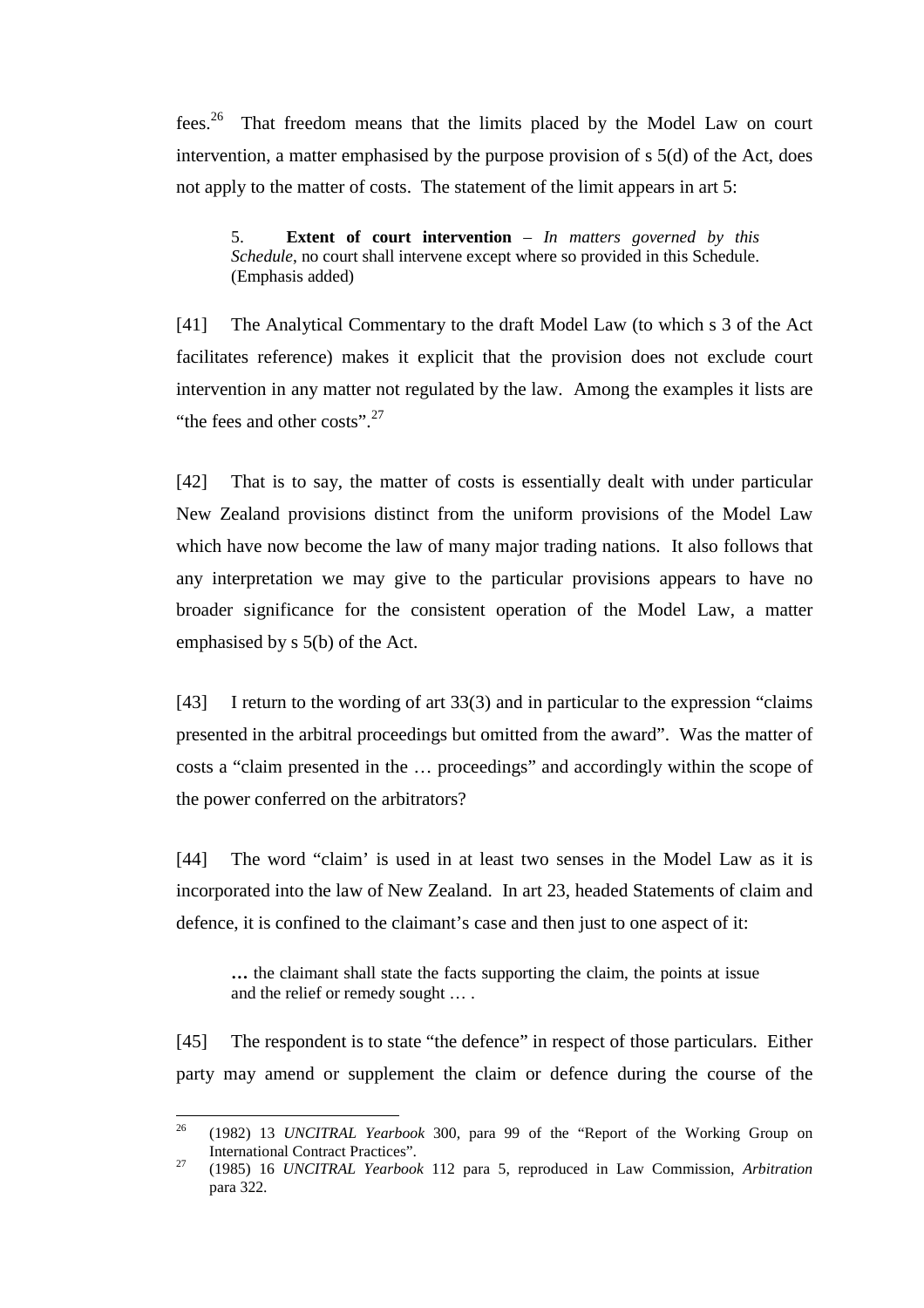fees.<sup>26</sup> That freedom means that the limits placed by the Model Law on court intervention, a matter emphasised by the purpose provision of s 5(d) of the Act, does not apply to the matter of costs. The statement of the limit appears in art 5:

5. **Extent of court intervention** – *In matters governed by this Schedule*, no court shall intervene except where so provided in this Schedule. (Emphasis added)

[41] The Analytical Commentary to the draft Model Law (to which s 3 of the Act facilitates reference) makes it explicit that the provision does not exclude court intervention in any matter not regulated by the law. Among the examples it lists are "the fees and other costs".<sup>27</sup>

[42] That is to say, the matter of costs is essentially dealt with under particular New Zealand provisions distinct from the uniform provisions of the Model Law which have now become the law of many major trading nations. It also follows that any interpretation we may give to the particular provisions appears to have no broader significance for the consistent operation of the Model Law, a matter emphasised by s 5(b) of the Act.

[43] I return to the wording of art 33(3) and in particular to the expression "claims presented in the arbitral proceedings but omitted from the award". Was the matter of costs a "claim presented in the … proceedings" and accordingly within the scope of the power conferred on the arbitrators?

[44] The word "claim' is used in at least two senses in the Model Law as it is incorporated into the law of New Zealand. In art 23, headed Statements of claim and defence, it is confined to the claimant's case and then just to one aspect of it:

**…** the claimant shall state the facts supporting the claim, the points at issue and the relief or remedy sought … .

[45] The respondent is to state "the defence" in respect of those particulars. Either party may amend or supplement the claim or defence during the course of the

<sup>26</sup> 26 (1982) 13 *UNCITRAL Yearbook* 300, para 99 of the "Report of the Working Group on International Contract Practices". 27 (1985) 16 *UNCITRAL Yearbook* 112 para 5, reproduced in Law Commission, *Arbitration*

para 322.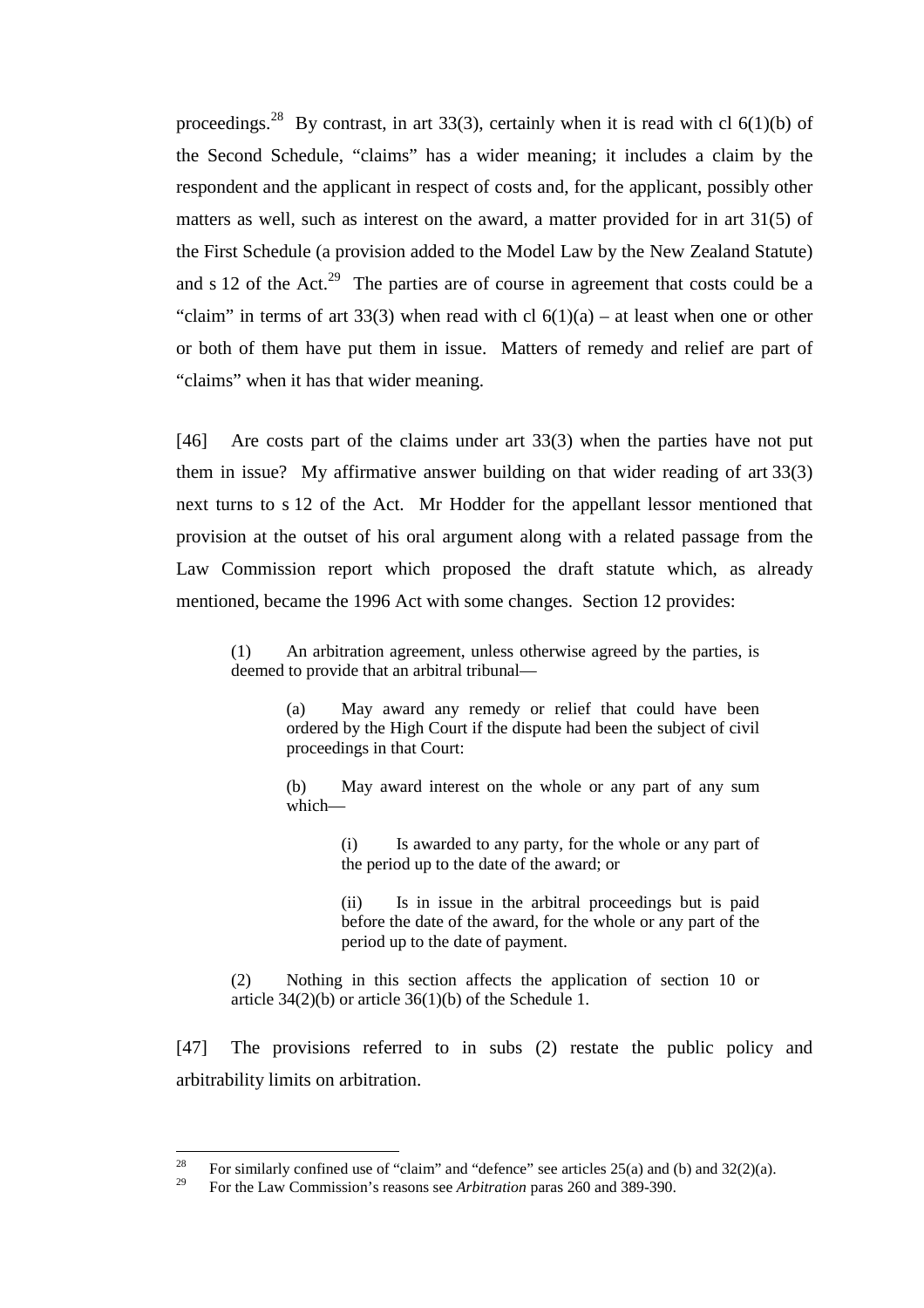proceedings.<sup>28</sup> By contrast, in art 33(3), certainly when it is read with cl 6(1)(b) of the Second Schedule, "claims" has a wider meaning; it includes a claim by the respondent and the applicant in respect of costs and, for the applicant, possibly other matters as well, such as interest on the award, a matter provided for in art 31(5) of the First Schedule (a provision added to the Model Law by the New Zealand Statute) and s 12 of the Act.<sup>29</sup> The parties are of course in agreement that costs could be a "claim" in terms of art 33(3) when read with cl  $6(1)(a)$  – at least when one or other or both of them have put them in issue. Matters of remedy and relief are part of "claims" when it has that wider meaning.

[46] Are costs part of the claims under art 33(3) when the parties have not put them in issue? My affirmative answer building on that wider reading of art 33(3) next turns to s 12 of the Act. Mr Hodder for the appellant lessor mentioned that provision at the outset of his oral argument along with a related passage from the Law Commission report which proposed the draft statute which, as already mentioned, became the 1996 Act with some changes. Section 12 provides:

(1) An arbitration agreement, unless otherwise agreed by the parties, is deemed to provide that an arbitral tribunal—

> (a) May award any remedy or relief that could have been ordered by the High Court if the dispute had been the subject of civil proceedings in that Court:

> (b) May award interest on the whole or any part of any sum which—

> > (i) Is awarded to any party, for the whole or any part of the period up to the date of the award; or

> > (ii) Is in issue in the arbitral proceedings but is paid before the date of the award, for the whole or any part of the period up to the date of payment.

(2) Nothing in this section affects the application of section 10 or article  $34(2)(b)$  or article  $36(1)(b)$  of the Schedule 1.

[47] The provisions referred to in subs (2) restate the public policy and arbitrability limits on arbitration.

 $28$ <sup>28</sup> For similarly confined use of "claim" and "defence" see articles 25(a) and (b) and 32(2)(a).<br><sup>29</sup> For the Law Commission's message are Arkitection perso 260 and 280, 200.

<sup>29</sup> For the Law Commission's reasons see *Arbitration* paras 260 and 389-390.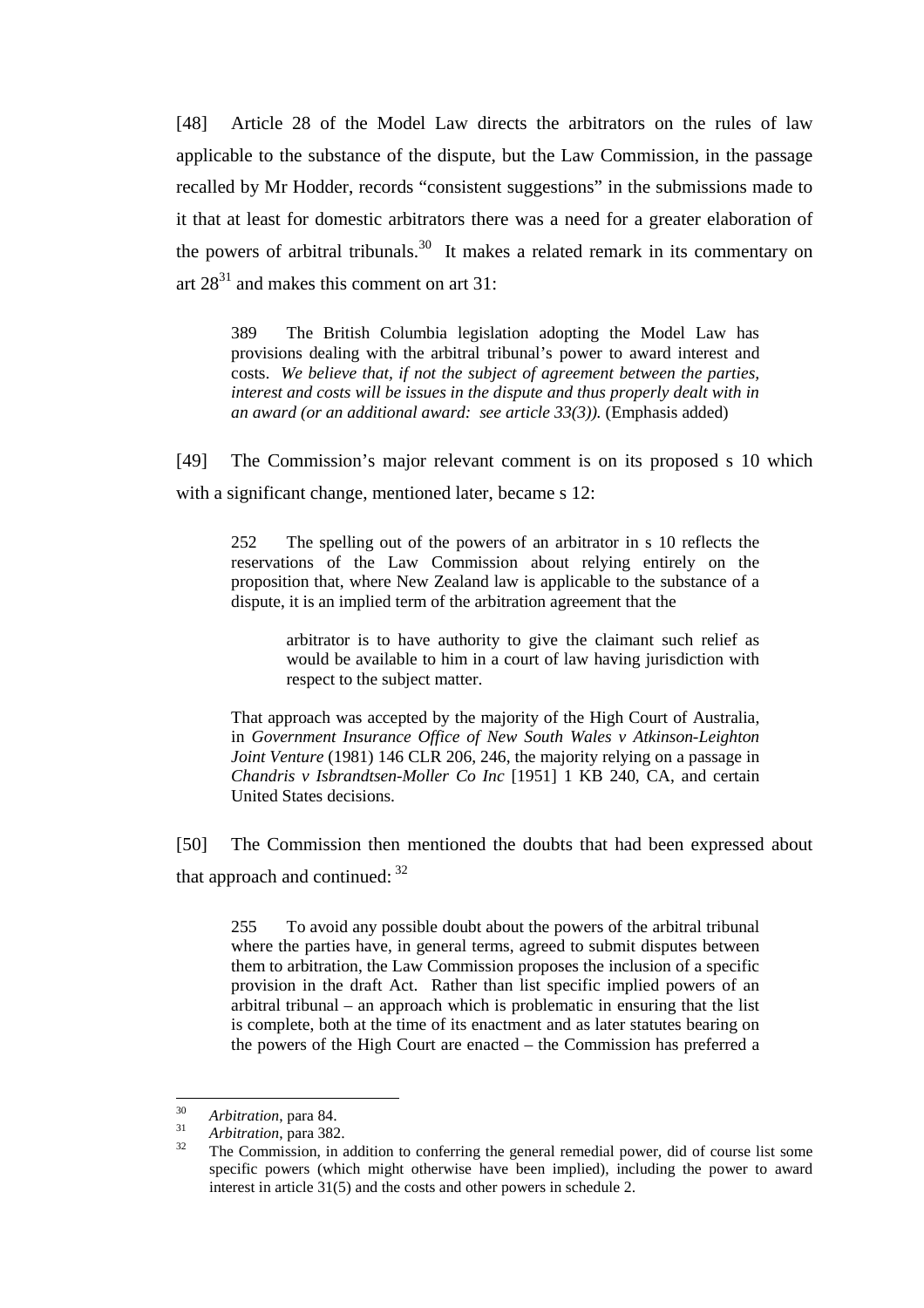[48] Article 28 of the Model Law directs the arbitrators on the rules of law applicable to the substance of the dispute, but the Law Commission, in the passage recalled by Mr Hodder, records "consistent suggestions" in the submissions made to it that at least for domestic arbitrators there was a need for a greater elaboration of the powers of arbitral tribunals.<sup>30</sup> It makes a related remark in its commentary on art  $28^{31}$  and makes this comment on art 31:

389 The British Columbia legislation adopting the Model Law has provisions dealing with the arbitral tribunal's power to award interest and costs. *We believe that, if not the subject of agreement between the parties, interest and costs will be issues in the dispute and thus properly dealt with in an award (or an additional award: see article 33(3)).* (Emphasis added)

[49] The Commission's major relevant comment is on its proposed s 10 which with a significant change, mentioned later, became s 12:

252 The spelling out of the powers of an arbitrator in s 10 reflects the reservations of the Law Commission about relying entirely on the proposition that, where New Zealand law is applicable to the substance of a dispute, it is an implied term of the arbitration agreement that the

> arbitrator is to have authority to give the claimant such relief as would be available to him in a court of law having jurisdiction with respect to the subject matter.

That approach was accepted by the majority of the High Court of Australia, in *Government Insurance Office of New South Wales v Atkinson-Leighton Joint Venture* (1981) 146 CLR 206, 246, the majority relying on a passage in *Chandris v Isbrandtsen-Moller Co Inc* [1951] 1 KB 240, CA, and certain United States decisions.

[50] The Commission then mentioned the doubts that had been expressed about that approach and continued:  $32$ 

255 To avoid any possible doubt about the powers of the arbitral tribunal where the parties have, in general terms, agreed to submit disputes between them to arbitration, the Law Commission proposes the inclusion of a specific provision in the draft Act. Rather than list specific implied powers of an arbitral tribunal – an approach which is problematic in ensuring that the list is complete, both at the time of its enactment and as later statutes bearing on the powers of the High Court are enacted – the Commission has preferred a

 $30<sup>2</sup>$ 

<sup>30</sup> *Arbitration*, para 84. <sup>31</sup> *Arbitration*, para 382. 32 The Commission, in addition to conferring the general remedial power, did of course list some specific powers (which might otherwise have been implied), including the power to award interest in article 31(5) and the costs and other powers in schedule 2.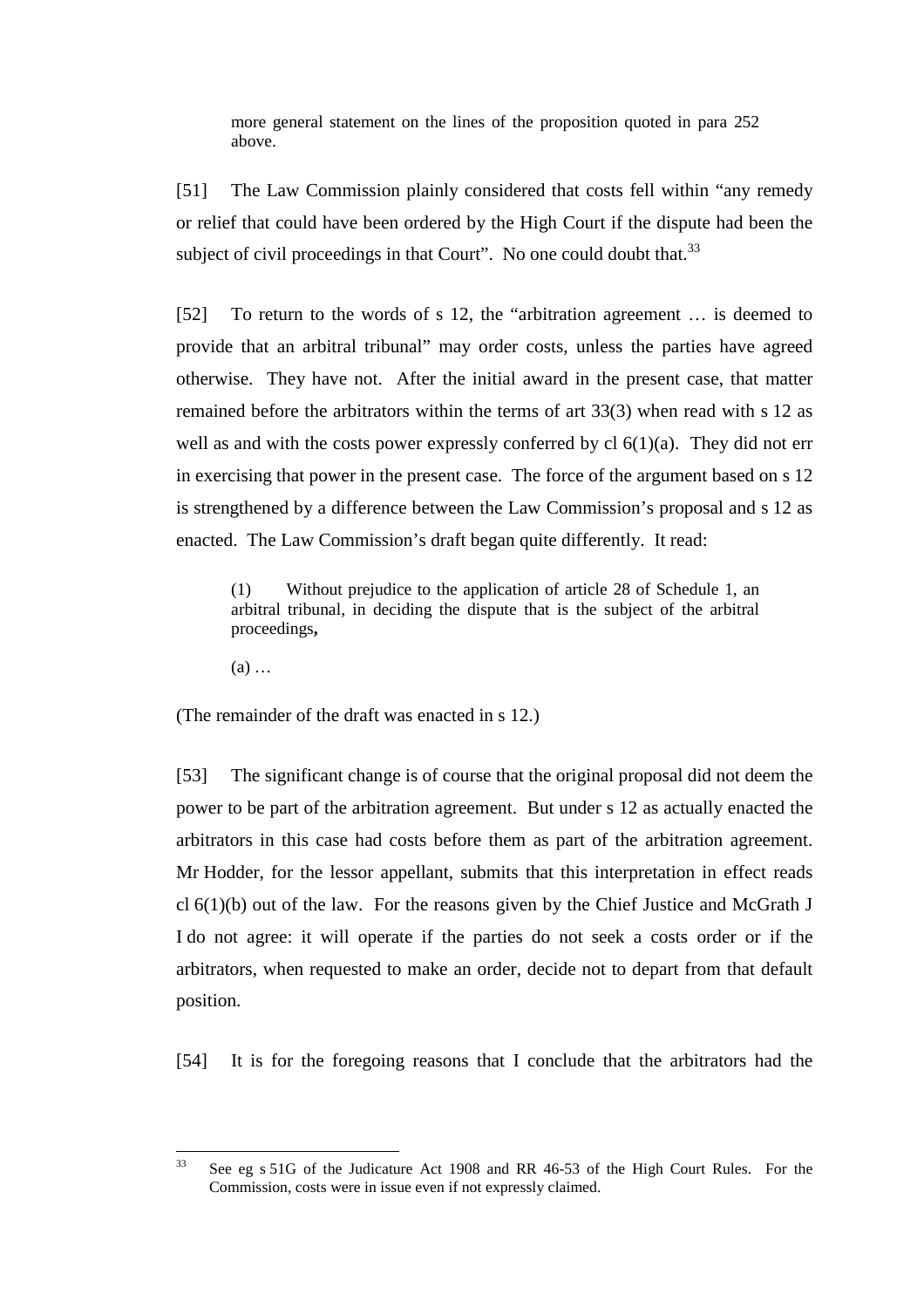more general statement on the lines of the proposition quoted in para 252 above.

[51] The Law Commission plainly considered that costs fell within "any remedy or relief that could have been ordered by the High Court if the dispute had been the subject of civil proceedings in that Court". No one could doubt that.<sup>33</sup>

[52] To return to the words of s 12, the "arbitration agreement … is deemed to provide that an arbitral tribunal" may order costs, unless the parties have agreed otherwise. They have not. After the initial award in the present case, that matter remained before the arbitrators within the terms of art 33(3) when read with s 12 as well as and with the costs power expressly conferred by  $cl 6(1)(a)$ . They did not err in exercising that power in the present case. The force of the argument based on s 12 is strengthened by a difference between the Law Commission's proposal and s 12 as enacted. The Law Commission's draft began quite differently. It read:

(1) Without prejudice to the application of article 28 of Schedule 1, an arbitral tribunal, in deciding the dispute that is the subject of the arbitral proceedings**,**

(a) …

(The remainder of the draft was enacted in s 12.)

[53] The significant change is of course that the original proposal did not deem the power to be part of the arbitration agreement. But under s 12 as actually enacted the arbitrators in this case had costs before them as part of the arbitration agreement. Mr Hodder, for the lessor appellant, submits that this interpretation in effect reads cl 6(1)(b) out of the law. For the reasons given by the Chief Justice and McGrath J I do not agree: it will operate if the parties do not seek a costs order or if the arbitrators, when requested to make an order, decide not to depart from that default position.

[54] It is for the foregoing reasons that I conclude that the arbitrators had the

 $\overline{33}$ See eg s 51G of the Judicature Act 1908 and RR 46-53 of the High Court Rules. For the Commission, costs were in issue even if not expressly claimed.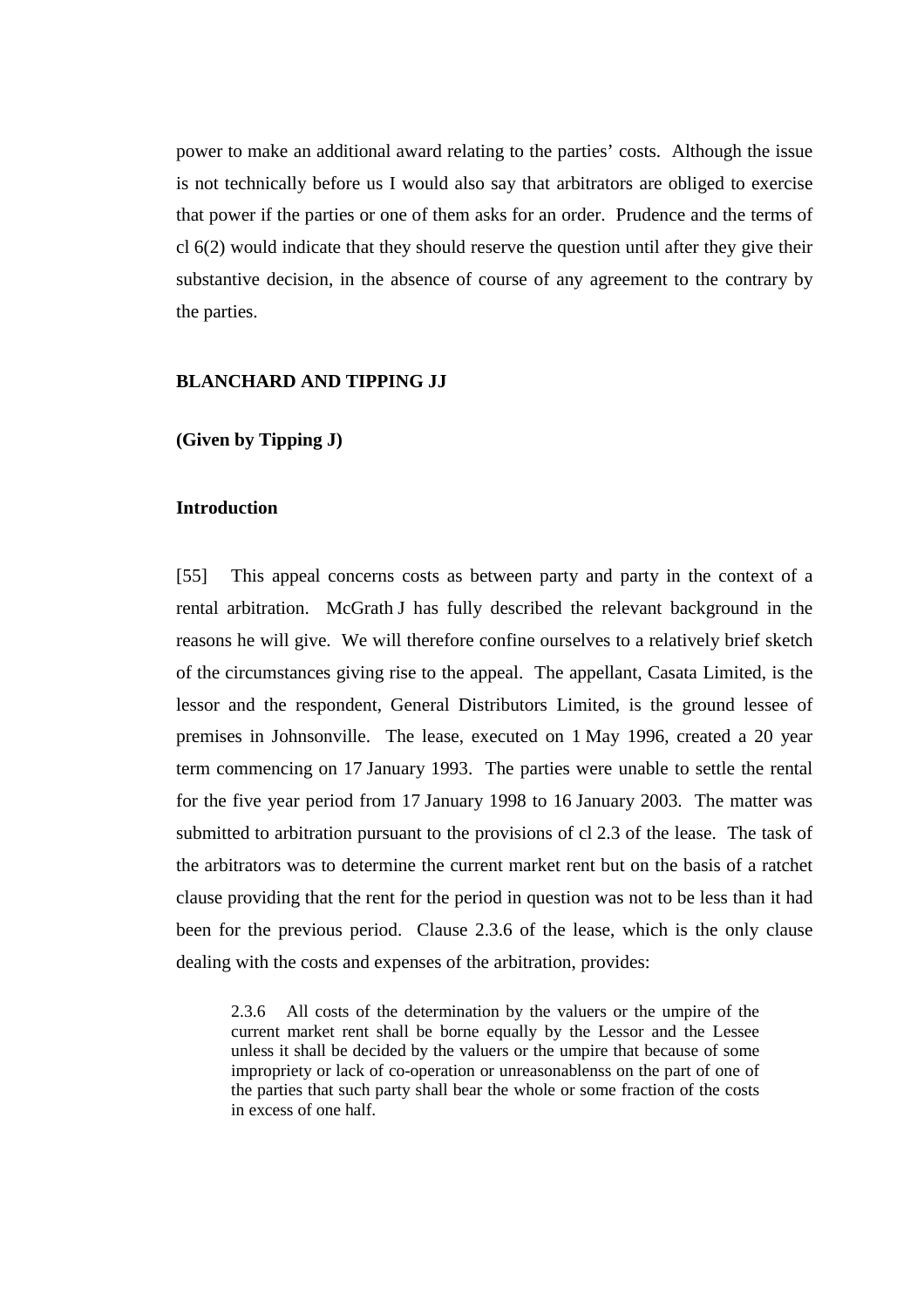power to make an additional award relating to the parties' costs. Although the issue is not technically before us I would also say that arbitrators are obliged to exercise that power if the parties or one of them asks for an order. Prudence and the terms of cl 6(2) would indicate that they should reserve the question until after they give their substantive decision, in the absence of course of any agreement to the contrary by the parties.

## **BLANCHARD AND TIPPING JJ**

**(Given by Tipping J)**

# **Introduction**

[55] This appeal concerns costs as between party and party in the context of a rental arbitration. McGrath J has fully described the relevant background in the reasons he will give. We will therefore confine ourselves to a relatively brief sketch of the circumstances giving rise to the appeal. The appellant, Casata Limited, is the lessor and the respondent, General Distributors Limited, is the ground lessee of premises in Johnsonville. The lease, executed on 1 May 1996, created a 20 year term commencing on 17 January 1993. The parties were unable to settle the rental for the five year period from 17 January 1998 to 16 January 2003. The matter was submitted to arbitration pursuant to the provisions of cl 2.3 of the lease. The task of the arbitrators was to determine the current market rent but on the basis of a ratchet clause providing that the rent for the period in question was not to be less than it had been for the previous period. Clause 2.3.6 of the lease, which is the only clause dealing with the costs and expenses of the arbitration, provides:

2.3.6 All costs of the determination by the valuers or the umpire of the current market rent shall be borne equally by the Lessor and the Lessee unless it shall be decided by the valuers or the umpire that because of some impropriety or lack of co-operation or unreasonablenss on the part of one of the parties that such party shall bear the whole or some fraction of the costs in excess of one half.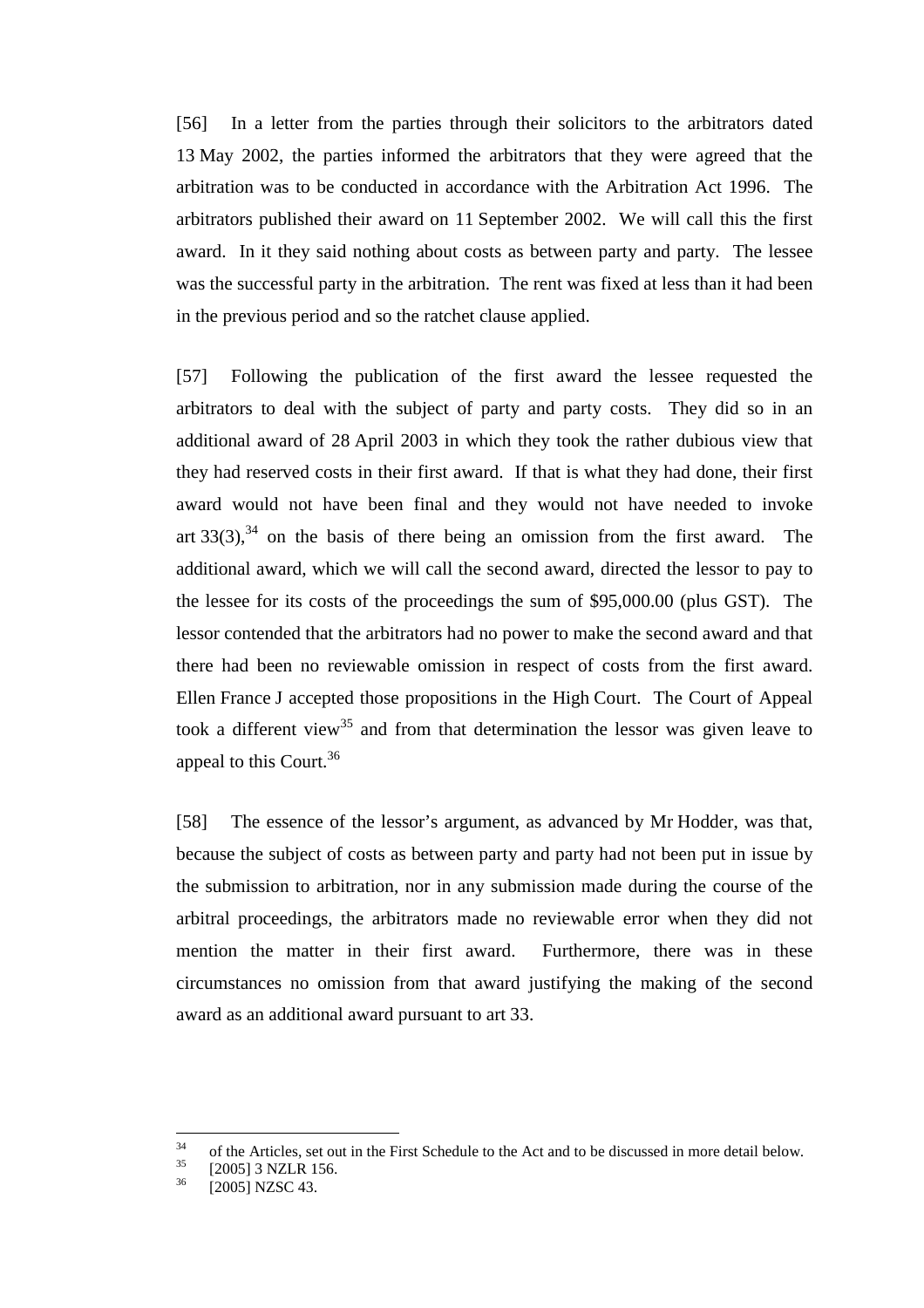[56] In a letter from the parties through their solicitors to the arbitrators dated 13 May 2002, the parties informed the arbitrators that they were agreed that the arbitration was to be conducted in accordance with the Arbitration Act 1996. The arbitrators published their award on 11 September 2002. We will call this the first award. In it they said nothing about costs as between party and party. The lessee was the successful party in the arbitration. The rent was fixed at less than it had been in the previous period and so the ratchet clause applied.

[57] Following the publication of the first award the lessee requested the arbitrators to deal with the subject of party and party costs. They did so in an additional award of 28 April 2003 in which they took the rather dubious view that they had reserved costs in their first award. If that is what they had done, their first award would not have been final and they would not have needed to invoke art  $33(3)$ ,  $34$  on the basis of there being an omission from the first award. The additional award, which we will call the second award, directed the lessor to pay to the lessee for its costs of the proceedings the sum of \$95,000.00 (plus GST). The lessor contended that the arbitrators had no power to make the second award and that there had been no reviewable omission in respect of costs from the first award. Ellen France J accepted those propositions in the High Court. The Court of Appeal took a different view<sup>35</sup> and from that determination the lessor was given leave to appeal to this Court.<sup>36</sup>

[58] The essence of the lessor's argument, as advanced by Mr Hodder, was that, because the subject of costs as between party and party had not been put in issue by the submission to arbitration, nor in any submission made during the course of the arbitral proceedings, the arbitrators made no reviewable error when they did not mention the matter in their first award. Furthermore, there was in these circumstances no omission from that award justifying the making of the second award as an additional award pursuant to art 33.

<sup>34</sup> <sup>34</sup> of the Articles, set out in the First Schedule to the Act and to be discussed in more detail below.

 $^{35}$  [2005] 3 NZLR 156.<br> $^{36}$  [2005] NZSC 42

 $\overline{2005}$ ] NZSC 43.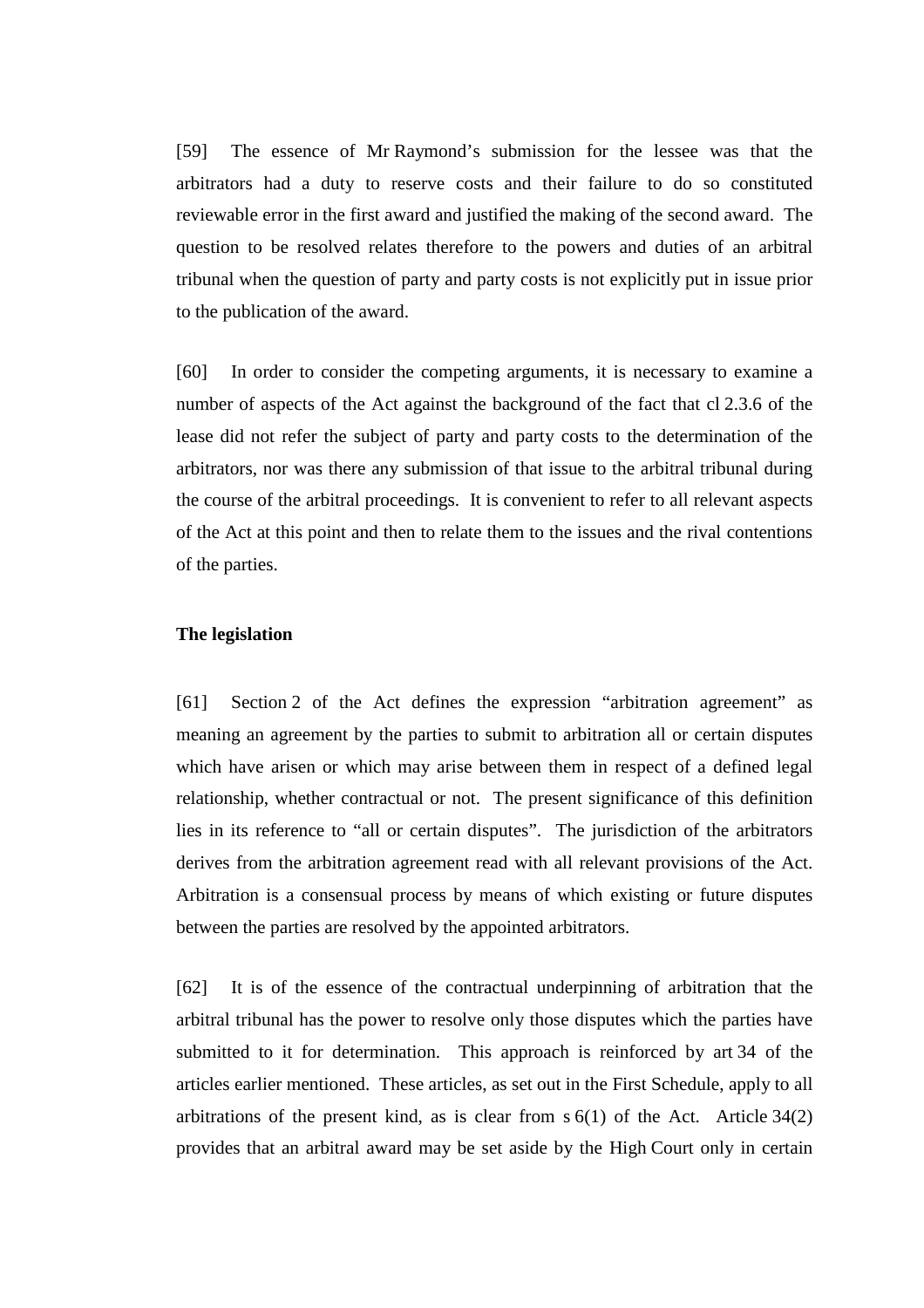[59] The essence of Mr Raymond's submission for the lessee was that the arbitrators had a duty to reserve costs and their failure to do so constituted reviewable error in the first award and justified the making of the second award. The question to be resolved relates therefore to the powers and duties of an arbitral tribunal when the question of party and party costs is not explicitly put in issue prior to the publication of the award.

[60] In order to consider the competing arguments, it is necessary to examine a number of aspects of the Act against the background of the fact that cl 2.3.6 of the lease did not refer the subject of party and party costs to the determination of the arbitrators, nor was there any submission of that issue to the arbitral tribunal during the course of the arbitral proceedings. It is convenient to refer to all relevant aspects of the Act at this point and then to relate them to the issues and the rival contentions of the parties.

### **The legislation**

[61] Section 2 of the Act defines the expression "arbitration agreement" as meaning an agreement by the parties to submit to arbitration all or certain disputes which have arisen or which may arise between them in respect of a defined legal relationship, whether contractual or not. The present significance of this definition lies in its reference to "all or certain disputes". The jurisdiction of the arbitrators derives from the arbitration agreement read with all relevant provisions of the Act. Arbitration is a consensual process by means of which existing or future disputes between the parties are resolved by the appointed arbitrators.

[62] It is of the essence of the contractual underpinning of arbitration that the arbitral tribunal has the power to resolve only those disputes which the parties have submitted to it for determination. This approach is reinforced by art 34 of the articles earlier mentioned. These articles, as set out in the First Schedule, apply to all arbitrations of the present kind, as is clear from  $s(1)$  of the Act. Article 34(2) provides that an arbitral award may be set aside by the High Court only in certain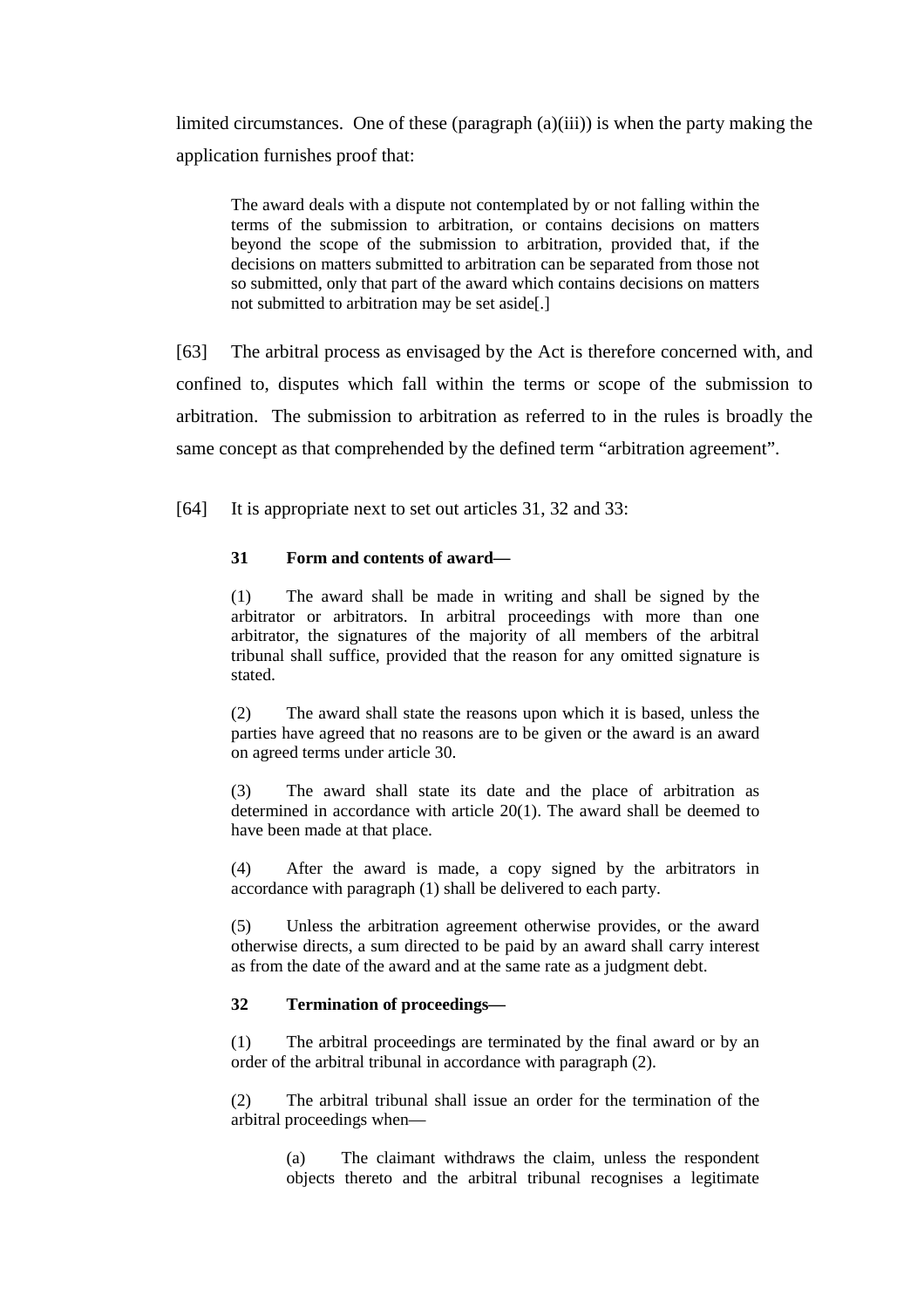limited circumstances. One of these (paragraph (a)(iii)) is when the party making the application furnishes proof that:

The award deals with a dispute not contemplated by or not falling within the terms of the submission to arbitration, or contains decisions on matters beyond the scope of the submission to arbitration, provided that, if the decisions on matters submitted to arbitration can be separated from those not so submitted, only that part of the award which contains decisions on matters not submitted to arbitration may be set aside[.]

[63] The arbitral process as envisaged by the Act is therefore concerned with, and confined to, disputes which fall within the terms or scope of the submission to arbitration. The submission to arbitration as referred to in the rules is broadly the same concept as that comprehended by the defined term "arbitration agreement".

[64] It is appropriate next to set out articles 31, 32 and 33:

## **31 Form and contents of award—**

(1) The award shall be made in writing and shall be signed by the arbitrator or arbitrators. In arbitral proceedings with more than one arbitrator, the signatures of the majority of all members of the arbitral tribunal shall suffice, provided that the reason for any omitted signature is stated.

(2) The award shall state the reasons upon which it is based, unless the parties have agreed that no reasons are to be given or the award is an award on agreed terms under article 30.

(3) The award shall state its date and the place of arbitration as determined in accordance with article 20(1). The award shall be deemed to have been made at that place.

(4) After the award is made, a copy signed by the arbitrators in accordance with paragraph (1) shall be delivered to each party.

(5) Unless the arbitration agreement otherwise provides, or the award otherwise directs, a sum directed to be paid by an award shall carry interest as from the date of the award and at the same rate as a judgment debt.

#### **32 Termination of proceedings—**

(1) The arbitral proceedings are terminated by the final award or by an order of the arbitral tribunal in accordance with paragraph (2).

(2) The arbitral tribunal shall issue an order for the termination of the arbitral proceedings when—

(a) The claimant withdraws the claim, unless the respondent objects thereto and the arbitral tribunal recognises a legitimate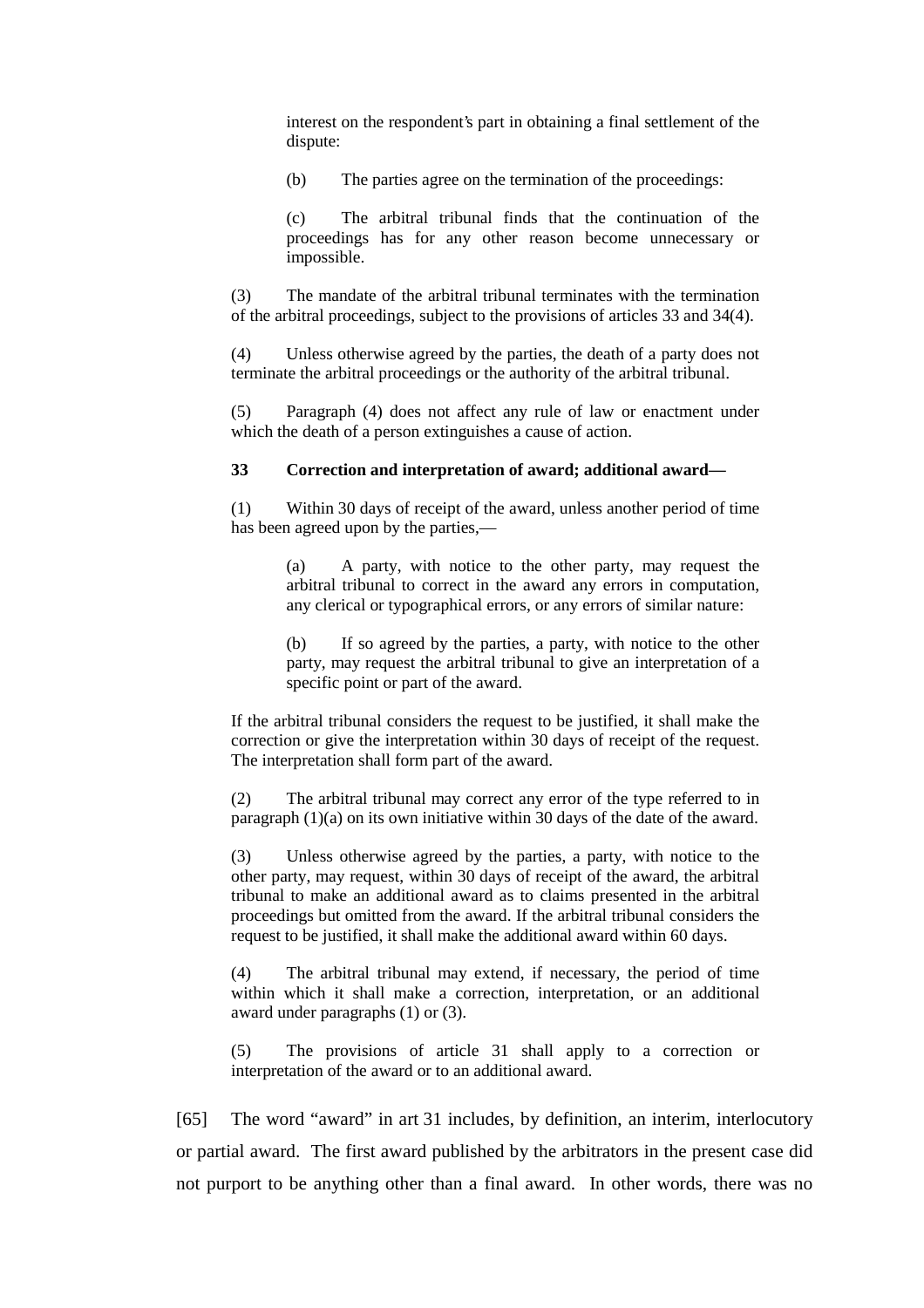interest on the respondent's part in obtaining a final settlement of the dispute:

(b) The parties agree on the termination of the proceedings:

(c) The arbitral tribunal finds that the continuation of the proceedings has for any other reason become unnecessary or impossible.

(3) The mandate of the arbitral tribunal terminates with the termination of the arbitral proceedings, subject to the provisions of articles 33 and 34(4).

(4) Unless otherwise agreed by the parties, the death of a party does not terminate the arbitral proceedings or the authority of the arbitral tribunal.

(5) Paragraph (4) does not affect any rule of law or enactment under which the death of a person extinguishes a cause of action.

#### **33 Correction and interpretation of award; additional award—**

(1) Within 30 days of receipt of the award, unless another period of time has been agreed upon by the parties,—

> (a) A party, with notice to the other party, may request the arbitral tribunal to correct in the award any errors in computation, any clerical or typographical errors, or any errors of similar nature:

> (b) If so agreed by the parties, a party, with notice to the other party, may request the arbitral tribunal to give an interpretation of a specific point or part of the award.

If the arbitral tribunal considers the request to be justified, it shall make the correction or give the interpretation within 30 days of receipt of the request. The interpretation shall form part of the award.

(2) The arbitral tribunal may correct any error of the type referred to in paragraph (1)(a) on its own initiative within 30 days of the date of the award.

(3) Unless otherwise agreed by the parties, a party, with notice to the other party, may request, within 30 days of receipt of the award, the arbitral tribunal to make an additional award as to claims presented in the arbitral proceedings but omitted from the award. If the arbitral tribunal considers the request to be justified, it shall make the additional award within 60 days.

(4) The arbitral tribunal may extend, if necessary, the period of time within which it shall make a correction, interpretation, or an additional award under paragraphs (1) or (3).

(5) The provisions of article 31 shall apply to a correction or interpretation of the award or to an additional award.

[65] The word "award" in art 31 includes, by definition, an interim, interlocutory or partial award. The first award published by the arbitrators in the present case did not purport to be anything other than a final award. In other words, there was no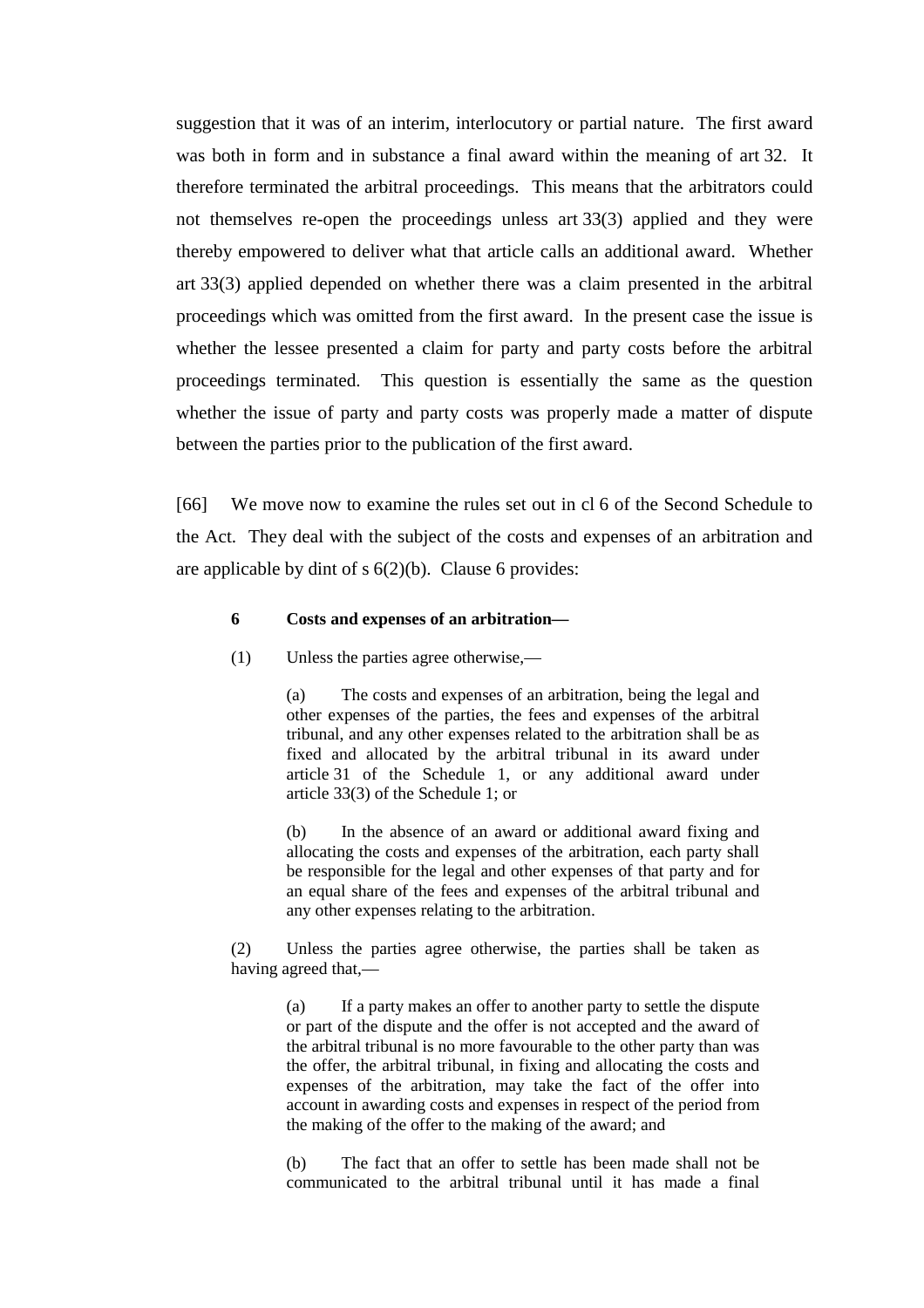suggestion that it was of an interim, interlocutory or partial nature. The first award was both in form and in substance a final award within the meaning of art 32. It therefore terminated the arbitral proceedings. This means that the arbitrators could not themselves re-open the proceedings unless art 33(3) applied and they were thereby empowered to deliver what that article calls an additional award. Whether art 33(3) applied depended on whether there was a claim presented in the arbitral proceedings which was omitted from the first award. In the present case the issue is whether the lessee presented a claim for party and party costs before the arbitral proceedings terminated. This question is essentially the same as the question whether the issue of party and party costs was properly made a matter of dispute between the parties prior to the publication of the first award.

[66] We move now to examine the rules set out in cl 6 of the Second Schedule to the Act. They deal with the subject of the costs and expenses of an arbitration and are applicable by dint of  $s$   $6(2)(b)$ . Clause 6 provides:

#### **6 Costs and expenses of an arbitration—**

(1) Unless the parties agree otherwise,—

(a) The costs and expenses of an arbitration, being the legal and other expenses of the parties, the fees and expenses of the arbitral tribunal, and any other expenses related to the arbitration shall be as fixed and allocated by the arbitral tribunal in its award under article 31 of the Schedule 1, or any additional award under article 33(3) of the Schedule 1; or

(b) In the absence of an award or additional award fixing and allocating the costs and expenses of the arbitration, each party shall be responsible for the legal and other expenses of that party and for an equal share of the fees and expenses of the arbitral tribunal and any other expenses relating to the arbitration.

(2) Unless the parties agree otherwise, the parties shall be taken as having agreed that,—

> (a) If a party makes an offer to another party to settle the dispute or part of the dispute and the offer is not accepted and the award of the arbitral tribunal is no more favourable to the other party than was the offer, the arbitral tribunal, in fixing and allocating the costs and expenses of the arbitration, may take the fact of the offer into account in awarding costs and expenses in respect of the period from the making of the offer to the making of the award; and

> (b) The fact that an offer to settle has been made shall not be communicated to the arbitral tribunal until it has made a final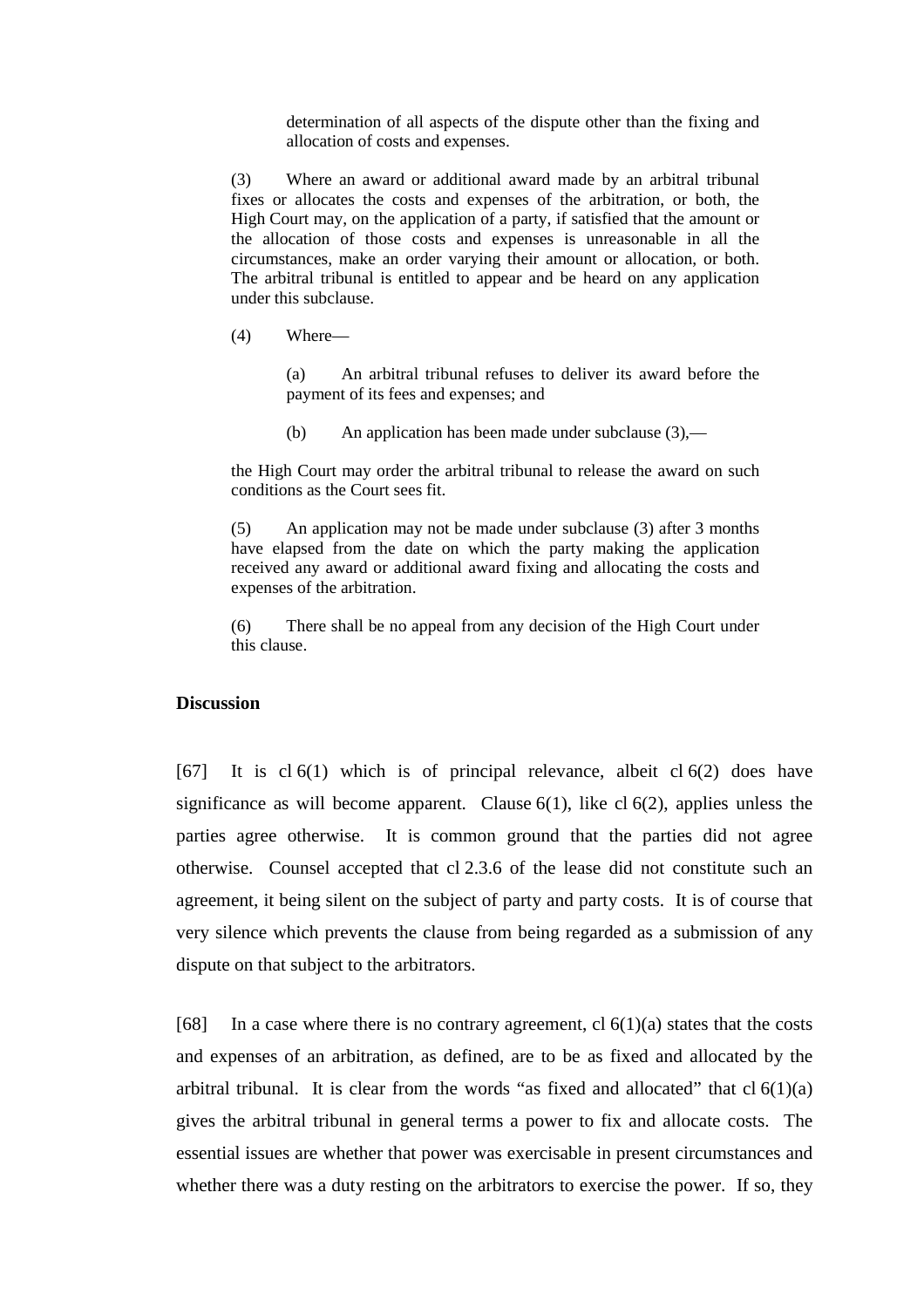determination of all aspects of the dispute other than the fixing and allocation of costs and expenses.

(3) Where an award or additional award made by an arbitral tribunal fixes or allocates the costs and expenses of the arbitration, or both, the High Court may, on the application of a party, if satisfied that the amount or the allocation of those costs and expenses is unreasonable in all the circumstances, make an order varying their amount or allocation, or both. The arbitral tribunal is entitled to appear and be heard on any application under this subclause.

(4) Where—

(a) An arbitral tribunal refuses to deliver its award before the payment of its fees and expenses; and

(b) An application has been made under subclause (3),—

the High Court may order the arbitral tribunal to release the award on such conditions as the Court sees fit.

(5) An application may not be made under subclause (3) after 3 months have elapsed from the date on which the party making the application received any award or additional award fixing and allocating the costs and expenses of the arbitration.

(6) There shall be no appeal from any decision of the High Court under this clause.

### **Discussion**

[67] It is  $cl 6(1)$  which is of principal relevance, albeit  $cl 6(2)$  does have significance as will become apparent. Clause  $6(1)$ , like cl  $6(2)$ , applies unless the parties agree otherwise. It is common ground that the parties did not agree otherwise. Counsel accepted that cl 2.3.6 of the lease did not constitute such an agreement, it being silent on the subject of party and party costs. It is of course that very silence which prevents the clause from being regarded as a submission of any dispute on that subject to the arbitrators.

[68] In a case where there is no contrary agreement, cl  $6(1)(a)$  states that the costs and expenses of an arbitration, as defined, are to be as fixed and allocated by the arbitral tribunal. It is clear from the words "as fixed and allocated" that  $cl 6(1)(a)$ gives the arbitral tribunal in general terms a power to fix and allocate costs. The essential issues are whether that power was exercisable in present circumstances and whether there was a duty resting on the arbitrators to exercise the power. If so, they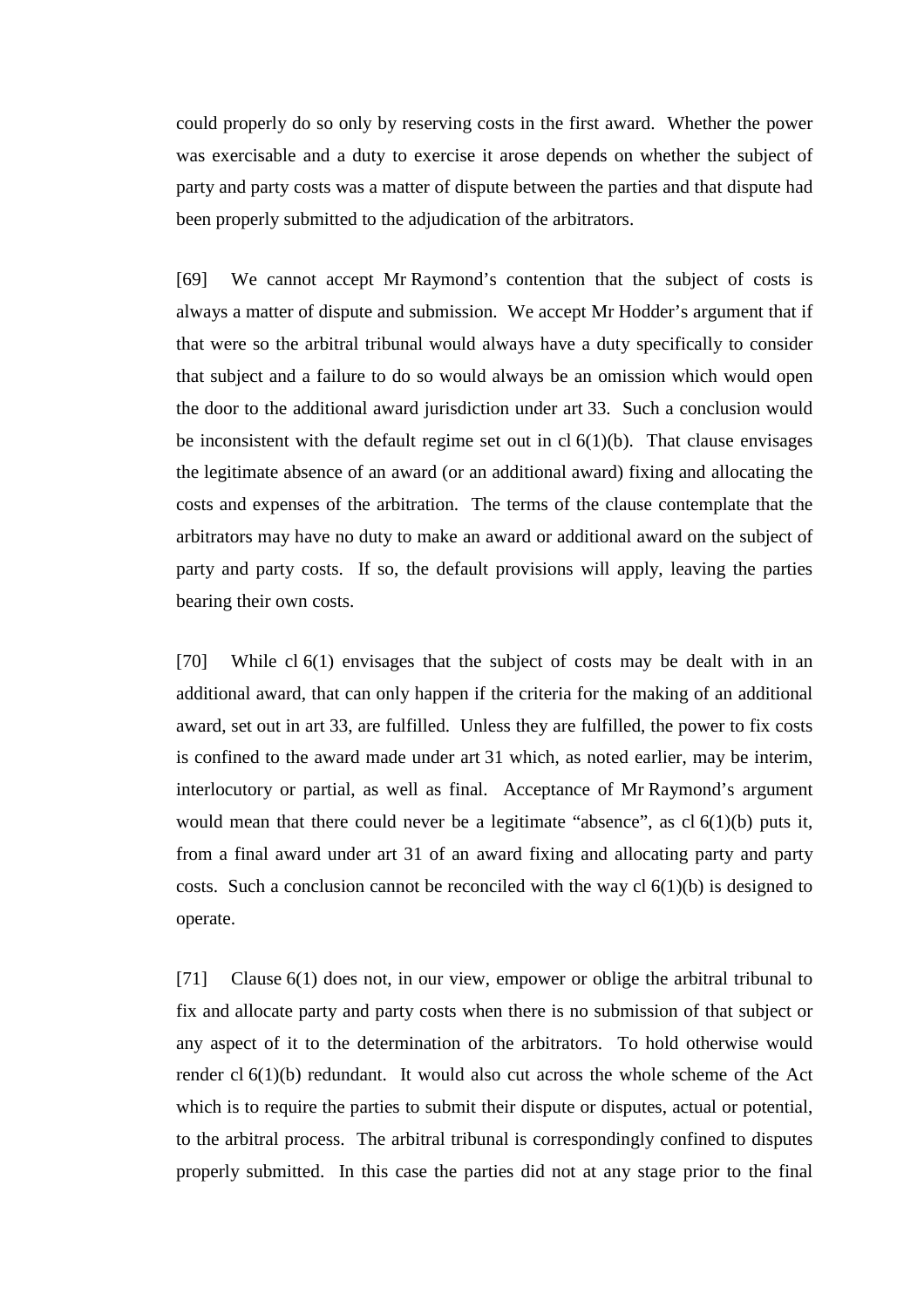could properly do so only by reserving costs in the first award. Whether the power was exercisable and a duty to exercise it arose depends on whether the subject of party and party costs was a matter of dispute between the parties and that dispute had been properly submitted to the adjudication of the arbitrators.

[69] We cannot accept Mr Raymond's contention that the subject of costs is always a matter of dispute and submission. We accept Mr Hodder's argument that if that were so the arbitral tribunal would always have a duty specifically to consider that subject and a failure to do so would always be an omission which would open the door to the additional award jurisdiction under art 33. Such a conclusion would be inconsistent with the default regime set out in  $cl 6(1)(b)$ . That clause envisages the legitimate absence of an award (or an additional award) fixing and allocating the costs and expenses of the arbitration. The terms of the clause contemplate that the arbitrators may have no duty to make an award or additional award on the subject of party and party costs. If so, the default provisions will apply, leaving the parties bearing their own costs.

[70] While cl 6(1) envisages that the subject of costs may be dealt with in an additional award, that can only happen if the criteria for the making of an additional award, set out in art 33, are fulfilled. Unless they are fulfilled, the power to fix costs is confined to the award made under art 31 which, as noted earlier, may be interim, interlocutory or partial, as well as final. Acceptance of Mr Raymond's argument would mean that there could never be a legitimate "absence", as cl 6(1)(b) puts it, from a final award under art 31 of an award fixing and allocating party and party costs. Such a conclusion cannot be reconciled with the way  $cl 6(1)(b)$  is designed to operate.

[71] Clause 6(1) does not, in our view, empower or oblige the arbitral tribunal to fix and allocate party and party costs when there is no submission of that subject or any aspect of it to the determination of the arbitrators. To hold otherwise would render cl 6(1)(b) redundant. It would also cut across the whole scheme of the Act which is to require the parties to submit their dispute or disputes, actual or potential, to the arbitral process. The arbitral tribunal is correspondingly confined to disputes properly submitted. In this case the parties did not at any stage prior to the final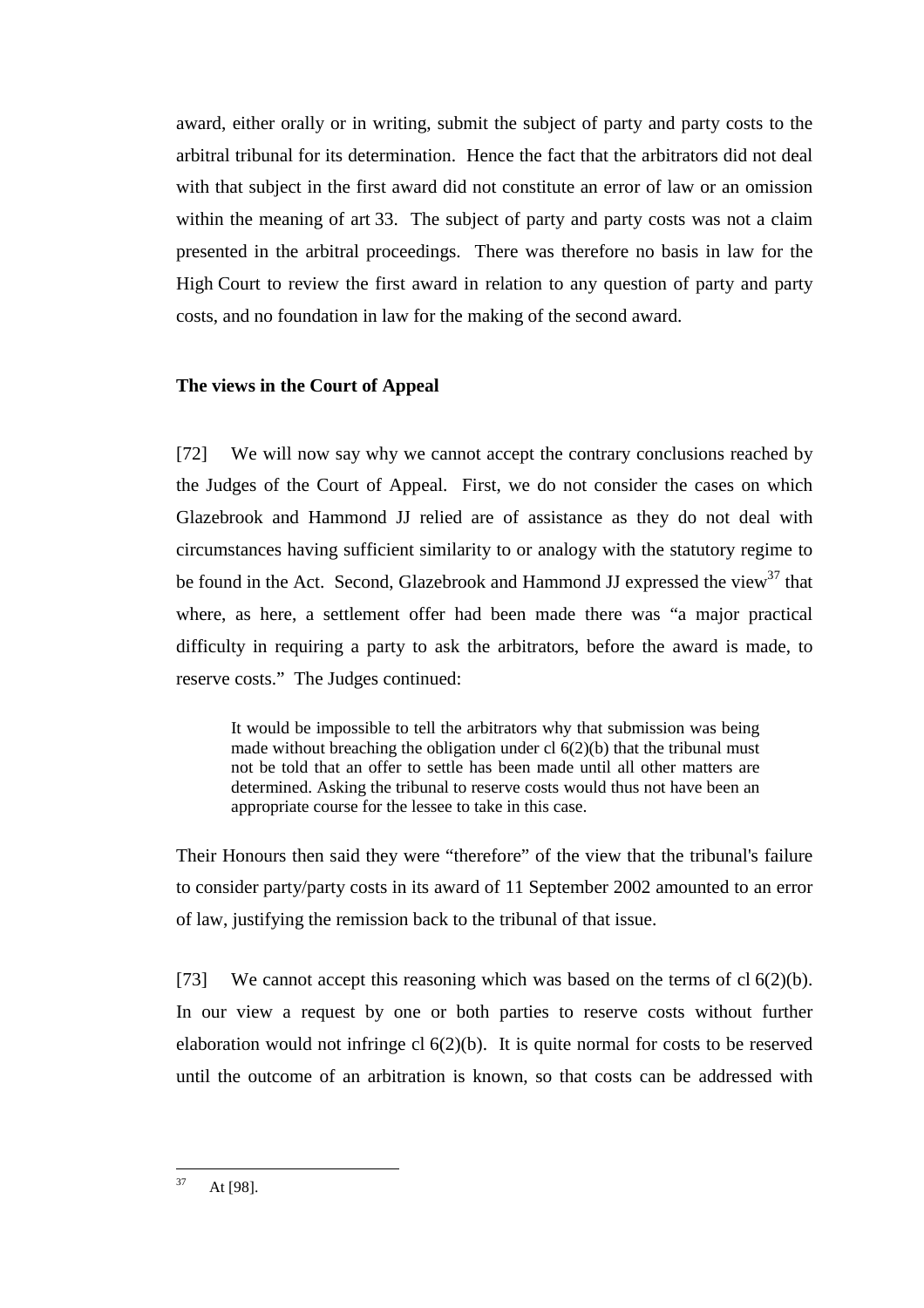award, either orally or in writing, submit the subject of party and party costs to the arbitral tribunal for its determination. Hence the fact that the arbitrators did not deal with that subject in the first award did not constitute an error of law or an omission within the meaning of art 33. The subject of party and party costs was not a claim presented in the arbitral proceedings. There was therefore no basis in law for the High Court to review the first award in relation to any question of party and party costs, and no foundation in law for the making of the second award.

## **The views in the Court of Appeal**

[72] We will now say why we cannot accept the contrary conclusions reached by the Judges of the Court of Appeal. First, we do not consider the cases on which Glazebrook and Hammond JJ relied are of assistance as they do not deal with circumstances having sufficient similarity to or analogy with the statutory regime to be found in the Act. Second, Glazebrook and Hammond JJ expressed the view<sup>37</sup> that where, as here, a settlement offer had been made there was "a major practical difficulty in requiring a party to ask the arbitrators, before the award is made, to reserve costs." The Judges continued:

It would be impossible to tell the arbitrators why that submission was being made without breaching the obligation under cl  $6(2)(b)$  that the tribunal must not be told that an offer to settle has been made until all other matters are determined. Asking the tribunal to reserve costs would thus not have been an appropriate course for the lessee to take in this case.

Their Honours then said they were "therefore" of the view that the tribunal's failure to consider party/party costs in its award of 11 September 2002 amounted to an error of law, justifying the remission back to the tribunal of that issue.

[73] We cannot accept this reasoning which was based on the terms of cl  $6(2)(b)$ . In our view a request by one or both parties to reserve costs without further elaboration would not infringe cl 6(2)(b). It is quite normal for costs to be reserved until the outcome of an arbitration is known, so that costs can be addressed with

 $37$ At [98].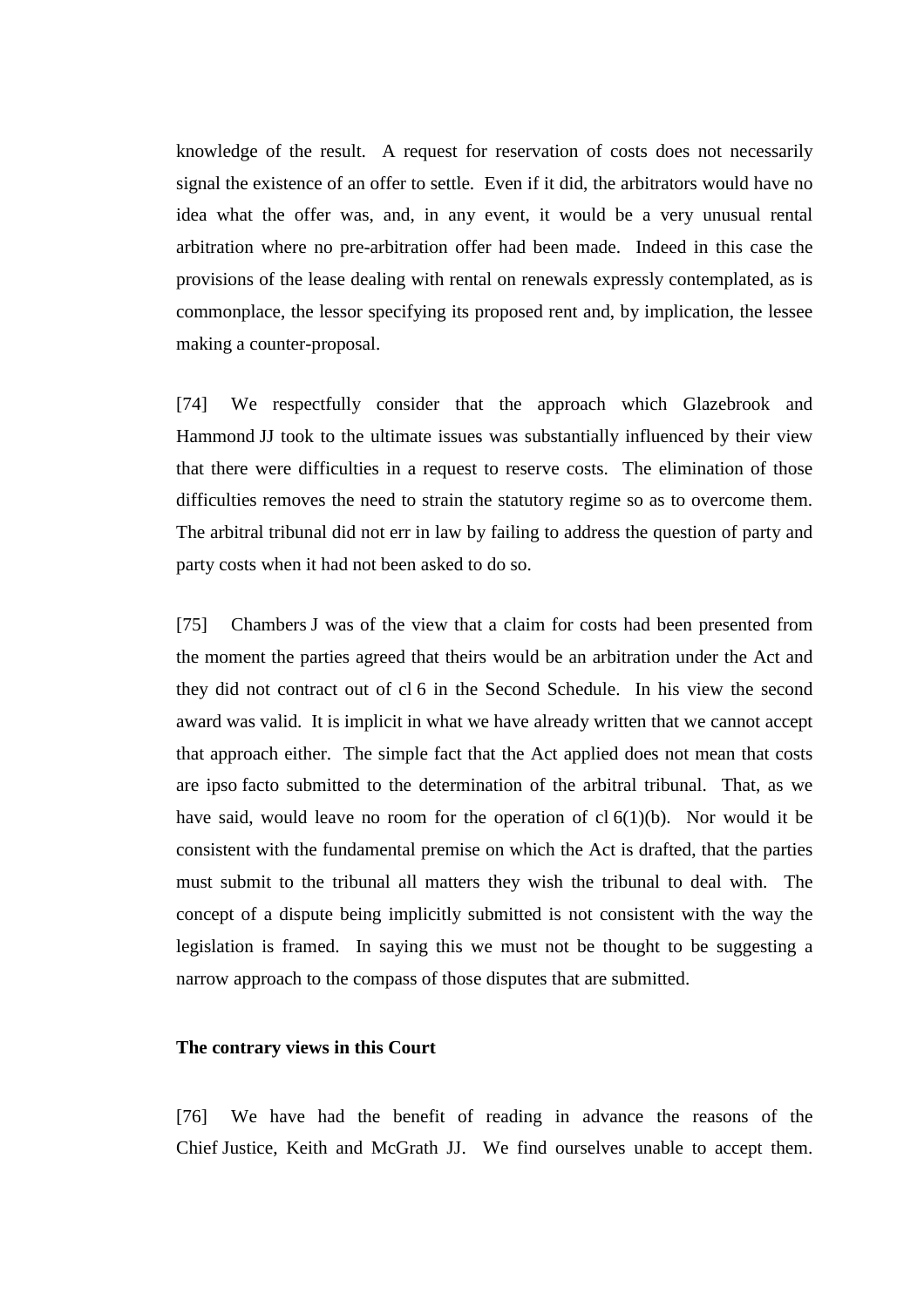knowledge of the result. A request for reservation of costs does not necessarily signal the existence of an offer to settle. Even if it did, the arbitrators would have no idea what the offer was, and, in any event, it would be a very unusual rental arbitration where no pre-arbitration offer had been made. Indeed in this case the provisions of the lease dealing with rental on renewals expressly contemplated, as is commonplace, the lessor specifying its proposed rent and, by implication, the lessee making a counter-proposal.

[74] We respectfully consider that the approach which Glazebrook and Hammond JJ took to the ultimate issues was substantially influenced by their view that there were difficulties in a request to reserve costs. The elimination of those difficulties removes the need to strain the statutory regime so as to overcome them. The arbitral tribunal did not err in law by failing to address the question of party and party costs when it had not been asked to do so.

[75] Chambers J was of the view that a claim for costs had been presented from the moment the parties agreed that theirs would be an arbitration under the Act and they did not contract out of cl 6 in the Second Schedule. In his view the second award was valid. It is implicit in what we have already written that we cannot accept that approach either. The simple fact that the Act applied does not mean that costs are ipso facto submitted to the determination of the arbitral tribunal. That, as we have said, would leave no room for the operation of  $cl 6(1)(b)$ . Nor would it be consistent with the fundamental premise on which the Act is drafted, that the parties must submit to the tribunal all matters they wish the tribunal to deal with. The concept of a dispute being implicitly submitted is not consistent with the way the legislation is framed. In saying this we must not be thought to be suggesting a narrow approach to the compass of those disputes that are submitted.

# **The contrary views in this Court**

[76] We have had the benefit of reading in advance the reasons of the Chief Justice, Keith and McGrath JJ. We find ourselves unable to accept them.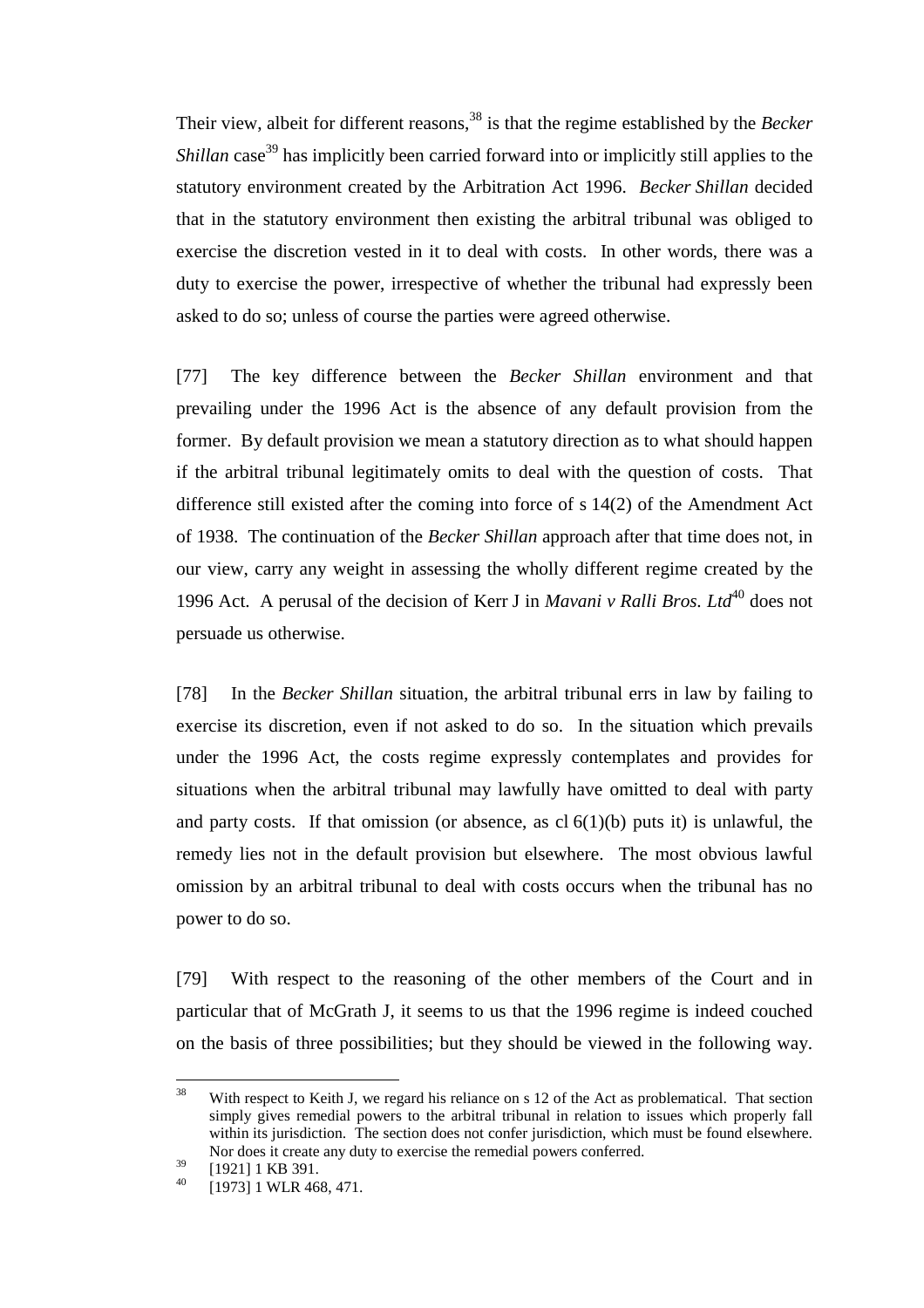Their view, albeit for different reasons,<sup>38</sup> is that the regime established by the *Becker Shillan* case<sup>39</sup> has implicitly been carried forward into or implicitly still applies to the statutory environment created by the Arbitration Act 1996. *Becker Shillan* decided that in the statutory environment then existing the arbitral tribunal was obliged to exercise the discretion vested in it to deal with costs. In other words, there was a duty to exercise the power, irrespective of whether the tribunal had expressly been asked to do so; unless of course the parties were agreed otherwise.

[77] The key difference between the *Becker Shillan* environment and that prevailing under the 1996 Act is the absence of any default provision from the former. By default provision we mean a statutory direction as to what should happen if the arbitral tribunal legitimately omits to deal with the question of costs. That difference still existed after the coming into force of s 14(2) of the Amendment Act of 1938. The continuation of the *Becker Shillan* approach after that time does not, in our view, carry any weight in assessing the wholly different regime created by the 1996 Act. A perusal of the decision of Kerr J in *Mavani v Ralli Bros. Ltd*<sup>40</sup> does not persuade us otherwise.

[78] In the *Becker Shillan* situation, the arbitral tribunal errs in law by failing to exercise its discretion, even if not asked to do so. In the situation which prevails under the 1996 Act, the costs regime expressly contemplates and provides for situations when the arbitral tribunal may lawfully have omitted to deal with party and party costs. If that omission (or absence, as  $cl 6(1)(b)$  puts it) is unlawful, the remedy lies not in the default provision but elsewhere. The most obvious lawful omission by an arbitral tribunal to deal with costs occurs when the tribunal has no power to do so.

[79] With respect to the reasoning of the other members of the Court and in particular that of McGrath J, it seems to us that the 1996 regime is indeed couched on the basis of three possibilities; but they should be viewed in the following way.

 $38$ With respect to Keith J, we regard his reliance on s 12 of the Act as problematical. That section simply gives remedial powers to the arbitral tribunal in relation to issues which properly fall within its jurisdiction. The section does not confer jurisdiction, which must be found elsewhere. Nor does it create any duty to exercise the remedial powers conferred.

 $^{39}$  [1921] 1 KB 391.

<sup>[1973] 1</sup> WLR 468, 471.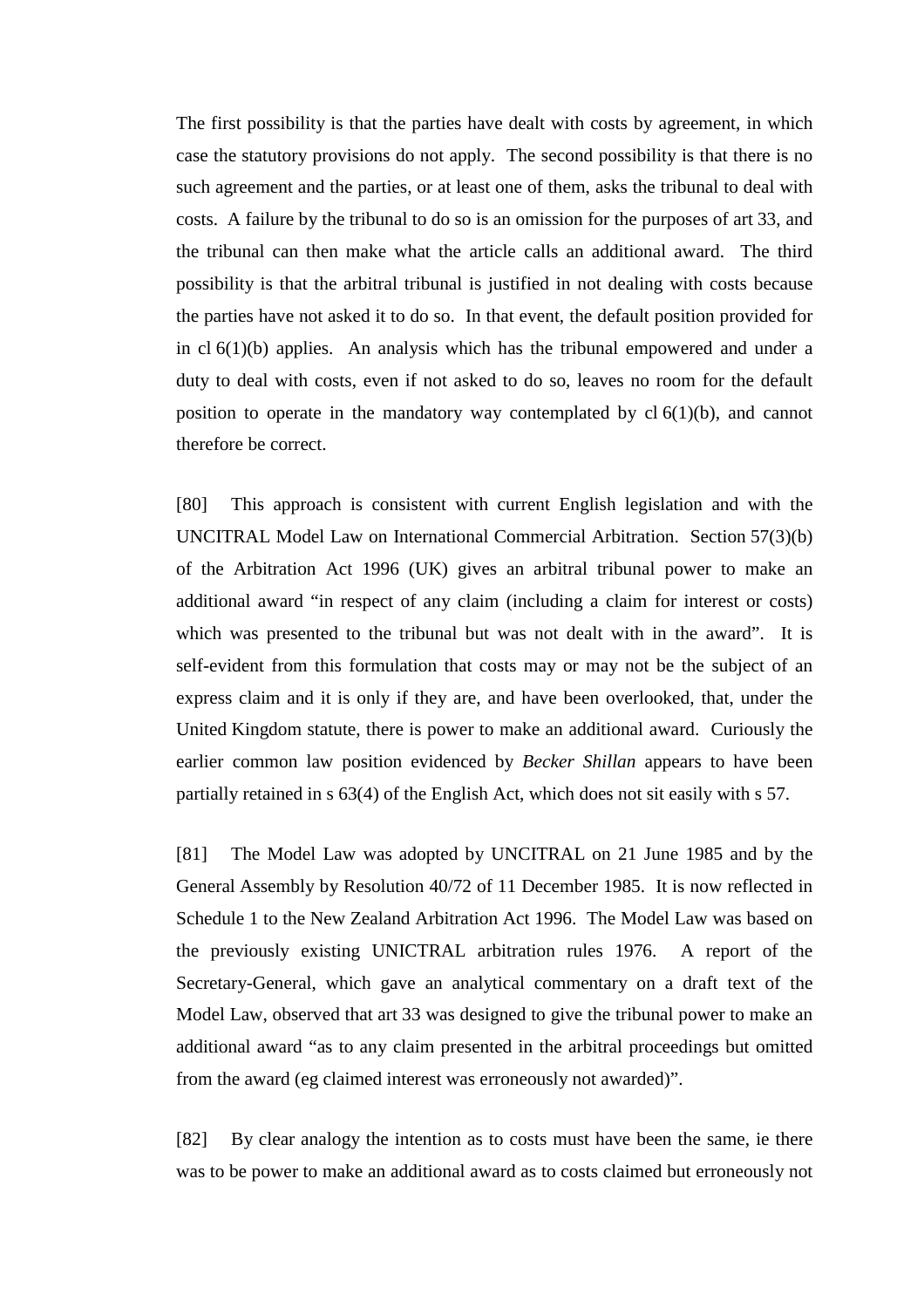The first possibility is that the parties have dealt with costs by agreement, in which case the statutory provisions do not apply. The second possibility is that there is no such agreement and the parties, or at least one of them, asks the tribunal to deal with costs. A failure by the tribunal to do so is an omission for the purposes of art 33, and the tribunal can then make what the article calls an additional award. The third possibility is that the arbitral tribunal is justified in not dealing with costs because the parties have not asked it to do so. In that event, the default position provided for in cl 6(1)(b) applies. An analysis which has the tribunal empowered and under a duty to deal with costs, even if not asked to do so, leaves no room for the default position to operate in the mandatory way contemplated by  $cl 6(1)(b)$ , and cannot therefore be correct.

[80] This approach is consistent with current English legislation and with the UNCITRAL Model Law on International Commercial Arbitration. Section 57(3)(b) of the Arbitration Act 1996 (UK) gives an arbitral tribunal power to make an additional award "in respect of any claim (including a claim for interest or costs) which was presented to the tribunal but was not dealt with in the award". It is self-evident from this formulation that costs may or may not be the subject of an express claim and it is only if they are, and have been overlooked, that, under the United Kingdom statute, there is power to make an additional award. Curiously the earlier common law position evidenced by *Becker Shillan* appears to have been partially retained in s 63(4) of the English Act, which does not sit easily with s 57.

[81] The Model Law was adopted by UNCITRAL on 21 June 1985 and by the General Assembly by Resolution 40/72 of 11 December 1985. It is now reflected in Schedule 1 to the New Zealand Arbitration Act 1996. The Model Law was based on the previously existing UNICTRAL arbitration rules 1976. A report of the Secretary-General, which gave an analytical commentary on a draft text of the Model Law, observed that art 33 was designed to give the tribunal power to make an additional award "as to any claim presented in the arbitral proceedings but omitted from the award (eg claimed interest was erroneously not awarded)".

[82] By clear analogy the intention as to costs must have been the same, ie there was to be power to make an additional award as to costs claimed but erroneously not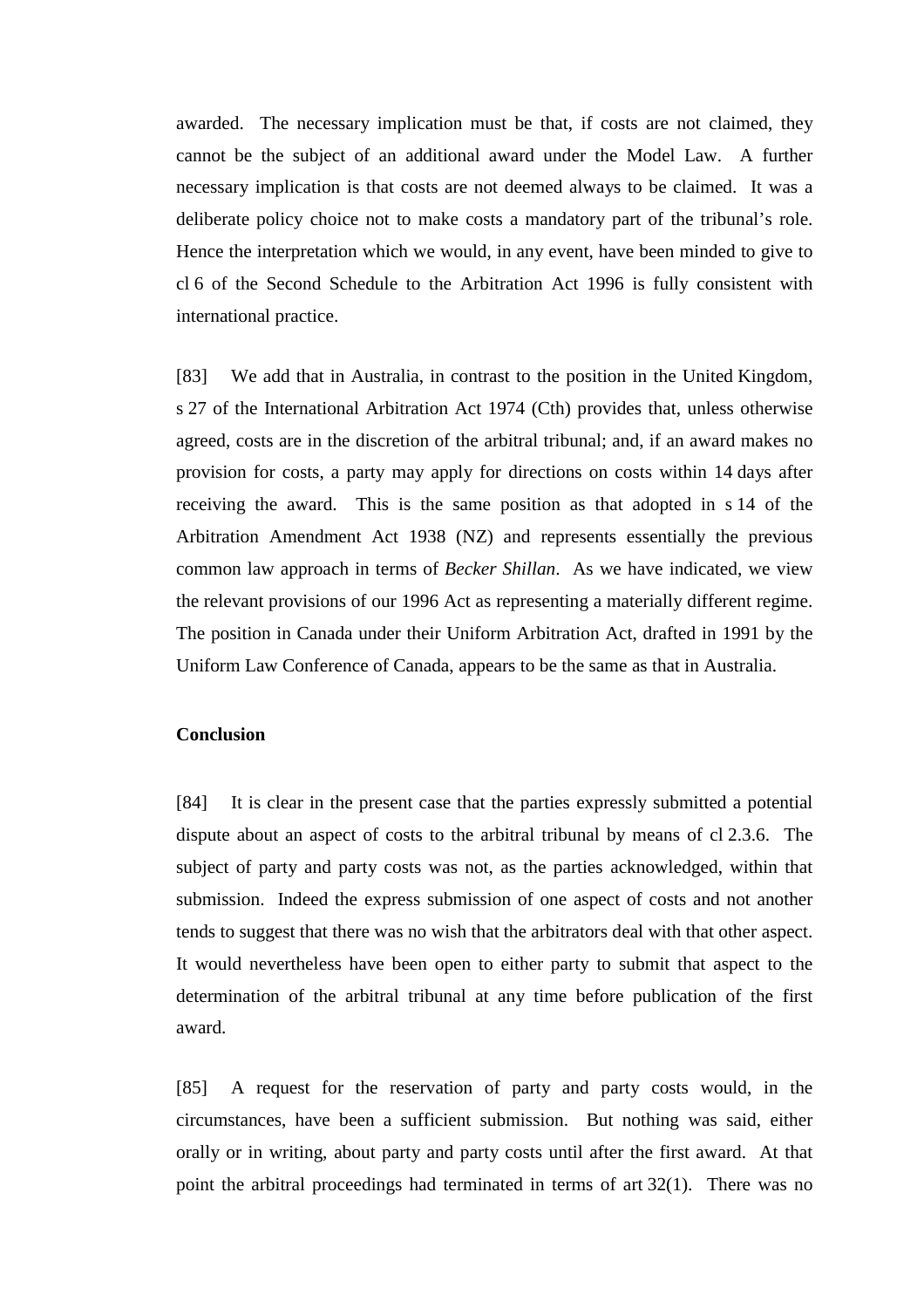awarded. The necessary implication must be that, if costs are not claimed, they cannot be the subject of an additional award under the Model Law. A further necessary implication is that costs are not deemed always to be claimed. It was a deliberate policy choice not to make costs a mandatory part of the tribunal's role. Hence the interpretation which we would, in any event, have been minded to give to cl 6 of the Second Schedule to the Arbitration Act 1996 is fully consistent with international practice.

[83] We add that in Australia, in contrast to the position in the United Kingdom, s 27 of the International Arbitration Act 1974 (Cth) provides that, unless otherwise agreed, costs are in the discretion of the arbitral tribunal; and, if an award makes no provision for costs, a party may apply for directions on costs within 14 days after receiving the award. This is the same position as that adopted in s 14 of the Arbitration Amendment Act 1938 (NZ) and represents essentially the previous common law approach in terms of *Becker Shillan*. As we have indicated, we view the relevant provisions of our 1996 Act as representing a materially different regime. The position in Canada under their Uniform Arbitration Act, drafted in 1991 by the Uniform Law Conference of Canada, appears to be the same as that in Australia.

## **Conclusion**

[84] It is clear in the present case that the parties expressly submitted a potential dispute about an aspect of costs to the arbitral tribunal by means of cl 2.3.6. The subject of party and party costs was not, as the parties acknowledged, within that submission. Indeed the express submission of one aspect of costs and not another tends to suggest that there was no wish that the arbitrators deal with that other aspect. It would nevertheless have been open to either party to submit that aspect to the determination of the arbitral tribunal at any time before publication of the first award.

[85] A request for the reservation of party and party costs would, in the circumstances, have been a sufficient submission. But nothing was said, either orally or in writing, about party and party costs until after the first award. At that point the arbitral proceedings had terminated in terms of art 32(1). There was no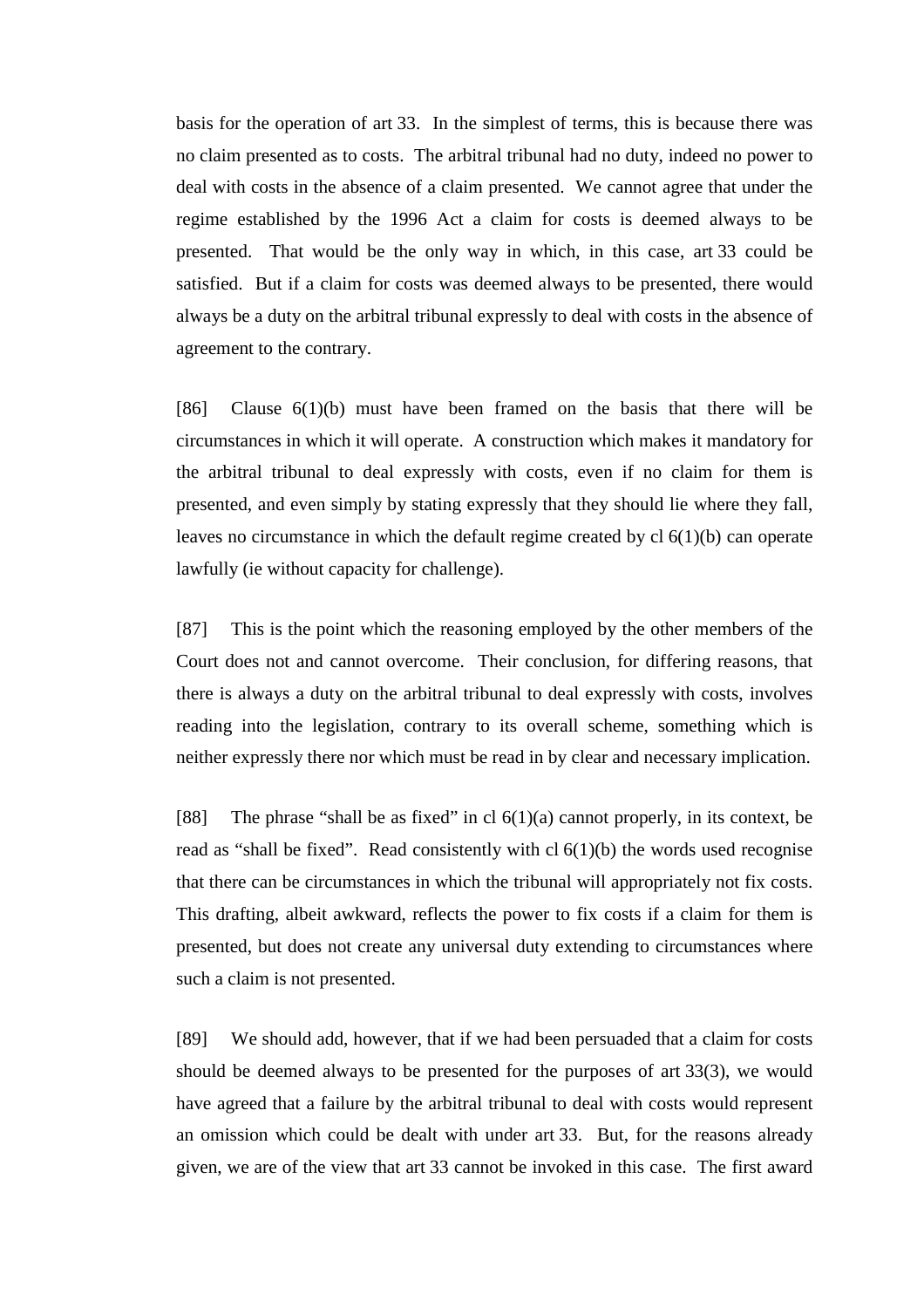basis for the operation of art 33. In the simplest of terms, this is because there was no claim presented as to costs. The arbitral tribunal had no duty, indeed no power to deal with costs in the absence of a claim presented. We cannot agree that under the regime established by the 1996 Act a claim for costs is deemed always to be presented. That would be the only way in which, in this case, art 33 could be satisfied. But if a claim for costs was deemed always to be presented, there would always be a duty on the arbitral tribunal expressly to deal with costs in the absence of agreement to the contrary.

[86] Clause 6(1)(b) must have been framed on the basis that there will be circumstances in which it will operate. A construction which makes it mandatory for the arbitral tribunal to deal expressly with costs, even if no claim for them is presented, and even simply by stating expressly that they should lie where they fall, leaves no circumstance in which the default regime created by cl 6(1)(b) can operate lawfully (ie without capacity for challenge).

[87] This is the point which the reasoning employed by the other members of the Court does not and cannot overcome. Their conclusion, for differing reasons, that there is always a duty on the arbitral tribunal to deal expressly with costs, involves reading into the legislation, contrary to its overall scheme, something which is neither expressly there nor which must be read in by clear and necessary implication.

[88] The phrase "shall be as fixed" in cl  $6(1)(a)$  cannot properly, in its context, be read as "shall be fixed". Read consistently with  $cl 6(1)(b)$  the words used recognise that there can be circumstances in which the tribunal will appropriately not fix costs. This drafting, albeit awkward, reflects the power to fix costs if a claim for them is presented, but does not create any universal duty extending to circumstances where such a claim is not presented.

[89] We should add, however, that if we had been persuaded that a claim for costs should be deemed always to be presented for the purposes of art 33(3), we would have agreed that a failure by the arbitral tribunal to deal with costs would represent an omission which could be dealt with under art 33. But, for the reasons already given, we are of the view that art 33 cannot be invoked in this case. The first award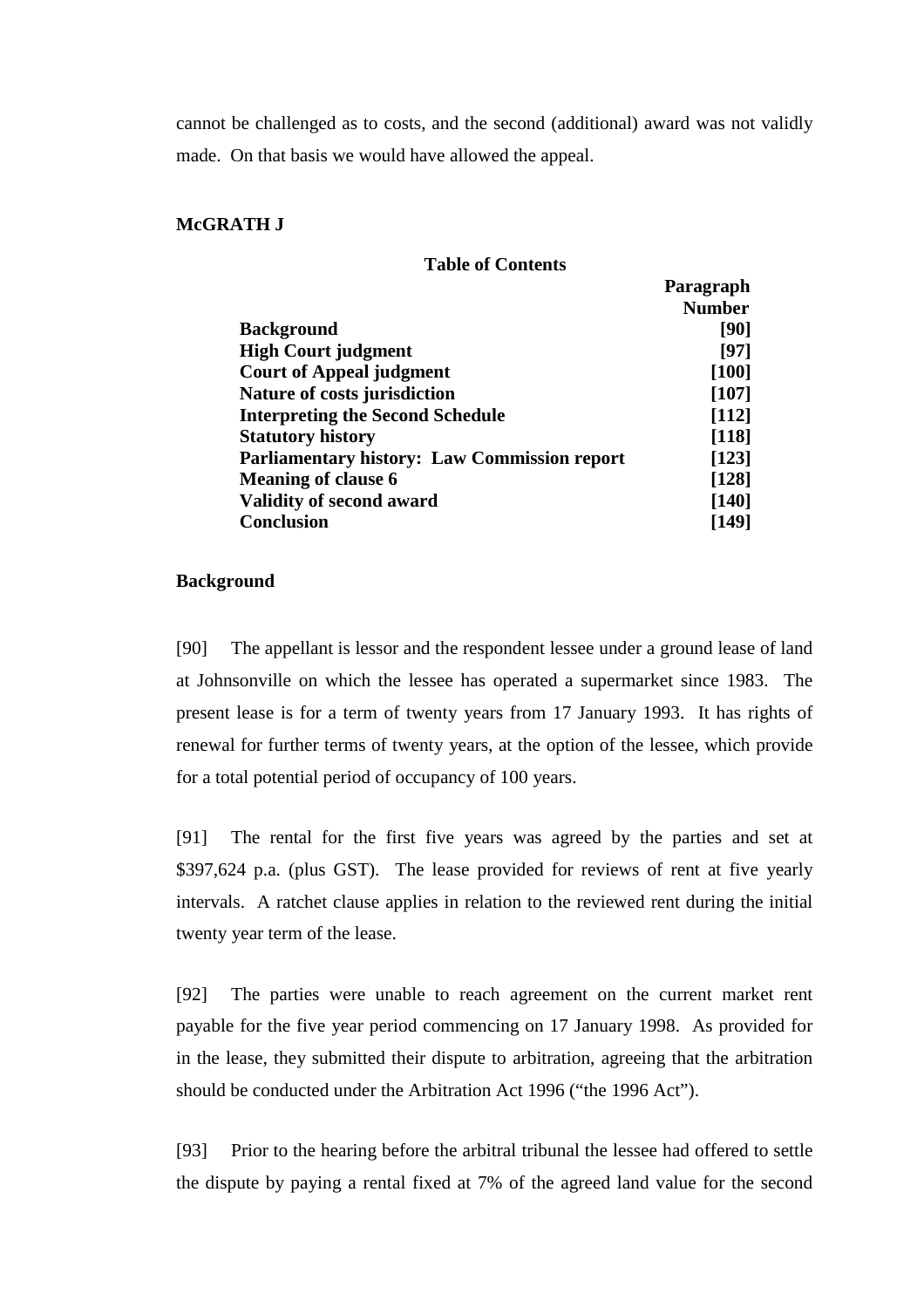cannot be challenged as to costs, and the second (additional) award was not validly made. On that basis we would have allowed the appeal.

## **McGRATH J**

# **Table of Contents**

|                                                     | Paragraph     |
|-----------------------------------------------------|---------------|
|                                                     | <b>Number</b> |
| <b>Background</b>                                   | [90]          |
| <b>High Court judgment</b>                          | [97]          |
| <b>Court of Appeal judgment</b>                     | $[100]$       |
| Nature of costs jurisdiction                        | $[107]$       |
| <b>Interpreting the Second Schedule</b>             | $[112]$       |
| <b>Statutory history</b>                            | $[118]$       |
| <b>Parliamentary history: Law Commission report</b> | $[123]$       |
| <b>Meaning of clause 6</b>                          | $[128]$       |
| <b>Validity of second award</b>                     | $[140]$       |
| <b>Conclusion</b>                                   | [149]         |

### **Background**

[90] The appellant is lessor and the respondent lessee under a ground lease of land at Johnsonville on which the lessee has operated a supermarket since 1983. The present lease is for a term of twenty years from 17 January 1993. It has rights of renewal for further terms of twenty years, at the option of the lessee, which provide for a total potential period of occupancy of 100 years.

[91] The rental for the first five years was agreed by the parties and set at \$397,624 p.a. (plus GST). The lease provided for reviews of rent at five yearly intervals. A ratchet clause applies in relation to the reviewed rent during the initial twenty year term of the lease.

[92] The parties were unable to reach agreement on the current market rent payable for the five year period commencing on 17 January 1998. As provided for in the lease, they submitted their dispute to arbitration, agreeing that the arbitration should be conducted under the Arbitration Act 1996 ("the 1996 Act").

[93] Prior to the hearing before the arbitral tribunal the lessee had offered to settle the dispute by paying a rental fixed at 7% of the agreed land value for the second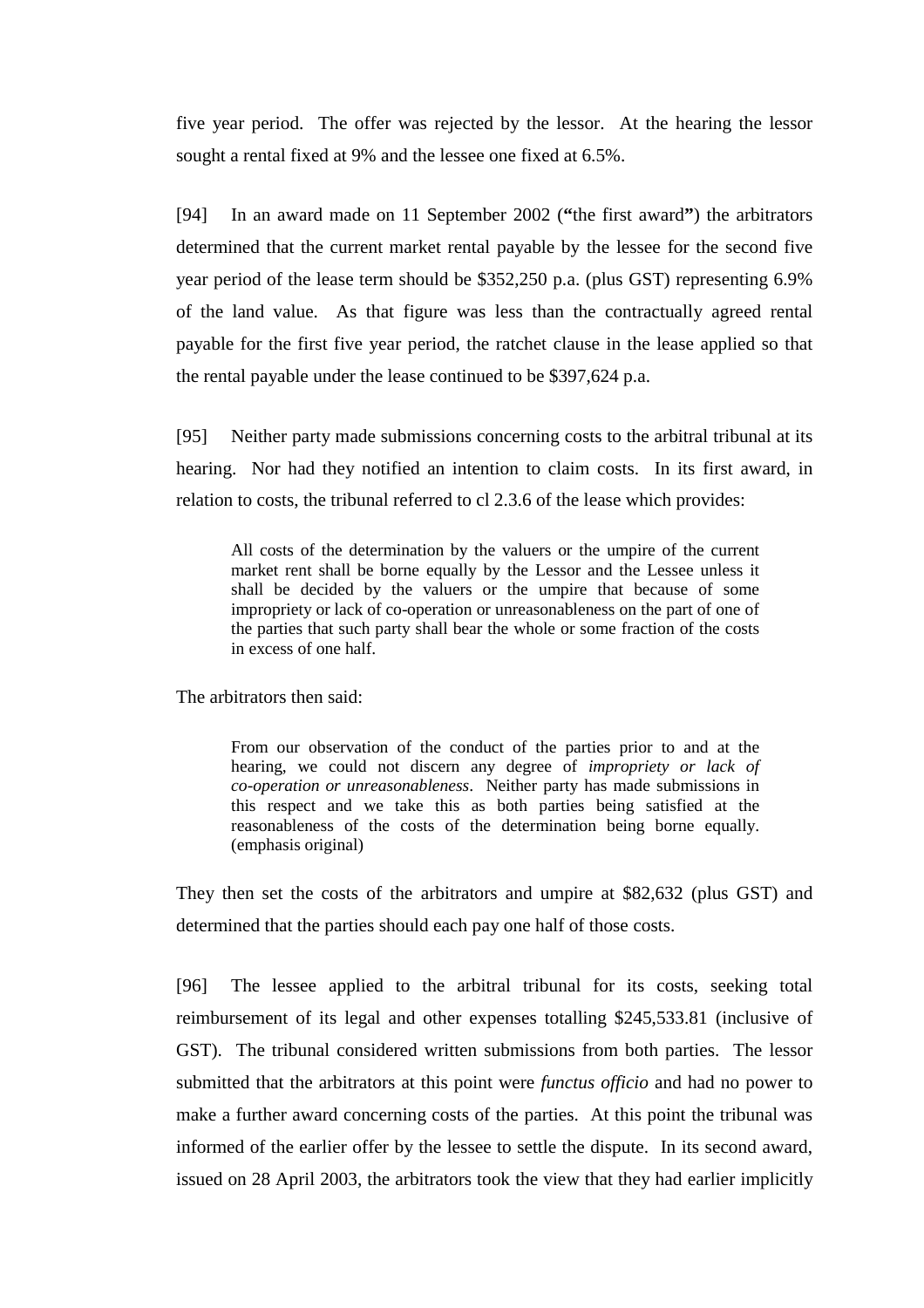five year period. The offer was rejected by the lessor. At the hearing the lessor sought a rental fixed at 9% and the lessee one fixed at 6.5%.

[94] In an award made on 11 September 2002 (**"**the first award**"**) the arbitrators determined that the current market rental payable by the lessee for the second five year period of the lease term should be \$352,250 p.a. (plus GST) representing 6.9% of the land value. As that figure was less than the contractually agreed rental payable for the first five year period, the ratchet clause in the lease applied so that the rental payable under the lease continued to be \$397,624 p.a.

[95] Neither party made submissions concerning costs to the arbitral tribunal at its hearing. Nor had they notified an intention to claim costs. In its first award, in relation to costs, the tribunal referred to cl 2.3.6 of the lease which provides:

All costs of the determination by the valuers or the umpire of the current market rent shall be borne equally by the Lessor and the Lessee unless it shall be decided by the valuers or the umpire that because of some impropriety or lack of co-operation or unreasonableness on the part of one of the parties that such party shall bear the whole or some fraction of the costs in excess of one half.

The arbitrators then said:

From our observation of the conduct of the parties prior to and at the hearing, we could not discern any degree of *impropriety or lack of co-operation or unreasonableness*. Neither party has made submissions in this respect and we take this as both parties being satisfied at the reasonableness of the costs of the determination being borne equally. (emphasis original)

They then set the costs of the arbitrators and umpire at \$82,632 (plus GST) and determined that the parties should each pay one half of those costs.

[96] The lessee applied to the arbitral tribunal for its costs, seeking total reimbursement of its legal and other expenses totalling \$245,533.81 (inclusive of GST). The tribunal considered written submissions from both parties. The lessor submitted that the arbitrators at this point were *functus officio* and had no power to make a further award concerning costs of the parties. At this point the tribunal was informed of the earlier offer by the lessee to settle the dispute. In its second award, issued on 28 April 2003, the arbitrators took the view that they had earlier implicitly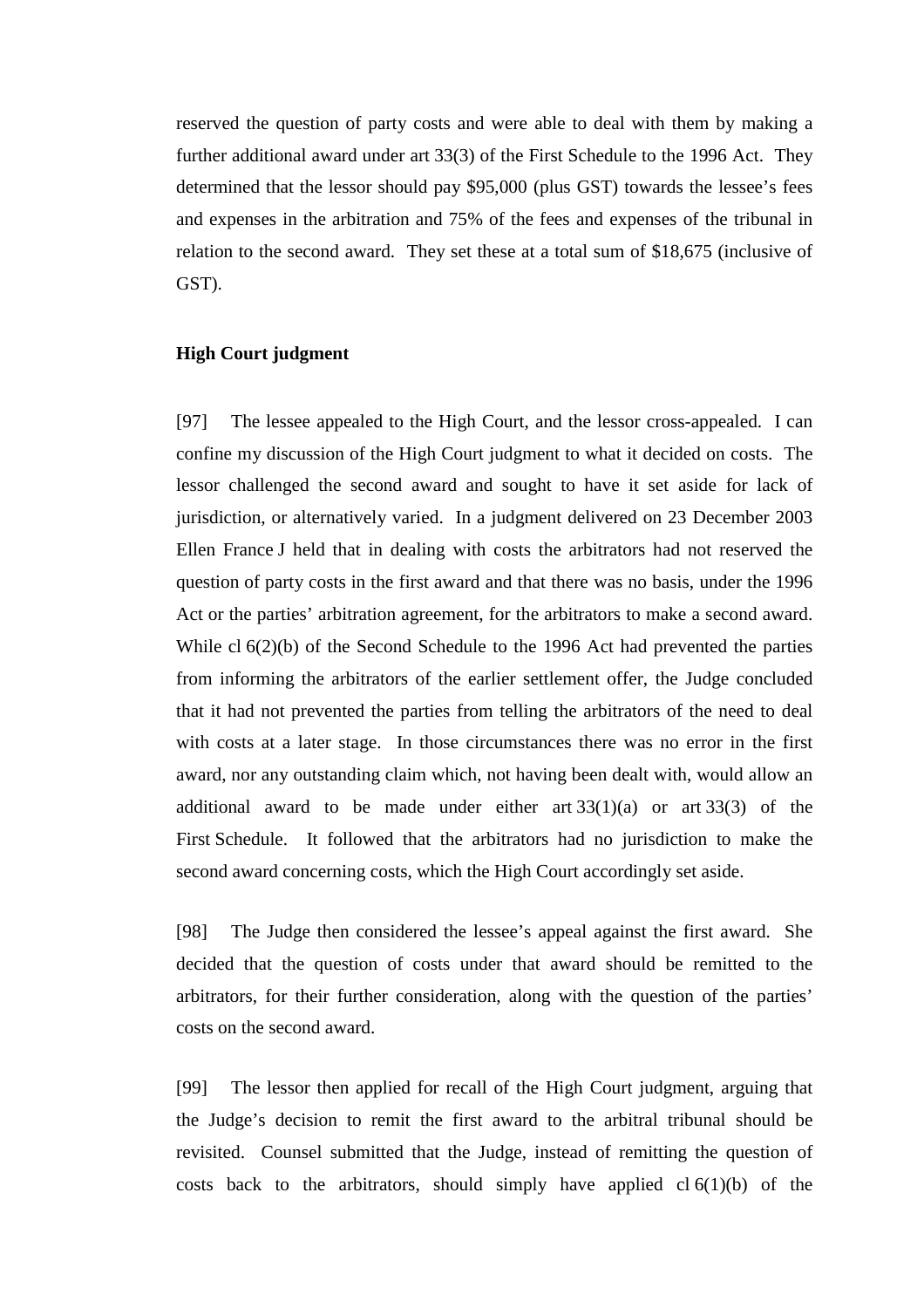reserved the question of party costs and were able to deal with them by making a further additional award under art 33(3) of the First Schedule to the 1996 Act. They determined that the lessor should pay \$95,000 (plus GST) towards the lessee's fees and expenses in the arbitration and 75% of the fees and expenses of the tribunal in relation to the second award. They set these at a total sum of \$18,675 (inclusive of GST).

#### **High Court judgment**

[97] The lessee appealed to the High Court, and the lessor cross-appealed. I can confine my discussion of the High Court judgment to what it decided on costs. The lessor challenged the second award and sought to have it set aside for lack of jurisdiction, or alternatively varied. In a judgment delivered on 23 December 2003 Ellen France J held that in dealing with costs the arbitrators had not reserved the question of party costs in the first award and that there was no basis, under the 1996 Act or the parties' arbitration agreement, for the arbitrators to make a second award. While cl 6(2)(b) of the Second Schedule to the 1996 Act had prevented the parties from informing the arbitrators of the earlier settlement offer, the Judge concluded that it had not prevented the parties from telling the arbitrators of the need to deal with costs at a later stage. In those circumstances there was no error in the first award, nor any outstanding claim which, not having been dealt with, would allow an additional award to be made under either art  $33(1)(a)$  or art  $33(3)$  of the First Schedule. It followed that the arbitrators had no jurisdiction to make the second award concerning costs, which the High Court accordingly set aside.

[98] The Judge then considered the lessee's appeal against the first award. She decided that the question of costs under that award should be remitted to the arbitrators, for their further consideration, along with the question of the parties' costs on the second award.

[99] The lessor then applied for recall of the High Court judgment, arguing that the Judge's decision to remit the first award to the arbitral tribunal should be revisited. Counsel submitted that the Judge, instead of remitting the question of costs back to the arbitrators, should simply have applied  $cl 6(1)(b)$  of the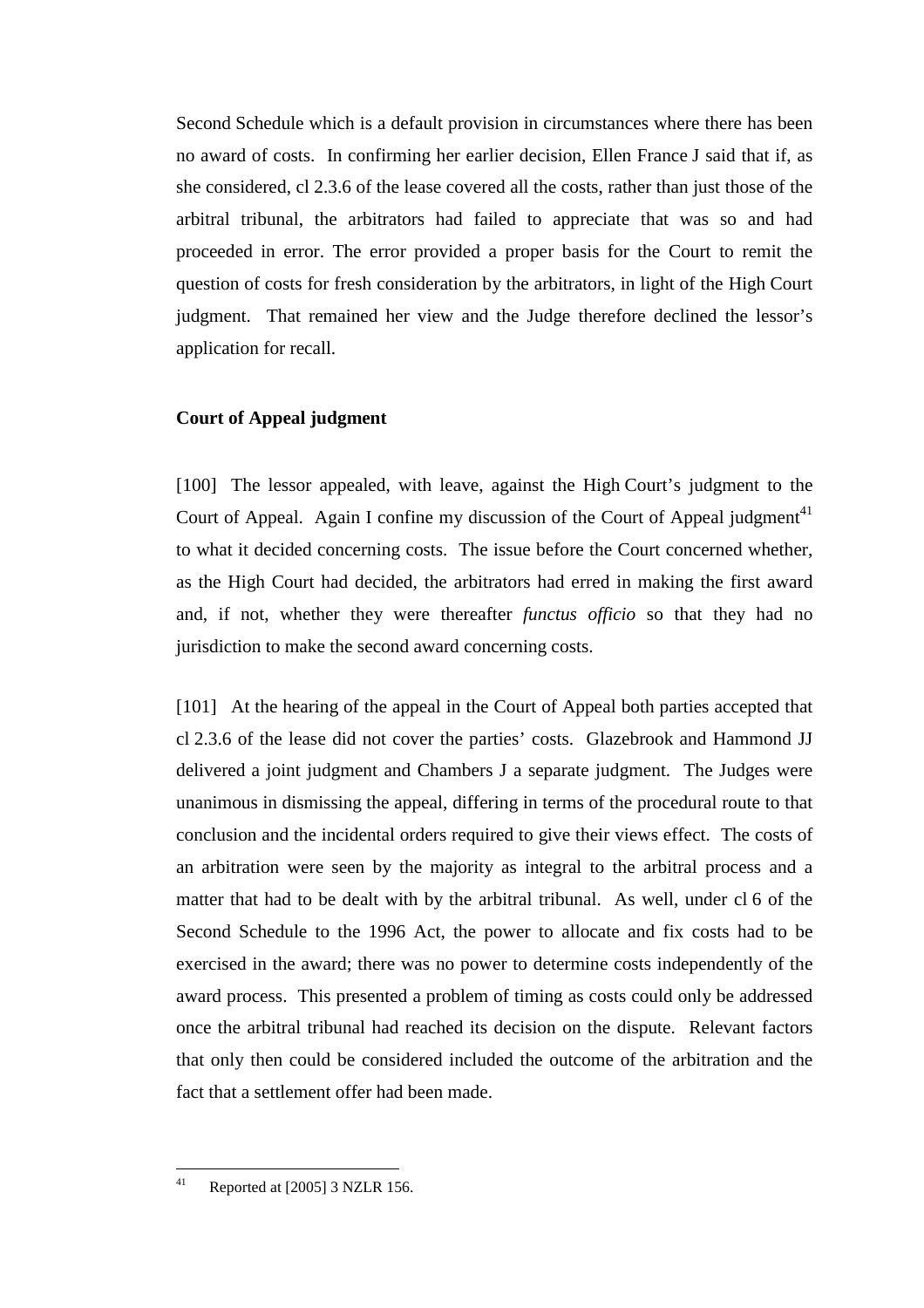Second Schedule which is a default provision in circumstances where there has been no award of costs. In confirming her earlier decision, Ellen France J said that if, as she considered, cl 2.3.6 of the lease covered all the costs, rather than just those of the arbitral tribunal, the arbitrators had failed to appreciate that was so and had proceeded in error. The error provided a proper basis for the Court to remit the question of costs for fresh consideration by the arbitrators, in light of the High Court judgment. That remained her view and the Judge therefore declined the lessor's application for recall.

## **Court of Appeal judgment**

[100] The lessor appealed, with leave, against the High Court's judgment to the Court of Appeal. Again I confine my discussion of the Court of Appeal judgment<sup>41</sup> to what it decided concerning costs. The issue before the Court concerned whether, as the High Court had decided, the arbitrators had erred in making the first award and, if not, whether they were thereafter *functus officio* so that they had no jurisdiction to make the second award concerning costs.

[101] At the hearing of the appeal in the Court of Appeal both parties accepted that cl 2.3.6 of the lease did not cover the parties' costs. Glazebrook and Hammond JJ delivered a joint judgment and Chambers J a separate judgment. The Judges were unanimous in dismissing the appeal, differing in terms of the procedural route to that conclusion and the incidental orders required to give their views effect. The costs of an arbitration were seen by the majority as integral to the arbitral process and a matter that had to be dealt with by the arbitral tribunal. As well, under cl 6 of the Second Schedule to the 1996 Act, the power to allocate and fix costs had to be exercised in the award; there was no power to determine costs independently of the award process. This presented a problem of timing as costs could only be addressed once the arbitral tribunal had reached its decision on the dispute. Relevant factors that only then could be considered included the outcome of the arbitration and the fact that a settlement offer had been made.

 $41$ Reported at [2005] 3 NZLR 156.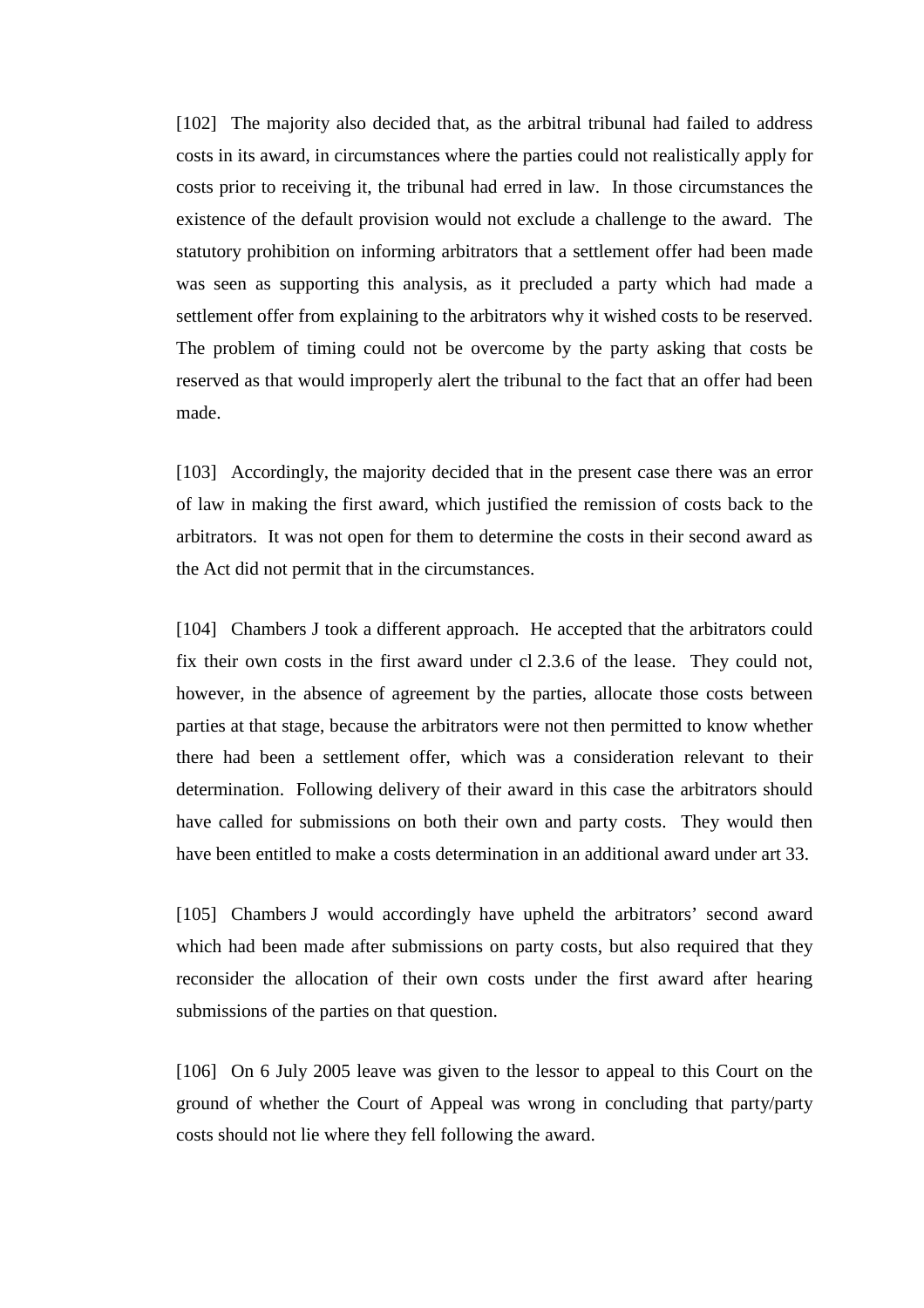[102] The majority also decided that, as the arbitral tribunal had failed to address costs in its award, in circumstances where the parties could not realistically apply for costs prior to receiving it, the tribunal had erred in law. In those circumstances the existence of the default provision would not exclude a challenge to the award. The statutory prohibition on informing arbitrators that a settlement offer had been made was seen as supporting this analysis, as it precluded a party which had made a settlement offer from explaining to the arbitrators why it wished costs to be reserved. The problem of timing could not be overcome by the party asking that costs be reserved as that would improperly alert the tribunal to the fact that an offer had been made.

[103] Accordingly, the majority decided that in the present case there was an error of law in making the first award, which justified the remission of costs back to the arbitrators. It was not open for them to determine the costs in their second award as the Act did not permit that in the circumstances.

[104] Chambers J took a different approach. He accepted that the arbitrators could fix their own costs in the first award under cl 2.3.6 of the lease. They could not, however, in the absence of agreement by the parties, allocate those costs between parties at that stage, because the arbitrators were not then permitted to know whether there had been a settlement offer, which was a consideration relevant to their determination. Following delivery of their award in this case the arbitrators should have called for submissions on both their own and party costs. They would then have been entitled to make a costs determination in an additional award under art 33.

[105] Chambers J would accordingly have upheld the arbitrators' second award which had been made after submissions on party costs, but also required that they reconsider the allocation of their own costs under the first award after hearing submissions of the parties on that question.

[106] On 6 July 2005 leave was given to the lessor to appeal to this Court on the ground of whether the Court of Appeal was wrong in concluding that party/party costs should not lie where they fell following the award.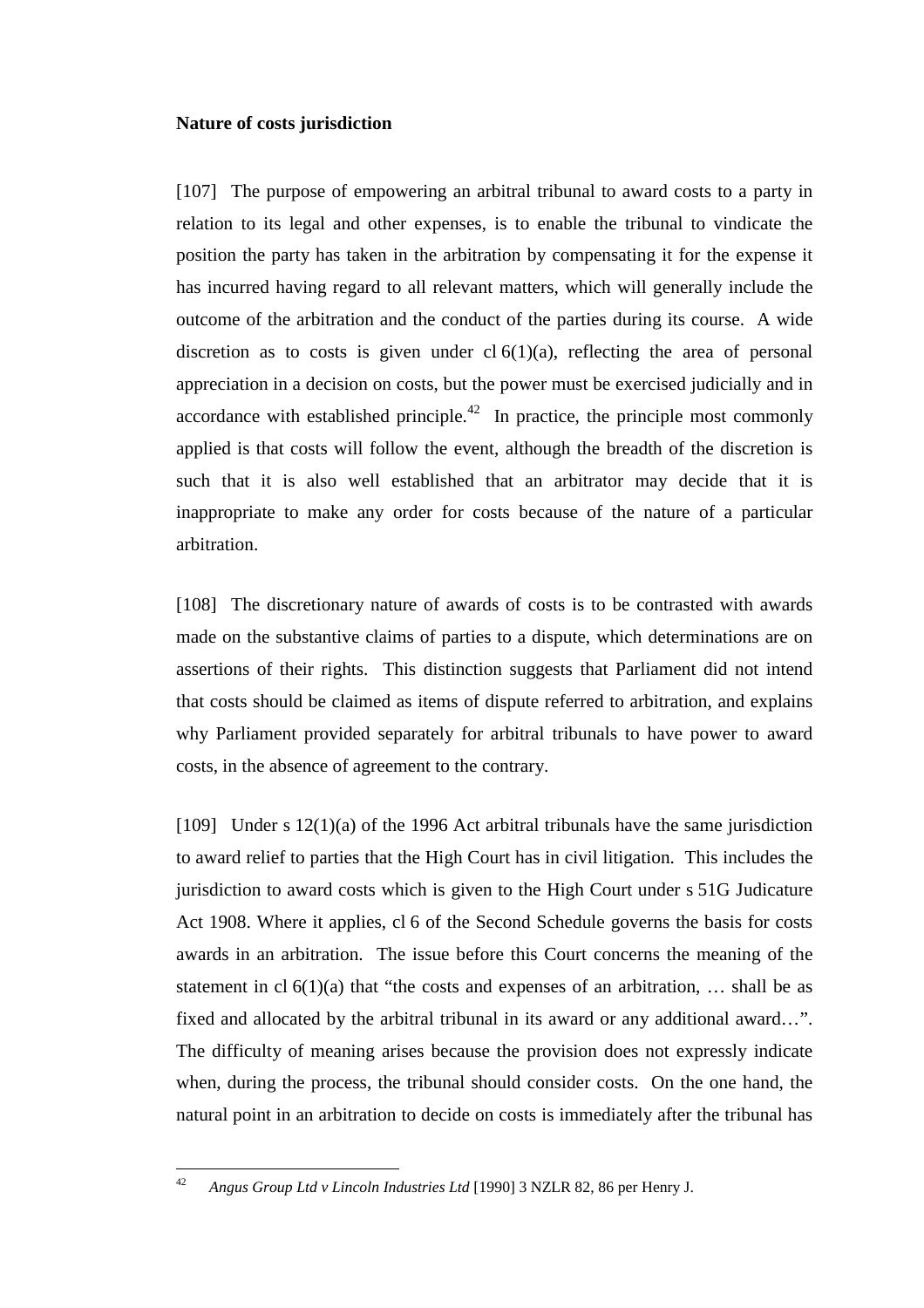### **Nature of costs jurisdiction**

[107] The purpose of empowering an arbitral tribunal to award costs to a party in relation to its legal and other expenses, is to enable the tribunal to vindicate the position the party has taken in the arbitration by compensating it for the expense it has incurred having regard to all relevant matters, which will generally include the outcome of the arbitration and the conduct of the parties during its course. A wide discretion as to costs is given under  $cl 6(1)(a)$ , reflecting the area of personal appreciation in a decision on costs, but the power must be exercised judicially and in accordance with established principle.<sup>42</sup> In practice, the principle most commonly applied is that costs will follow the event, although the breadth of the discretion is such that it is also well established that an arbitrator may decide that it is inappropriate to make any order for costs because of the nature of a particular arbitration.

[108] The discretionary nature of awards of costs is to be contrasted with awards made on the substantive claims of parties to a dispute, which determinations are on assertions of their rights. This distinction suggests that Parliament did not intend that costs should be claimed as items of dispute referred to arbitration, and explains why Parliament provided separately for arbitral tribunals to have power to award costs, in the absence of agreement to the contrary.

[109] Under s  $12(1)(a)$  of the 1996 Act arbitral tribunals have the same jurisdiction to award relief to parties that the High Court has in civil litigation. This includes the jurisdiction to award costs which is given to the High Court under s 51G Judicature Act 1908. Where it applies, cl 6 of the Second Schedule governs the basis for costs awards in an arbitration. The issue before this Court concerns the meaning of the statement in cl  $6(1)(a)$  that "the costs and expenses of an arbitration, ... shall be as fixed and allocated by the arbitral tribunal in its award or any additional award…". The difficulty of meaning arises because the provision does not expressly indicate when, during the process, the tribunal should consider costs. On the one hand, the natural point in an arbitration to decide on costs is immediately after the tribunal has

 $42$ <sup>42</sup> *Angus Group Ltd v Lincoln Industries Ltd* [1990] 3 NZLR 82, 86 per Henry J.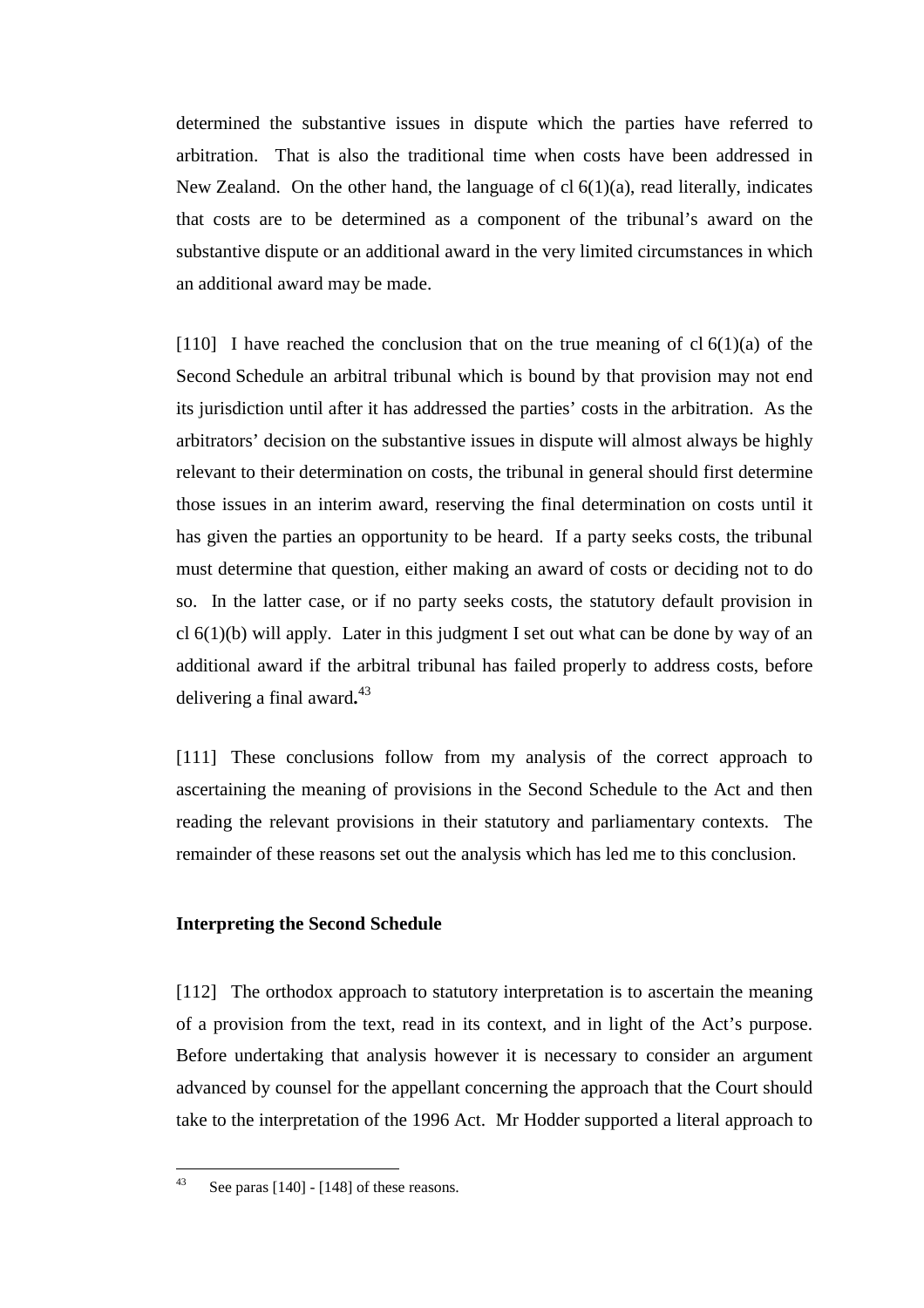determined the substantive issues in dispute which the parties have referred to arbitration. That is also the traditional time when costs have been addressed in New Zealand. On the other hand, the language of  $cl 6(1)(a)$ , read literally, indicates that costs are to be determined as a component of the tribunal's award on the substantive dispute or an additional award in the very limited circumstances in which an additional award may be made.

[110] I have reached the conclusion that on the true meaning of cl  $6(1)(a)$  of the Second Schedule an arbitral tribunal which is bound by that provision may not end its jurisdiction until after it has addressed the parties' costs in the arbitration. As the arbitrators' decision on the substantive issues in dispute will almost always be highly relevant to their determination on costs, the tribunal in general should first determine those issues in an interim award, reserving the final determination on costs until it has given the parties an opportunity to be heard. If a party seeks costs, the tribunal must determine that question, either making an award of costs or deciding not to do so. In the latter case, or if no party seeks costs, the statutory default provision in cl  $6(1)(b)$  will apply. Later in this judgment I set out what can be done by way of an additional award if the arbitral tribunal has failed properly to address costs, before delivering a final award**.** 43

[111] These conclusions follow from my analysis of the correct approach to ascertaining the meaning of provisions in the Second Schedule to the Act and then reading the relevant provisions in their statutory and parliamentary contexts. The remainder of these reasons set out the analysis which has led me to this conclusion.

## **Interpreting the Second Schedule**

[112] The orthodox approach to statutory interpretation is to ascertain the meaning of a provision from the text, read in its context, and in light of the Act's purpose. Before undertaking that analysis however it is necessary to consider an argument advanced by counsel for the appellant concerning the approach that the Court should take to the interpretation of the 1996 Act. Mr Hodder supported a literal approach to

 $43$ See paras  $[140]$  -  $[148]$  of these reasons.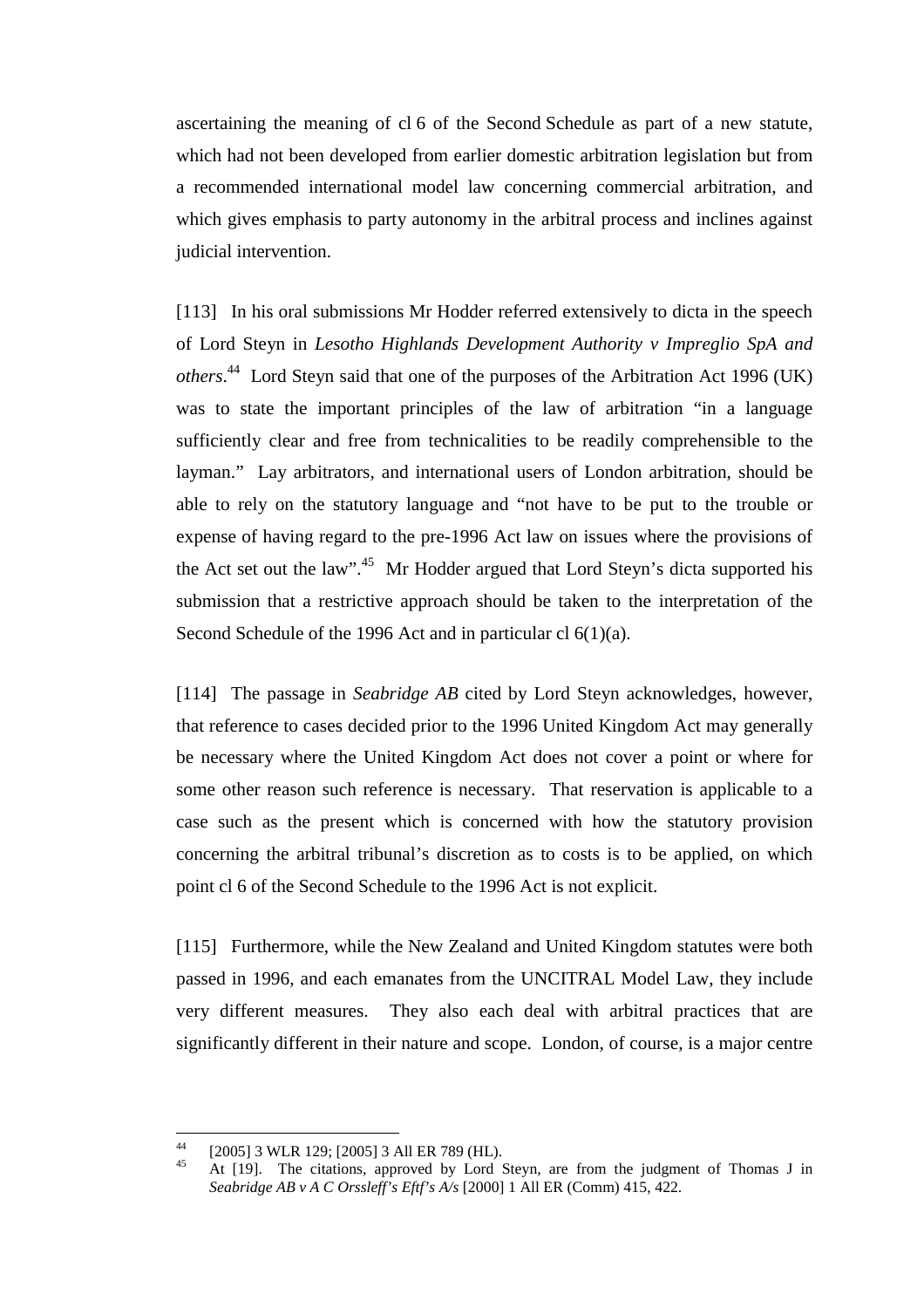ascertaining the meaning of cl 6 of the Second Schedule as part of a new statute, which had not been developed from earlier domestic arbitration legislation but from a recommended international model law concerning commercial arbitration, and which gives emphasis to party autonomy in the arbitral process and inclines against judicial intervention.

[113] In his oral submissions Mr Hodder referred extensively to dicta in the speech of Lord Steyn in *Lesotho Highlands Development Authority v Impreglio SpA and others*. 44 Lord Steyn said that one of the purposes of the Arbitration Act 1996 (UK) was to state the important principles of the law of arbitration "in a language sufficiently clear and free from technicalities to be readily comprehensible to the layman." Lay arbitrators, and international users of London arbitration, should be able to rely on the statutory language and "not have to be put to the trouble or expense of having regard to the pre-1996 Act law on issues where the provisions of the Act set out the law".<sup>45</sup> Mr Hodder argued that Lord Steyn's dicta supported his submission that a restrictive approach should be taken to the interpretation of the Second Schedule of the 1996 Act and in particular cl 6(1)(a).

[114] The passage in *Seabridge AB* cited by Lord Steyn acknowledges, however, that reference to cases decided prior to the 1996 United Kingdom Act may generally be necessary where the United Kingdom Act does not cover a point or where for some other reason such reference is necessary. That reservation is applicable to a case such as the present which is concerned with how the statutory provision concerning the arbitral tribunal's discretion as to costs is to be applied, on which point cl 6 of the Second Schedule to the 1996 Act is not explicit.

[115] Furthermore, while the New Zealand and United Kingdom statutes were both passed in 1996, and each emanates from the UNCITRAL Model Law, they include very different measures. They also each deal with arbitral practices that are significantly different in their nature and scope. London, of course, is a major centre

 $\overline{44}$ <sup>44</sup> [2005] 3 WLR 129; [2005] 3 All ER 789 (HL).

At [19]. The citations, approved by Lord Steyn, are from the judgment of Thomas J in *Seabridge AB v A C Orssleff's Eftf's A/s* [2000] 1 All ER (Comm) 415, 422.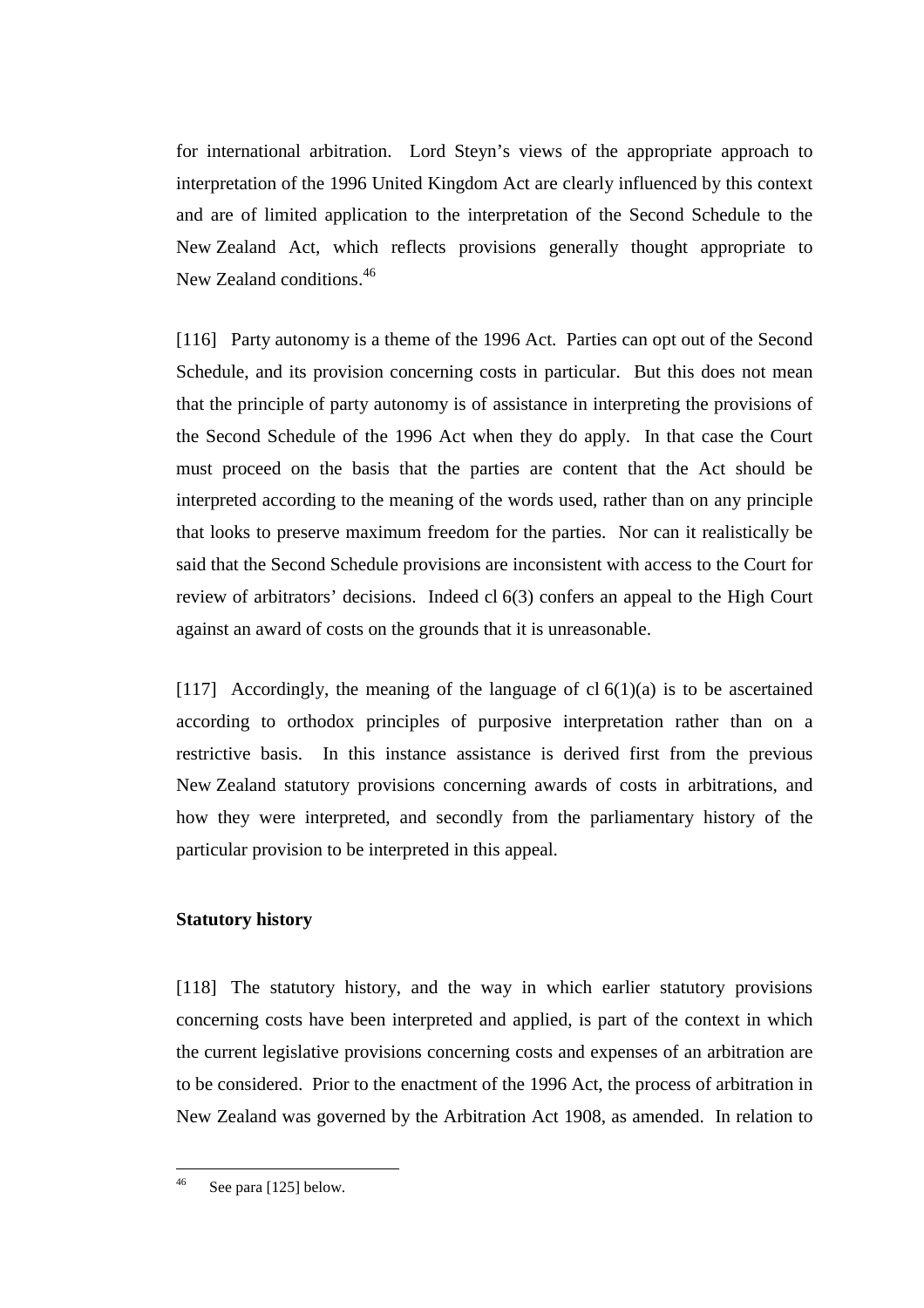for international arbitration. Lord Steyn's views of the appropriate approach to interpretation of the 1996 United Kingdom Act are clearly influenced by this context and are of limited application to the interpretation of the Second Schedule to the New Zealand Act, which reflects provisions generally thought appropriate to New Zealand conditions.<sup>46</sup>

[116] Party autonomy is a theme of the 1996 Act. Parties can opt out of the Second Schedule, and its provision concerning costs in particular. But this does not mean that the principle of party autonomy is of assistance in interpreting the provisions of the Second Schedule of the 1996 Act when they do apply. In that case the Court must proceed on the basis that the parties are content that the Act should be interpreted according to the meaning of the words used, rather than on any principle that looks to preserve maximum freedom for the parties. Nor can it realistically be said that the Second Schedule provisions are inconsistent with access to the Court for review of arbitrators' decisions. Indeed cl 6(3) confers an appeal to the High Court against an award of costs on the grounds that it is unreasonable.

[117] Accordingly, the meaning of the language of cl  $6(1)(a)$  is to be ascertained according to orthodox principles of purposive interpretation rather than on a restrictive basis. In this instance assistance is derived first from the previous New Zealand statutory provisions concerning awards of costs in arbitrations, and how they were interpreted, and secondly from the parliamentary history of the particular provision to be interpreted in this appeal.

# **Statutory history**

[118] The statutory history, and the way in which earlier statutory provisions concerning costs have been interpreted and applied, is part of the context in which the current legislative provisions concerning costs and expenses of an arbitration are to be considered. Prior to the enactment of the 1996 Act, the process of arbitration in New Zealand was governed by the Arbitration Act 1908, as amended. In relation to

 $46$ See para [125] below.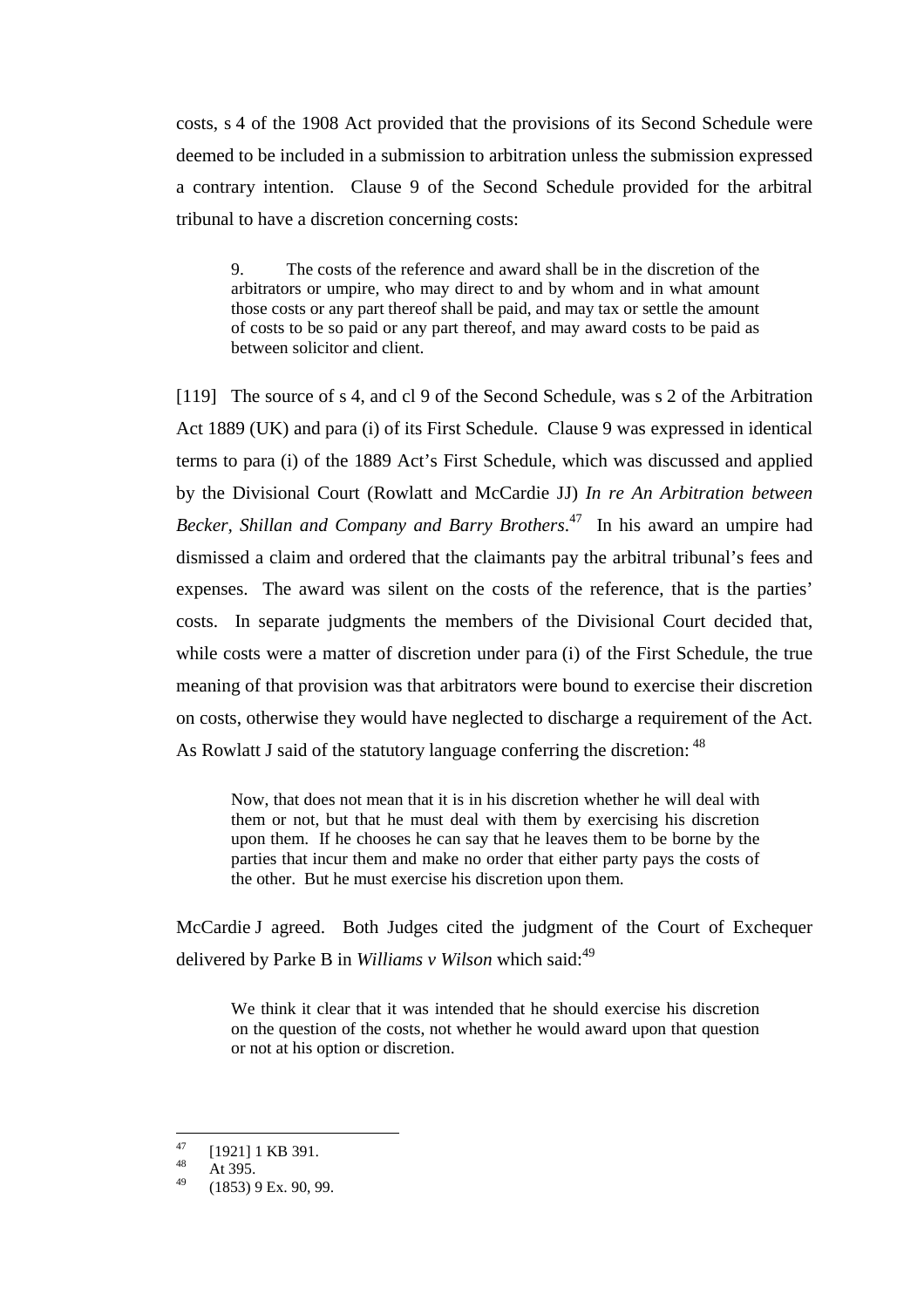costs, s 4 of the 1908 Act provided that the provisions of its Second Schedule were deemed to be included in a submission to arbitration unless the submission expressed a contrary intention. Clause 9 of the Second Schedule provided for the arbitral tribunal to have a discretion concerning costs:

9. The costs of the reference and award shall be in the discretion of the arbitrators or umpire, who may direct to and by whom and in what amount those costs or any part thereof shall be paid, and may tax or settle the amount of costs to be so paid or any part thereof, and may award costs to be paid as between solicitor and client.

[119] The source of s 4, and cl 9 of the Second Schedule, was s 2 of the Arbitration Act 1889 (UK) and para (i) of its First Schedule. Clause 9 was expressed in identical terms to para (i) of the 1889 Act's First Schedule, which was discussed and applied by the Divisional Court (Rowlatt and McCardie JJ) *In re An Arbitration between Becker, Shillan and Company and Barry Brothers*. 47 In his award an umpire had dismissed a claim and ordered that the claimants pay the arbitral tribunal's fees and expenses. The award was silent on the costs of the reference, that is the parties' costs. In separate judgments the members of the Divisional Court decided that, while costs were a matter of discretion under para (i) of the First Schedule, the true meaning of that provision was that arbitrators were bound to exercise their discretion on costs, otherwise they would have neglected to discharge a requirement of the Act. As Rowlatt J said of the statutory language conferring the discretion: <sup>48</sup>

Now, that does not mean that it is in his discretion whether he will deal with them or not, but that he must deal with them by exercising his discretion upon them. If he chooses he can say that he leaves them to be borne by the parties that incur them and make no order that either party pays the costs of the other. But he must exercise his discretion upon them.

McCardie J agreed. Both Judges cited the judgment of the Court of Exchequer delivered by Parke B in *Williams v Wilson* which said:<sup>49</sup>

We think it clear that it was intended that he should exercise his discretion on the question of the costs, not whether he would award upon that question or not at his option or discretion.

<sup>47</sup>  $^{47}_{48}$  [1921] 1 KB 391.

 $48$  At 395.

<sup>(1853) 9</sup> Ex. 90, 99.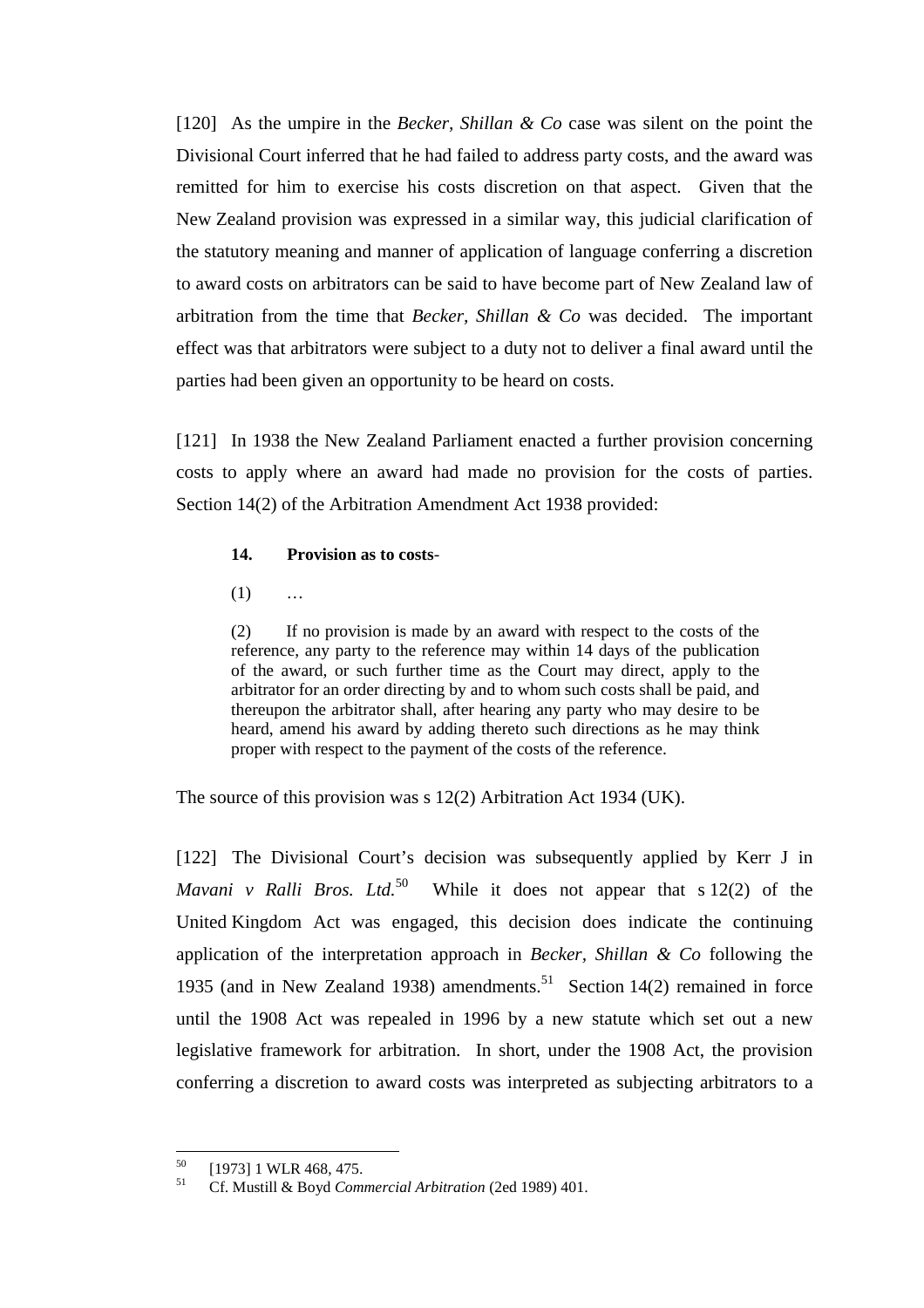[120] As the umpire in the *Becker, Shillan & Co* case was silent on the point the Divisional Court inferred that he had failed to address party costs, and the award was remitted for him to exercise his costs discretion on that aspect. Given that the New Zealand provision was expressed in a similar way, this judicial clarification of the statutory meaning and manner of application of language conferring a discretion to award costs on arbitrators can be said to have become part of New Zealand law of arbitration from the time that *Becker, Shillan & Co* was decided. The important effect was that arbitrators were subject to a duty not to deliver a final award until the parties had been given an opportunity to be heard on costs.

[121] In 1938 the New Zealand Parliament enacted a further provision concerning costs to apply where an award had made no provision for the costs of parties. Section 14(2) of the Arbitration Amendment Act 1938 provided:

#### **14. Provision as to costs**-

 $(1)$  ...

(2) If no provision is made by an award with respect to the costs of the reference, any party to the reference may within 14 days of the publication of the award, or such further time as the Court may direct, apply to the arbitrator for an order directing by and to whom such costs shall be paid, and thereupon the arbitrator shall, after hearing any party who may desire to be heard, amend his award by adding thereto such directions as he may think proper with respect to the payment of the costs of the reference.

The source of this provision was s 12(2) Arbitration Act 1934 (UK).

[122] The Divisional Court's decision was subsequently applied by Kerr J in *Mavani v Ralli Bros. Ltd.*<sup>50</sup> While it does not appear that s  $12(2)$  of the United Kingdom Act was engaged, this decision does indicate the continuing application of the interpretation approach in *Becker, Shillan & Co* following the 1935 (and in New Zealand 1938) amendments.<sup>51</sup> Section 14(2) remained in force until the 1908 Act was repealed in 1996 by a new statute which set out a new legislative framework for arbitration. In short, under the 1908 Act, the provision conferring a discretion to award costs was interpreted as subjecting arbitrators to a

 $50$  $^{50}$  [1973] 1 WLR 468, 475.

<sup>51</sup> Cf. Mustill & Boyd *Commercial Arbitration* (2ed 1989) 401.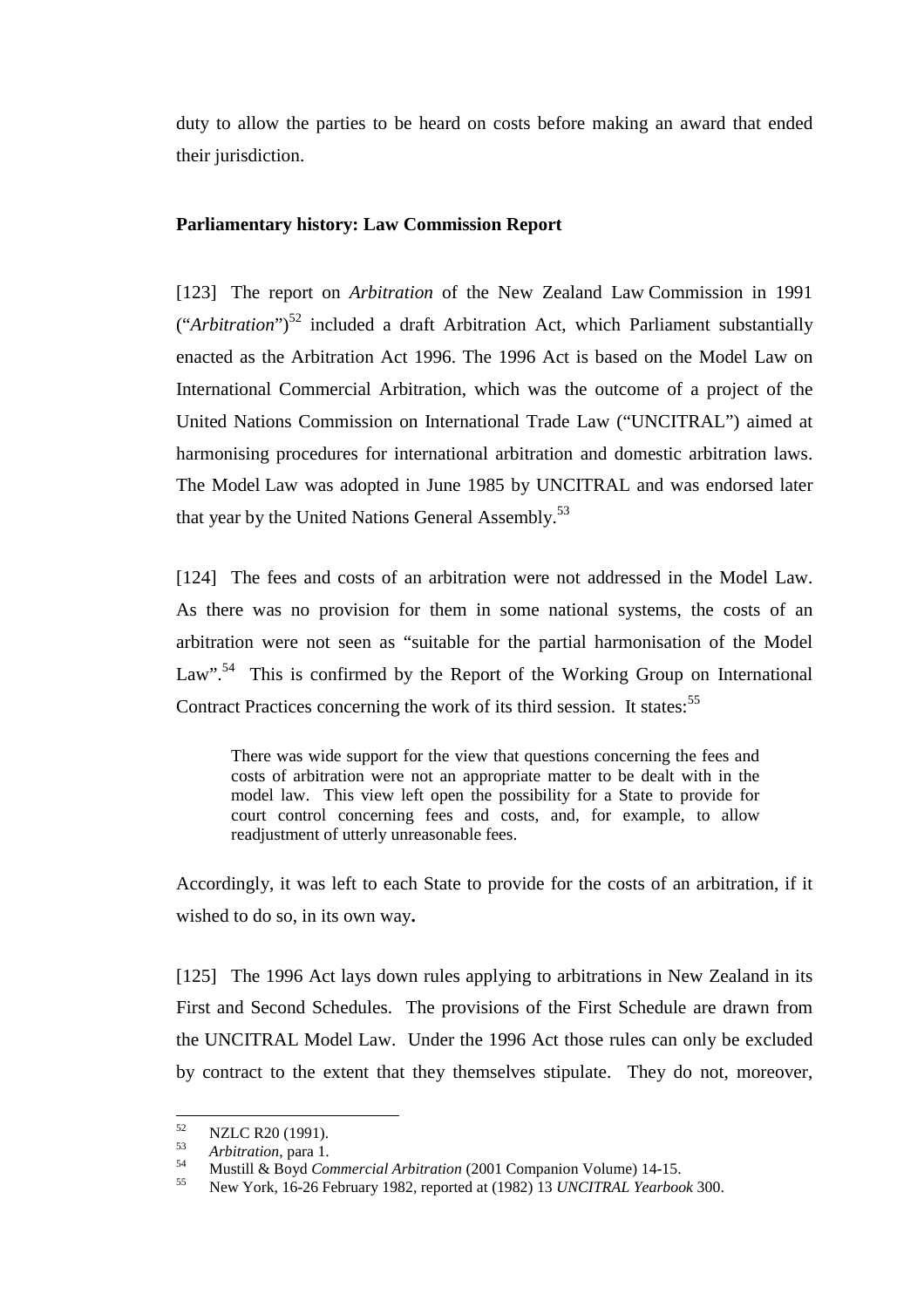duty to allow the parties to be heard on costs before making an award that ended their jurisdiction.

## **Parliamentary history: Law Commission Report**

[123] The report on *Arbitration* of the New Zealand Law Commission in 1991 ("Arbitration")<sup>52</sup> included a draft Arbitration Act, which Parliament substantially enacted as the Arbitration Act 1996. The 1996 Act is based on the Model Law on International Commercial Arbitration, which was the outcome of a project of the United Nations Commission on International Trade Law ("UNCITRAL") aimed at harmonising procedures for international arbitration and domestic arbitration laws. The Model Law was adopted in June 1985 by UNCITRAL and was endorsed later that year by the United Nations General Assembly.<sup>53</sup>

[124] The fees and costs of an arbitration were not addressed in the Model Law. As there was no provision for them in some national systems, the costs of an arbitration were not seen as "suitable for the partial harmonisation of the Model Law".<sup>54</sup> This is confirmed by the Report of the Working Group on International Contract Practices concerning the work of its third session. It states:<sup>55</sup>

There was wide support for the view that questions concerning the fees and costs of arbitration were not an appropriate matter to be dealt with in the model law. This view left open the possibility for a State to provide for court control concerning fees and costs, and, for example, to allow readjustment of utterly unreasonable fees.

Accordingly, it was left to each State to provide for the costs of an arbitration, if it wished to do so, in its own way**.**

[125] The 1996 Act lays down rules applying to arbitrations in New Zealand in its First and Second Schedules. The provisions of the First Schedule are drawn from the UNCITRAL Model Law. Under the 1996 Act those rules can only be excluded by contract to the extent that they themselves stipulate. They do not, moreover,

<sup>52</sup>  $\frac{52}{53}$  NZLC R20 (1991).

<sup>53</sup> *Arbitration*, para 1. 54 Mustill & Boyd *Commercial Arbitration* (2001 Companion Volume) 14-15. 55 New York, 16-26 February 1982, reported at (1982) 13 *UNCITRAL Yearbook* 300.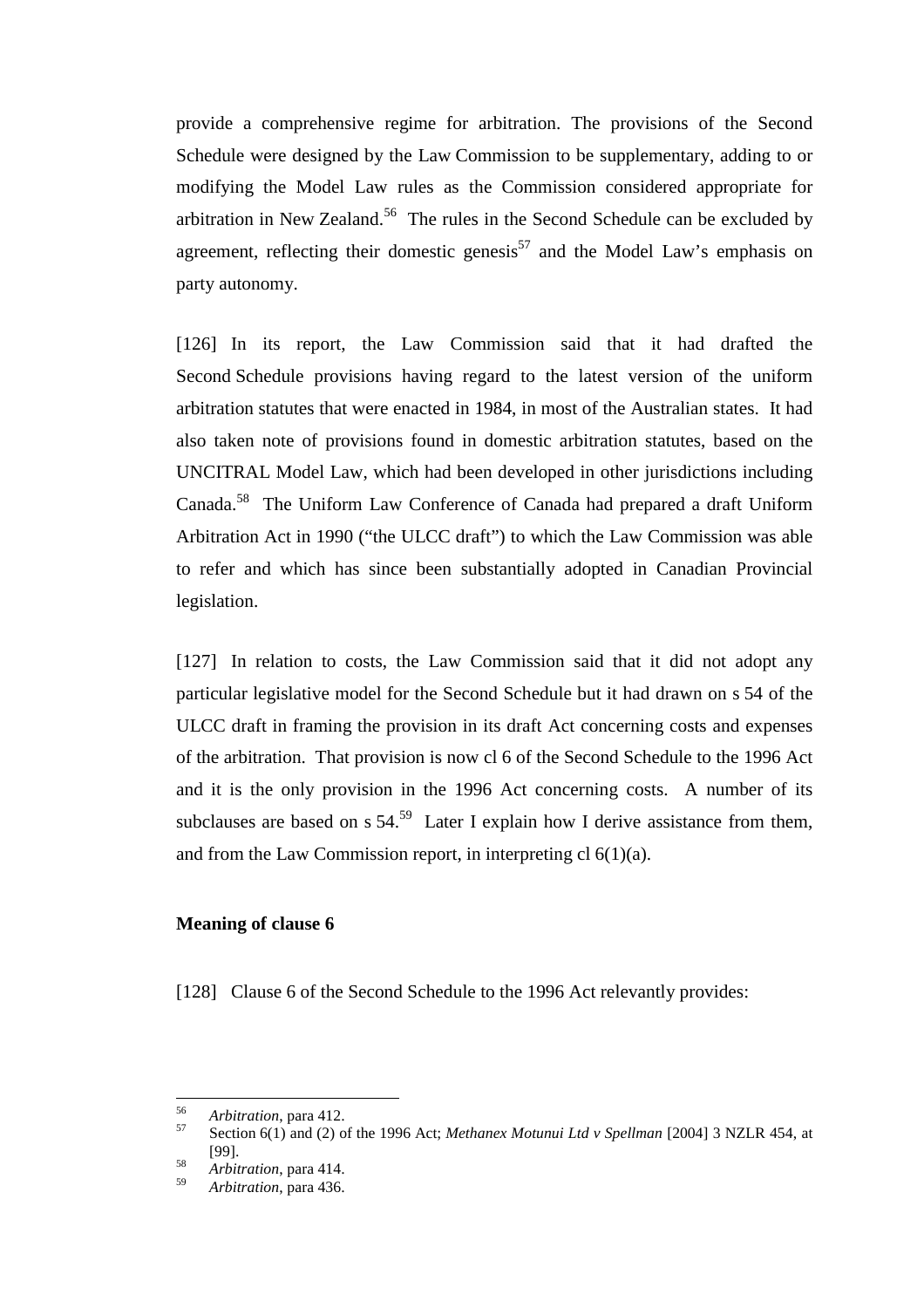provide a comprehensive regime for arbitration. The provisions of the Second Schedule were designed by the Law Commission to be supplementary, adding to or modifying the Model Law rules as the Commission considered appropriate for arbitration in New Zealand.<sup>56</sup> The rules in the Second Schedule can be excluded by agreement, reflecting their domestic genesis<sup>57</sup> and the Model Law's emphasis on party autonomy.

[126] In its report, the Law Commission said that it had drafted the Second Schedule provisions having regard to the latest version of the uniform arbitration statutes that were enacted in 1984, in most of the Australian states. It had also taken note of provisions found in domestic arbitration statutes, based on the UNCITRAL Model Law, which had been developed in other jurisdictions including Canada.58 The Uniform Law Conference of Canada had prepared a draft Uniform Arbitration Act in 1990 ("the ULCC draft") to which the Law Commission was able to refer and which has since been substantially adopted in Canadian Provincial legislation.

[127] In relation to costs, the Law Commission said that it did not adopt any particular legislative model for the Second Schedule but it had drawn on s 54 of the ULCC draft in framing the provision in its draft Act concerning costs and expenses of the arbitration. That provision is now cl 6 of the Second Schedule to the 1996 Act and it is the only provision in the 1996 Act concerning costs. A number of its subclauses are based on  $s 54.59$  Later I explain how I derive assistance from them, and from the Law Commission report, in interpreting cl 6(1)(a).

#### **Meaning of clause 6**

[128] Clause 6 of the Second Schedule to the 1996 Act relevantly provides:

<sup>56</sup> 

<sup>56</sup> *Arbitration*, para 412. 57 Section 6(1) and (2) of the 1996 Act; *Methanex Motunui Ltd v Spellman* [2004] 3 NZLR 454, at [99]. <sup>58</sup> *Arbitration*, para 414.

<sup>59</sup> *Arbitration*, para 436.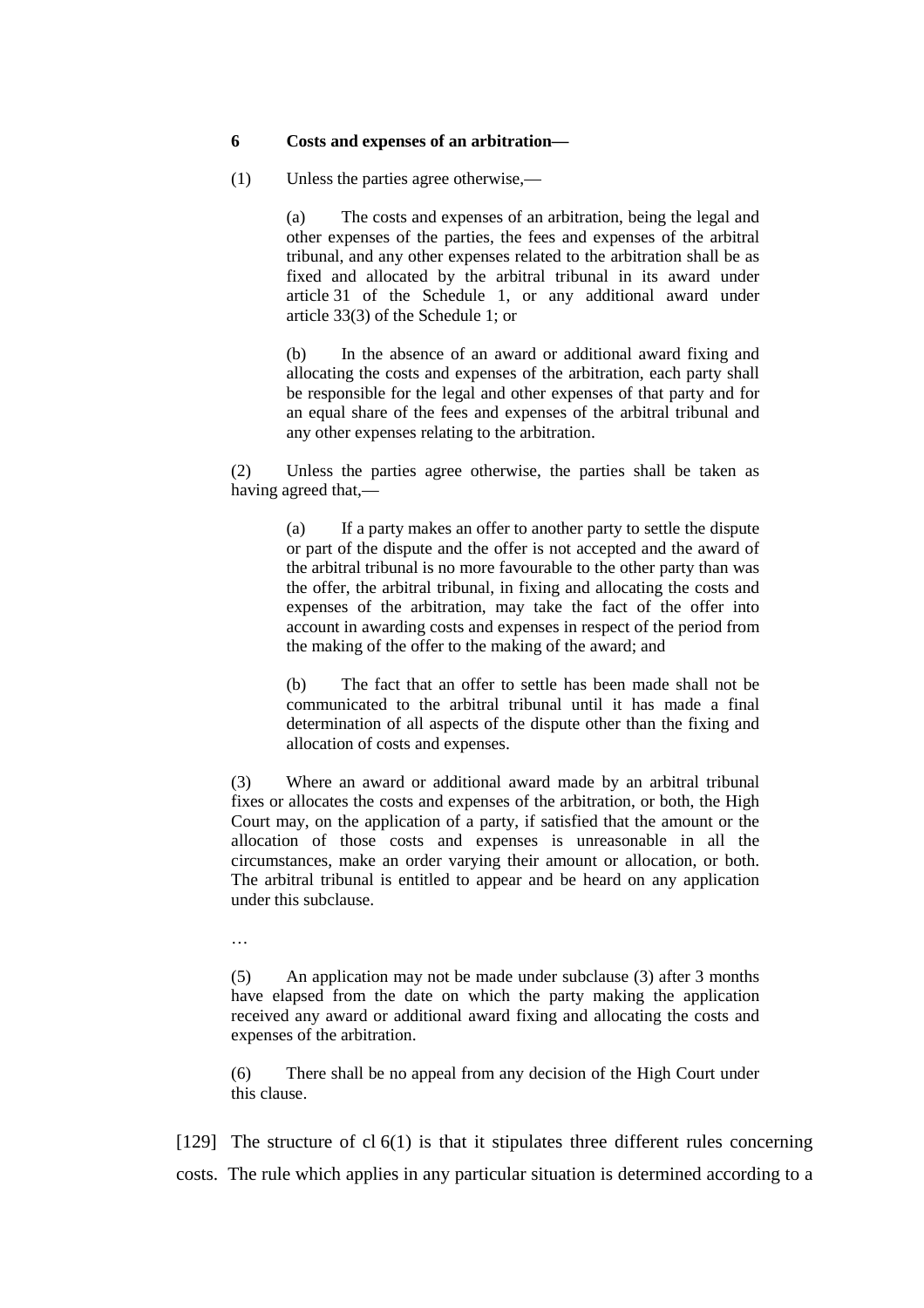#### **6 Costs and expenses of an arbitration—**

(1) Unless the parties agree otherwise,—

(a) The costs and expenses of an arbitration, being the legal and other expenses of the parties, the fees and expenses of the arbitral tribunal, and any other expenses related to the arbitration shall be as fixed and allocated by the arbitral tribunal in its award under article 31 of the Schedule 1, or any additional award under article 33(3) of the Schedule 1; or

(b) In the absence of an award or additional award fixing and allocating the costs and expenses of the arbitration, each party shall be responsible for the legal and other expenses of that party and for an equal share of the fees and expenses of the arbitral tribunal and any other expenses relating to the arbitration.

(2) Unless the parties agree otherwise, the parties shall be taken as having agreed that,—

> (a) If a party makes an offer to another party to settle the dispute or part of the dispute and the offer is not accepted and the award of the arbitral tribunal is no more favourable to the other party than was the offer, the arbitral tribunal, in fixing and allocating the costs and expenses of the arbitration, may take the fact of the offer into account in awarding costs and expenses in respect of the period from the making of the offer to the making of the award; and

> (b) The fact that an offer to settle has been made shall not be communicated to the arbitral tribunal until it has made a final determination of all aspects of the dispute other than the fixing and allocation of costs and expenses.

(3) Where an award or additional award made by an arbitral tribunal fixes or allocates the costs and expenses of the arbitration, or both, the High Court may, on the application of a party, if satisfied that the amount or the allocation of those costs and expenses is unreasonable in all the circumstances, make an order varying their amount or allocation, or both. The arbitral tribunal is entitled to appear and be heard on any application under this subclause.

…

(5) An application may not be made under subclause (3) after 3 months have elapsed from the date on which the party making the application received any award or additional award fixing and allocating the costs and expenses of the arbitration.

(6) There shall be no appeal from any decision of the High Court under this clause.

[129] The structure of cl 6(1) is that it stipulates three different rules concerning costs. The rule which applies in any particular situation is determined according to a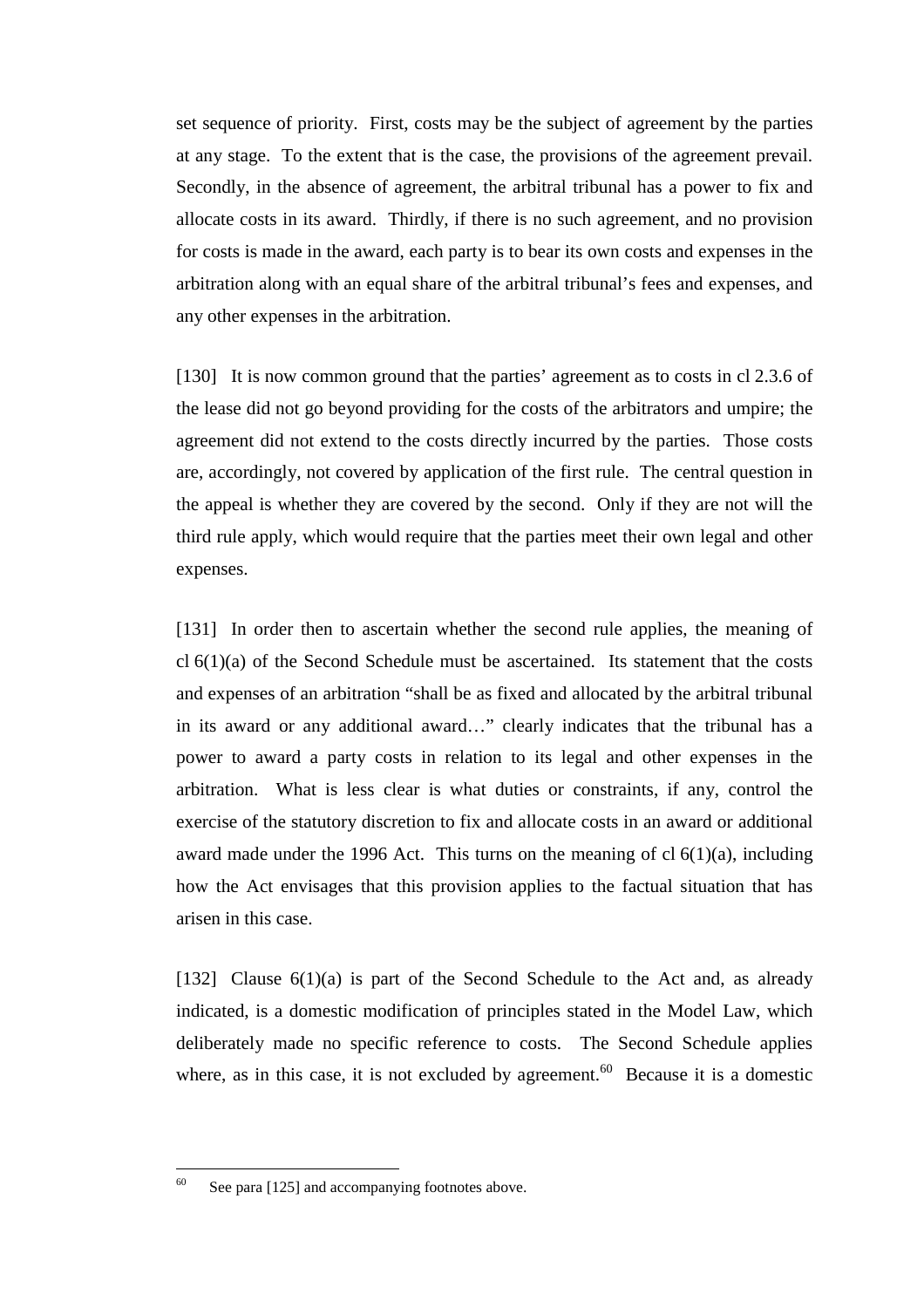set sequence of priority. First, costs may be the subject of agreement by the parties at any stage. To the extent that is the case, the provisions of the agreement prevail. Secondly, in the absence of agreement, the arbitral tribunal has a power to fix and allocate costs in its award. Thirdly, if there is no such agreement, and no provision for costs is made in the award, each party is to bear its own costs and expenses in the arbitration along with an equal share of the arbitral tribunal's fees and expenses, and any other expenses in the arbitration.

[130] It is now common ground that the parties' agreement as to costs in cl 2.3.6 of the lease did not go beyond providing for the costs of the arbitrators and umpire; the agreement did not extend to the costs directly incurred by the parties. Those costs are, accordingly, not covered by application of the first rule. The central question in the appeal is whether they are covered by the second. Only if they are not will the third rule apply, which would require that the parties meet their own legal and other expenses.

[131] In order then to ascertain whether the second rule applies, the meaning of cl 6(1)(a) of the Second Schedule must be ascertained. Its statement that the costs and expenses of an arbitration "shall be as fixed and allocated by the arbitral tribunal in its award or any additional award…" clearly indicates that the tribunal has a power to award a party costs in relation to its legal and other expenses in the arbitration. What is less clear is what duties or constraints, if any, control the exercise of the statutory discretion to fix and allocate costs in an award or additional award made under the 1996 Act. This turns on the meaning of  $cl 6(1)(a)$ , including how the Act envisages that this provision applies to the factual situation that has arisen in this case.

[132] Clause  $6(1)(a)$  is part of the Second Schedule to the Act and, as already indicated, is a domestic modification of principles stated in the Model Law, which deliberately made no specific reference to costs. The Second Schedule applies where, as in this case, it is not excluded by agreement.<sup>60</sup> Because it is a domestic

<sup>60</sup> See para [125] and accompanying footnotes above.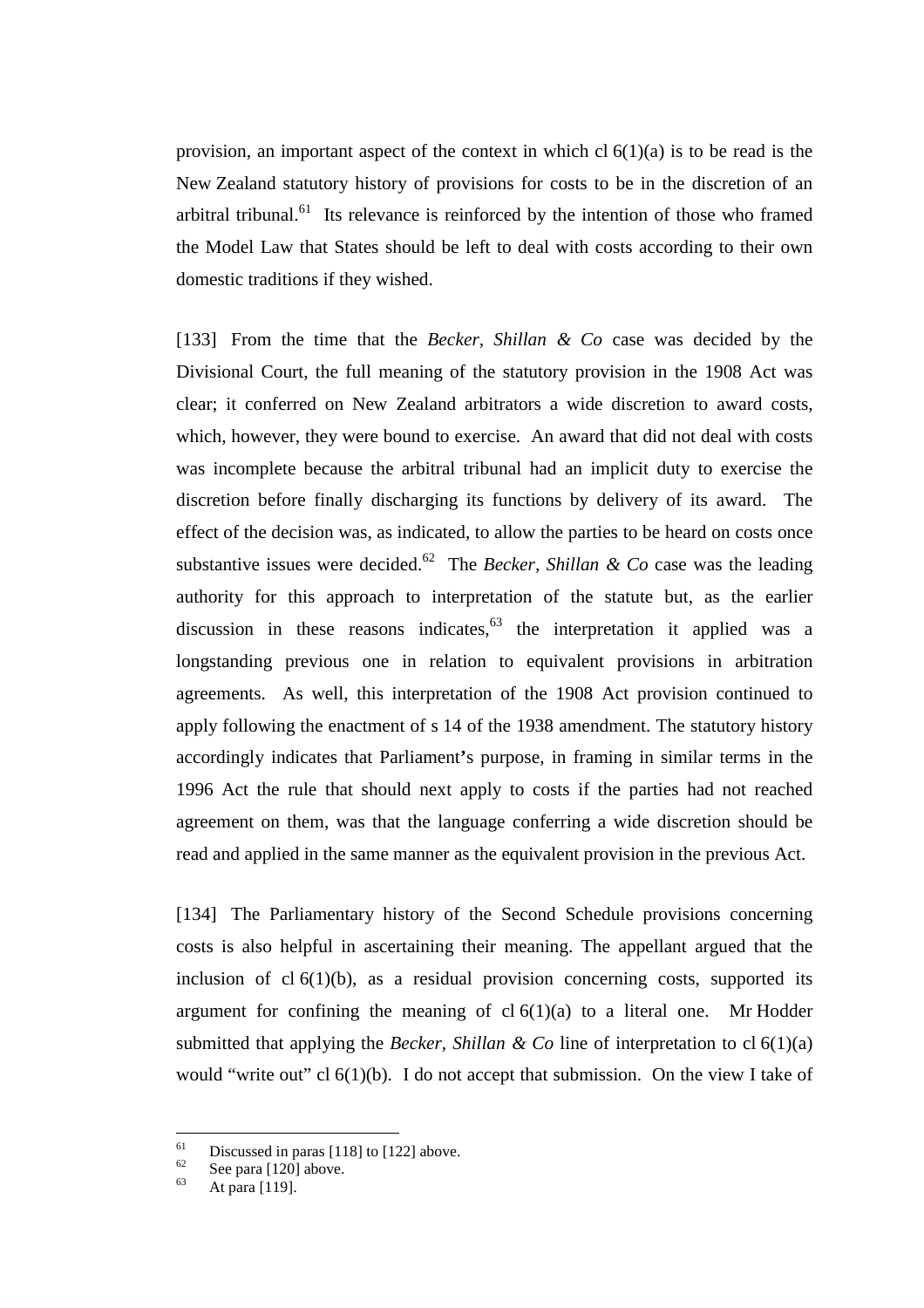provision, an important aspect of the context in which cl 6(1)(a) is to be read is the New Zealand statutory history of provisions for costs to be in the discretion of an arbitral tribunal. $^{61}$  Its relevance is reinforced by the intention of those who framed the Model Law that States should be left to deal with costs according to their own domestic traditions if they wished.

[133] From the time that the *Becker, Shillan & Co* case was decided by the Divisional Court, the full meaning of the statutory provision in the 1908 Act was clear; it conferred on New Zealand arbitrators a wide discretion to award costs, which, however, they were bound to exercise. An award that did not deal with costs was incomplete because the arbitral tribunal had an implicit duty to exercise the discretion before finally discharging its functions by delivery of its award. The effect of the decision was, as indicated, to allow the parties to be heard on costs once substantive issues were decided.<sup>62</sup> The *Becker, Shillan & Co* case was the leading authority for this approach to interpretation of the statute but, as the earlier discussion in these reasons indicates,  $63$  the interpretation it applied was a longstanding previous one in relation to equivalent provisions in arbitration agreements. As well, this interpretation of the 1908 Act provision continued to apply following the enactment of s 14 of the 1938 amendment. The statutory history accordingly indicates that Parliament**'**s purpose, in framing in similar terms in the 1996 Act the rule that should next apply to costs if the parties had not reached agreement on them, was that the language conferring a wide discretion should be read and applied in the same manner as the equivalent provision in the previous Act.

[134] The Parliamentary history of the Second Schedule provisions concerning costs is also helpful in ascertaining their meaning. The appellant argued that the inclusion of cl  $6(1)(b)$ , as a residual provision concerning costs, supported its argument for confining the meaning of  $cl 6(1)(a)$  to a literal one. Mr Hodder submitted that applying the *Becker, Shillan & Co* line of interpretation to cl 6(1)(a) would "write out" cl  $6(1)(b)$ . I do not accept that submission. On the view I take of

<sup>61</sup>  $^{61}$  Discussed in paras [118] to [122] above.

 $\frac{62}{63}$  See para [120] above.

At para [119].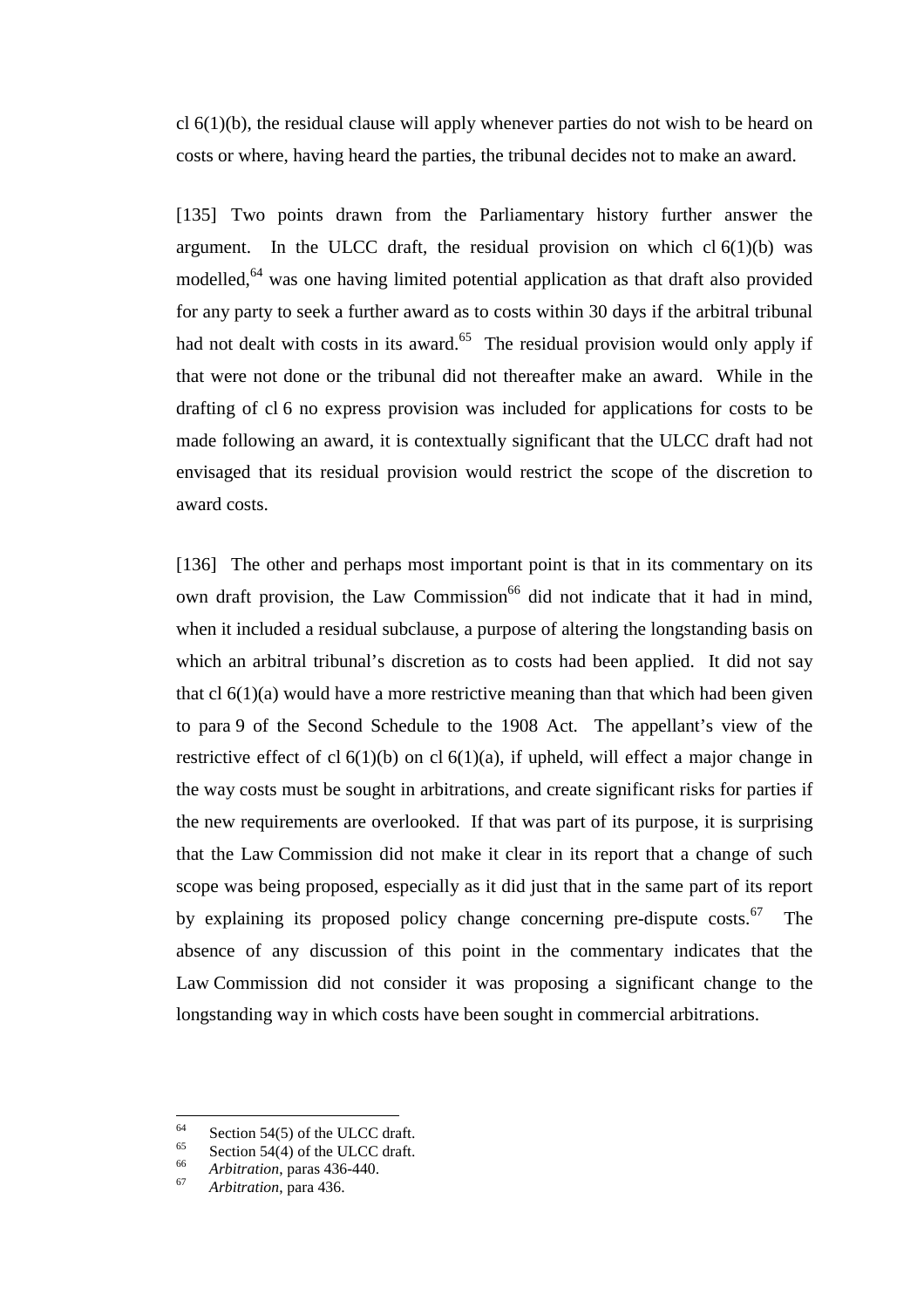$cl 6(1)(b)$ , the residual clause will apply whenever parties do not wish to be heard on costs or where, having heard the parties, the tribunal decides not to make an award.

[135] Two points drawn from the Parliamentary history further answer the argument. In the ULCC draft, the residual provision on which  $cl 6(1)(b)$  was modelled,<sup>64</sup> was one having limited potential application as that draft also provided for any party to seek a further award as to costs within 30 days if the arbitral tribunal had not dealt with costs in its award.<sup>65</sup> The residual provision would only apply if that were not done or the tribunal did not thereafter make an award. While in the drafting of cl 6 no express provision was included for applications for costs to be made following an award, it is contextually significant that the ULCC draft had not envisaged that its residual provision would restrict the scope of the discretion to award costs.

[136] The other and perhaps most important point is that in its commentary on its own draft provision, the Law Commission<sup>66</sup> did not indicate that it had in mind, when it included a residual subclause, a purpose of altering the longstanding basis on which an arbitral tribunal's discretion as to costs had been applied. It did not say that cl  $6(1)(a)$  would have a more restrictive meaning than that which had been given to para 9 of the Second Schedule to the 1908 Act. The appellant's view of the restrictive effect of cl  $6(1)(b)$  on cl  $6(1)(a)$ , if upheld, will effect a major change in the way costs must be sought in arbitrations, and create significant risks for parties if the new requirements are overlooked. If that was part of its purpose, it is surprising that the Law Commission did not make it clear in its report that a change of such scope was being proposed, especially as it did just that in the same part of its report by explaining its proposed policy change concerning pre-dispute costs.<sup>67</sup> The absence of any discussion of this point in the commentary indicates that the Law Commission did not consider it was proposing a significant change to the longstanding way in which costs have been sought in commercial arbitrations.

<sup>64</sup> <sup>64</sup> Section 54(5) of the ULCC draft.

 $^{65}$  Section 54(4) of the ULCC draft.

<sup>66</sup> *Arbitration*, paras 436-440. <sup>67</sup> *Arbitration*, para 436.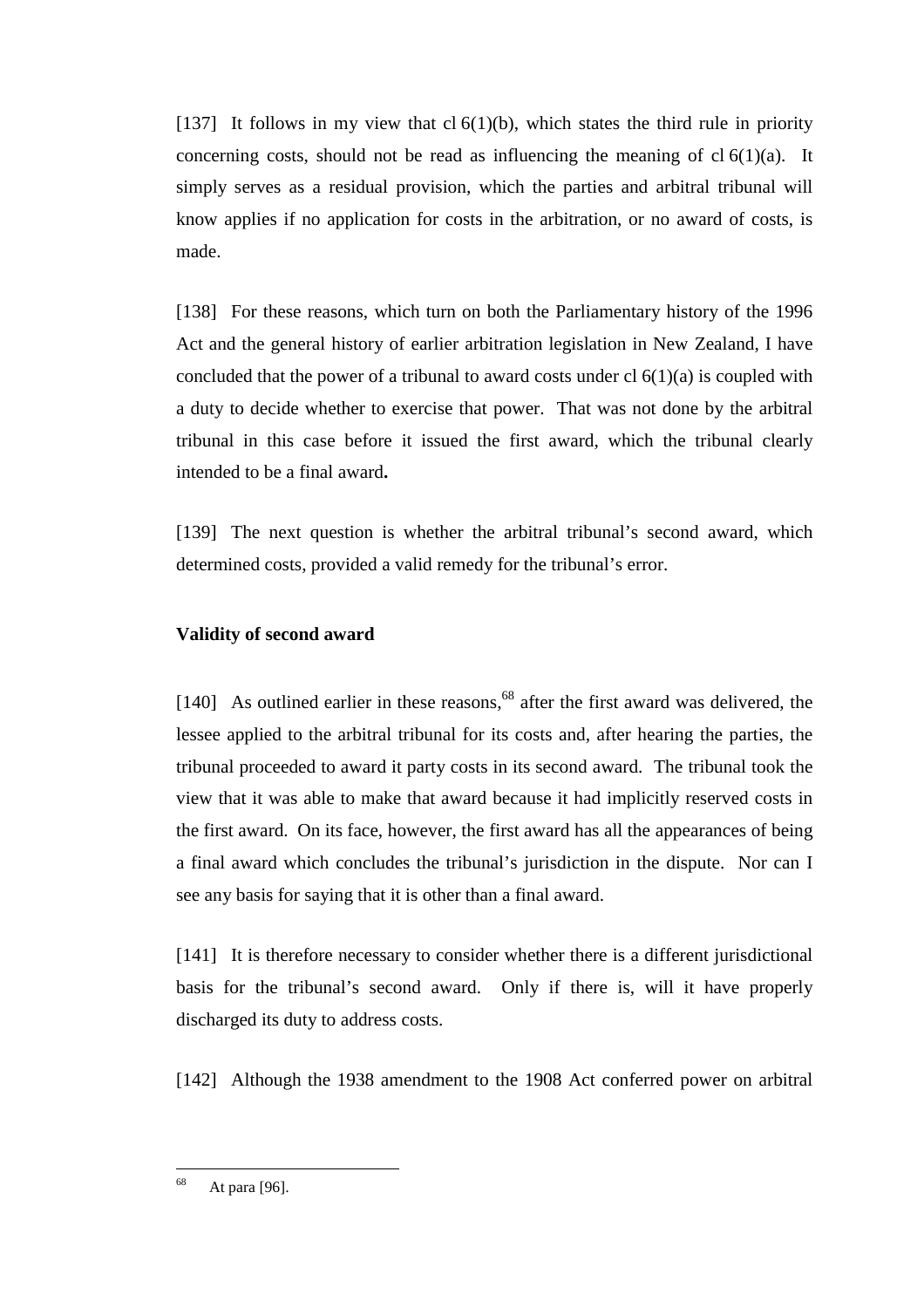[137] It follows in my view that cl  $6(1)(b)$ , which states the third rule in priority concerning costs, should not be read as influencing the meaning of cl  $6(1)(a)$ . It simply serves as a residual provision, which the parties and arbitral tribunal will know applies if no application for costs in the arbitration, or no award of costs, is made.

[138] For these reasons, which turn on both the Parliamentary history of the 1996 Act and the general history of earlier arbitration legislation in New Zealand, I have concluded that the power of a tribunal to award costs under cl  $6(1)(a)$  is coupled with a duty to decide whether to exercise that power. That was not done by the arbitral tribunal in this case before it issued the first award, which the tribunal clearly intended to be a final award**.**

[139] The next question is whether the arbitral tribunal's second award, which determined costs, provided a valid remedy for the tribunal's error.

## **Validity of second award**

 $[140]$  As outlined earlier in these reasons,<sup>68</sup> after the first award was delivered, the lessee applied to the arbitral tribunal for its costs and, after hearing the parties, the tribunal proceeded to award it party costs in its second award. The tribunal took the view that it was able to make that award because it had implicitly reserved costs in the first award. On its face, however, the first award has all the appearances of being a final award which concludes the tribunal's jurisdiction in the dispute. Nor can I see any basis for saying that it is other than a final award.

[141] It is therefore necessary to consider whether there is a different jurisdictional basis for the tribunal's second award. Only if there is, will it have properly discharged its duty to address costs.

[142] Although the 1938 amendment to the 1908 Act conferred power on arbitral

<sup>68</sup> At para [96].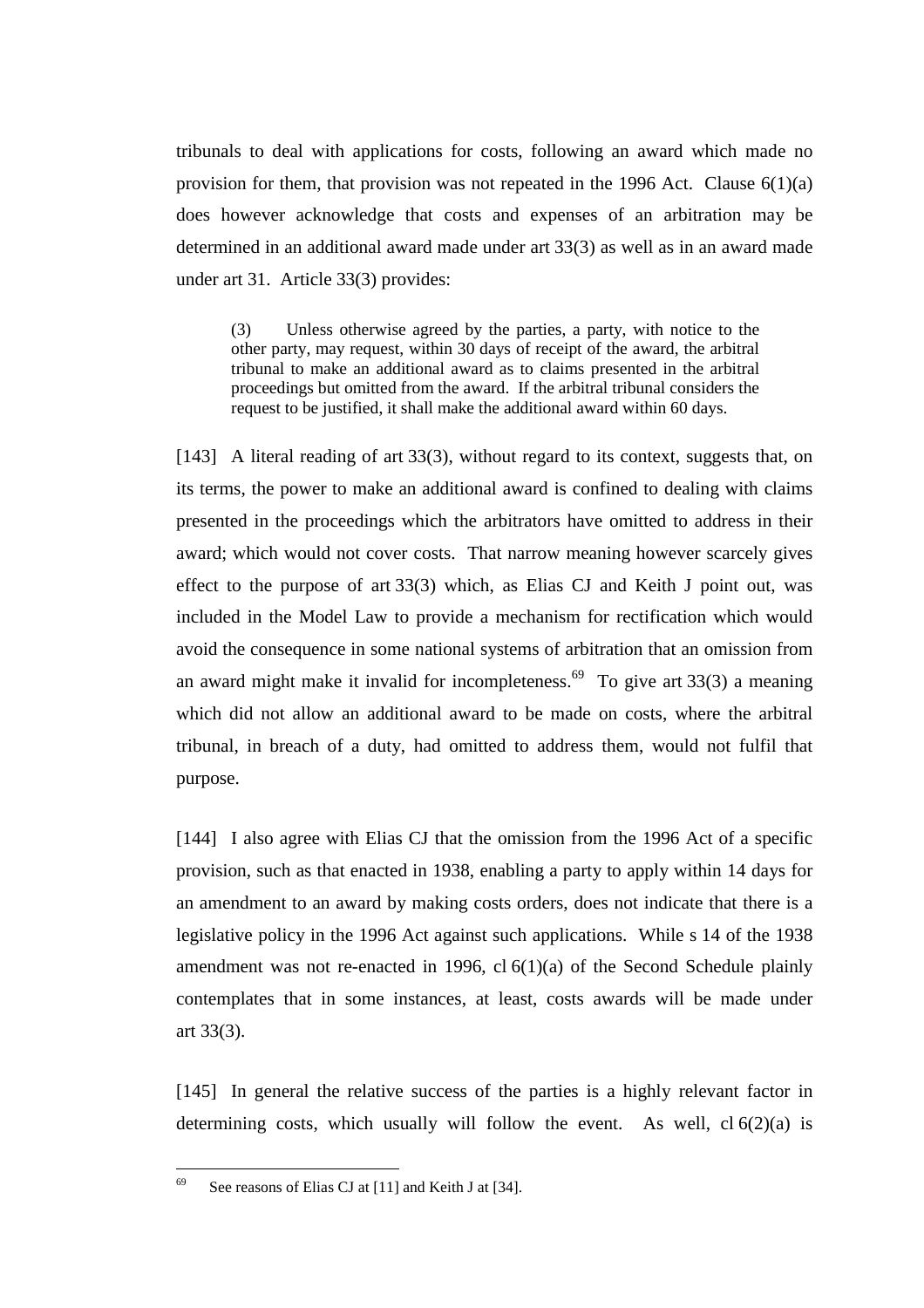tribunals to deal with applications for costs, following an award which made no provision for them, that provision was not repeated in the 1996 Act. Clause  $6(1)(a)$ does however acknowledge that costs and expenses of an arbitration may be determined in an additional award made under art 33(3) as well as in an award made under art 31. Article 33(3) provides:

(3) Unless otherwise agreed by the parties, a party, with notice to the other party, may request, within 30 days of receipt of the award, the arbitral tribunal to make an additional award as to claims presented in the arbitral proceedings but omitted from the award. If the arbitral tribunal considers the request to be justified, it shall make the additional award within 60 days.

[143] A literal reading of art 33(3), without regard to its context, suggests that, on its terms, the power to make an additional award is confined to dealing with claims presented in the proceedings which the arbitrators have omitted to address in their award; which would not cover costs. That narrow meaning however scarcely gives effect to the purpose of art 33(3) which, as Elias CJ and Keith J point out, was included in the Model Law to provide a mechanism for rectification which would avoid the consequence in some national systems of arbitration that an omission from an award might make it invalid for incompleteness.<sup>69</sup> To give art  $33(3)$  a meaning which did not allow an additional award to be made on costs, where the arbitral tribunal, in breach of a duty, had omitted to address them, would not fulfil that purpose.

[144] I also agree with Elias CJ that the omission from the 1996 Act of a specific provision, such as that enacted in 1938, enabling a party to apply within 14 days for an amendment to an award by making costs orders, does not indicate that there is a legislative policy in the 1996 Act against such applications. While s 14 of the 1938 amendment was not re-enacted in 1996, cl 6(1)(a) of the Second Schedule plainly contemplates that in some instances, at least, costs awards will be made under art 33(3).

[145] In general the relative success of the parties is a highly relevant factor in determining costs, which usually will follow the event. As well,  $cl 6(2)(a)$  is

<sup>69</sup> See reasons of Elias CJ at [11] and Keith J at [34].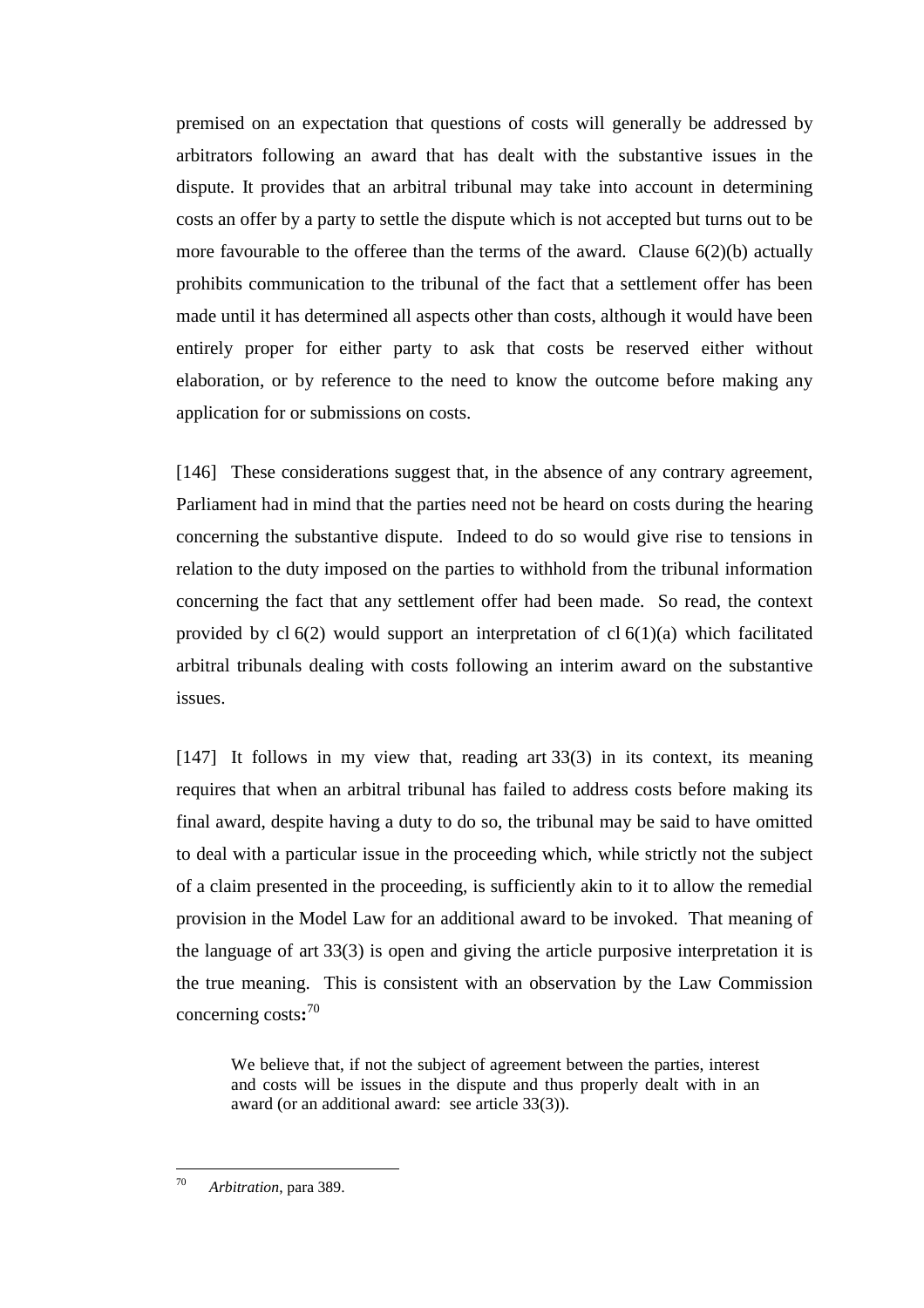premised on an expectation that questions of costs will generally be addressed by arbitrators following an award that has dealt with the substantive issues in the dispute. It provides that an arbitral tribunal may take into account in determining costs an offer by a party to settle the dispute which is not accepted but turns out to be more favourable to the offeree than the terms of the award. Clause 6(2)(b) actually prohibits communication to the tribunal of the fact that a settlement offer has been made until it has determined all aspects other than costs, although it would have been entirely proper for either party to ask that costs be reserved either without elaboration, or by reference to the need to know the outcome before making any application for or submissions on costs.

[146] These considerations suggest that, in the absence of any contrary agreement, Parliament had in mind that the parties need not be heard on costs during the hearing concerning the substantive dispute. Indeed to do so would give rise to tensions in relation to the duty imposed on the parties to withhold from the tribunal information concerning the fact that any settlement offer had been made. So read, the context provided by  $cl 6(2)$  would support an interpretation of  $cl 6(1)(a)$  which facilitated arbitral tribunals dealing with costs following an interim award on the substantive issues.

[147] It follows in my view that, reading art 33(3) in its context, its meaning requires that when an arbitral tribunal has failed to address costs before making its final award, despite having a duty to do so, the tribunal may be said to have omitted to deal with a particular issue in the proceeding which, while strictly not the subject of a claim presented in the proceeding, is sufficiently akin to it to allow the remedial provision in the Model Law for an additional award to be invoked. That meaning of the language of art 33(3) is open and giving the article purposive interpretation it is the true meaning. This is consistent with an observation by the Law Commission concerning costs**:** 70

We believe that, if not the subject of agreement between the parties, interest and costs will be issues in the dispute and thus properly dealt with in an award (or an additional award: see article 33(3)).

<sup>70</sup> <sup>70</sup> *Arbitration*, para 389.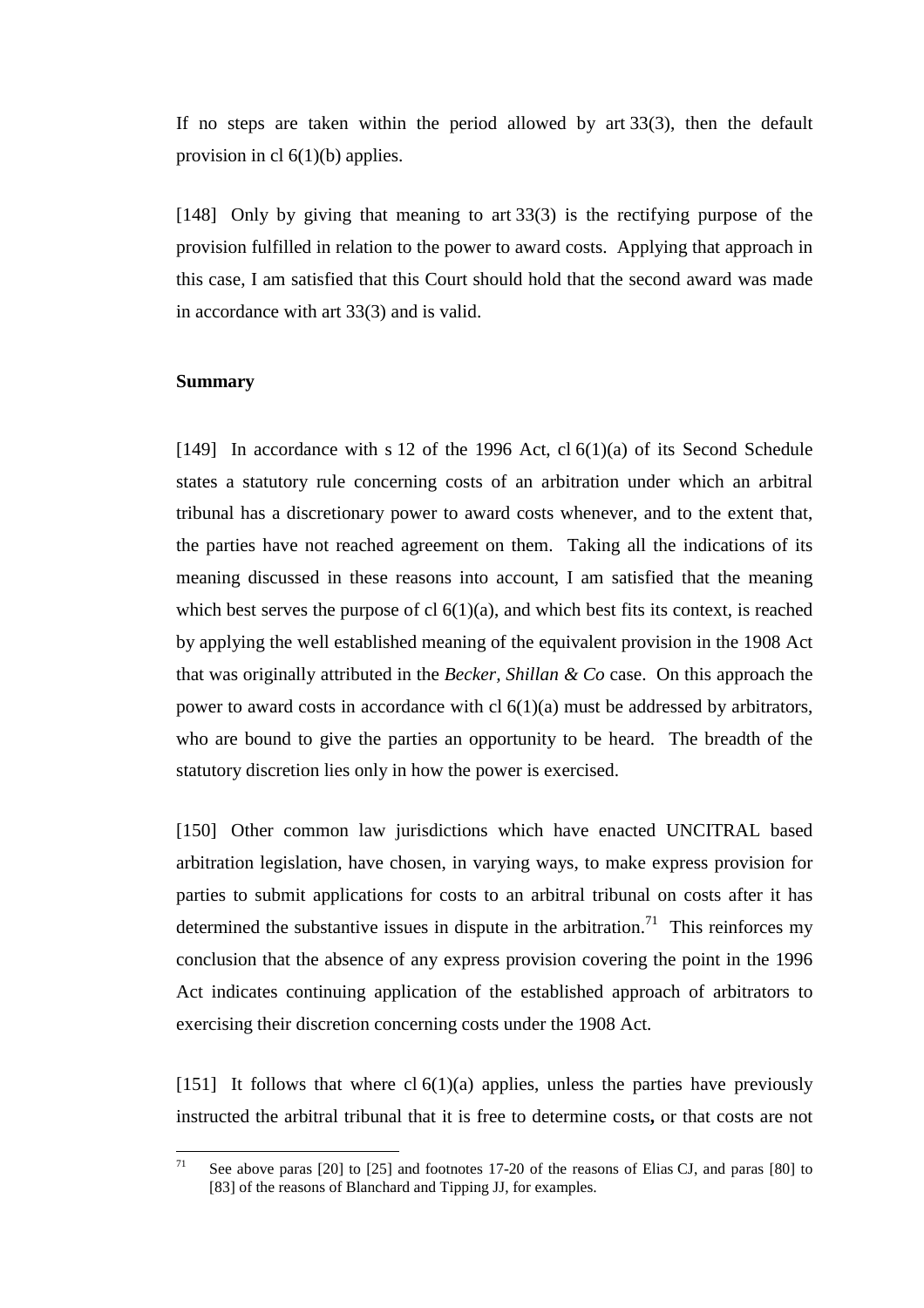If no steps are taken within the period allowed by art 33(3), then the default provision in cl 6(1)(b) applies.

[148] Only by giving that meaning to art 33(3) is the rectifying purpose of the provision fulfilled in relation to the power to award costs. Applying that approach in this case, I am satisfied that this Court should hold that the second award was made in accordance with art 33(3) and is valid.

## **Summary**

[149] In accordance with s 12 of the 1996 Act, cl  $6(1)(a)$  of its Second Schedule states a statutory rule concerning costs of an arbitration under which an arbitral tribunal has a discretionary power to award costs whenever, and to the extent that, the parties have not reached agreement on them. Taking all the indications of its meaning discussed in these reasons into account, I am satisfied that the meaning which best serves the purpose of cl  $6(1)(a)$ , and which best fits its context, is reached by applying the well established meaning of the equivalent provision in the 1908 Act that was originally attributed in the *Becker, Shillan & Co* case. On this approach the power to award costs in accordance with cl  $6(1)(a)$  must be addressed by arbitrators, who are bound to give the parties an opportunity to be heard. The breadth of the statutory discretion lies only in how the power is exercised.

[150] Other common law jurisdictions which have enacted UNCITRAL based arbitration legislation, have chosen, in varying ways, to make express provision for parties to submit applications for costs to an arbitral tribunal on costs after it has determined the substantive issues in dispute in the arbitration.<sup>71</sup> This reinforces my conclusion that the absence of any express provision covering the point in the 1996 Act indicates continuing application of the established approach of arbitrators to exercising their discretion concerning costs under the 1908 Act.

[151] It follows that where cl  $6(1)(a)$  applies, unless the parties have previously instructed the arbitral tribunal that it is free to determine costs**,** or that costs are not

 $71$ 71 See above paras [20] to [25] and footnotes 17-20 of the reasons of Elias CJ, and paras [80] to [83] of the reasons of Blanchard and Tipping JJ, for examples.